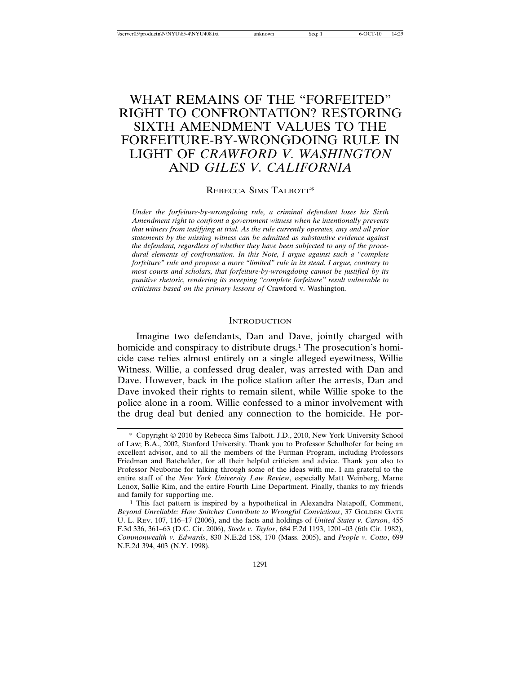# WHAT REMAINS OF THE "FORFEITED" RIGHT TO CONFRONTATION? RESTORING SIXTH AMENDMENT VALUES TO THE FORFEITURE-BY-WRONGDOING RULE IN LIGHT OF *CRAWFORD V. WASHINGTON* AND *GILES V. CALIFORNIA*

### REBECCA SIMS TALBOTT\*

*Under the forfeiture-by-wrongdoing rule, a criminal defendant loses his Sixth Amendment right to confront a government witness when he intentionally prevents that witness from testifying at trial. As the rule currently operates, any and all prior statements by the missing witness can be admitted as substantive evidence against the defendant, regardless of whether they have been subjected to any of the procedural elements of confrontation. In this Note, I argue against such a "complete forfeiture" rule and propose a more "limited" rule in its stead. I argue, contrary to most courts and scholars, that forfeiture-by-wrongdoing cannot be justified by its punitive rhetoric, rendering its sweeping "complete forfeiture" result vulnerable to criticisms based on the primary lessons of* Crawford v. Washington*.*

### **INTRODUCTION**

Imagine two defendants, Dan and Dave, jointly charged with homicide and conspiracy to distribute drugs.<sup>1</sup> The prosecution's homicide case relies almost entirely on a single alleged eyewitness, Willie Witness. Willie, a confessed drug dealer, was arrested with Dan and Dave. However, back in the police station after the arrests, Dan and Dave invoked their rights to remain silent, while Willie spoke to the police alone in a room. Willie confessed to a minor involvement with the drug deal but denied any connection to the homicide. He por-

<sup>\*</sup> Copyright 2010 by Rebecca Sims Talbott. J.D., 2010, New York University School of Law; B.A., 2002, Stanford University. Thank you to Professor Schulhofer for being an excellent advisor, and to all the members of the Furman Program, including Professors Friedman and Batchelder, for all their helpful criticism and advice. Thank you also to Professor Neuborne for talking through some of the ideas with me. I am grateful to the entire staff of the *New York University Law Review*, especially Matt Weinberg, Marne Lenox, Sallie Kim, and the entire Fourth Line Department. Finally, thanks to my friends and family for supporting me.

<sup>1</sup> This fact pattern is inspired by a hypothetical in Alexandra Natapoff, Comment, *Beyond Unreliable: How Snitches Contribute to Wrongful Convictions*, 37 GOLDEN GATE U. L. REV. 107, 116–17 (2006), and the facts and holdings of *United States v. Carson*, 455 F.3d 336, 361–63 (D.C. Cir. 2006), *Steele v. Taylor*, 684 F.2d 1193, 1201–03 (6th Cir. 1982), *Commonwealth v. Edwards*, 830 N.E.2d 158, 170 (Mass. 2005), and *People v. Cotto*, 699 N.E.2d 394, 403 (N.Y. 1998).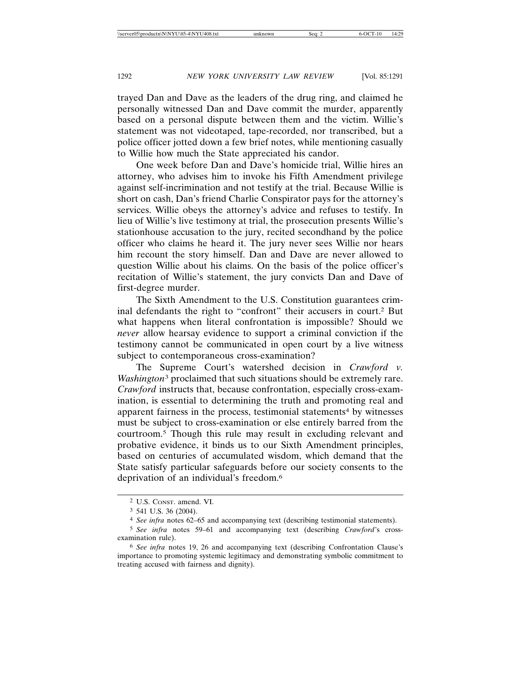trayed Dan and Dave as the leaders of the drug ring, and claimed he personally witnessed Dan and Dave commit the murder, apparently based on a personal dispute between them and the victim. Willie's statement was not videotaped, tape-recorded, nor transcribed, but a police officer jotted down a few brief notes, while mentioning casually to Willie how much the State appreciated his candor.

One week before Dan and Dave's homicide trial, Willie hires an attorney, who advises him to invoke his Fifth Amendment privilege against self-incrimination and not testify at the trial. Because Willie is short on cash, Dan's friend Charlie Conspirator pays for the attorney's services. Willie obeys the attorney's advice and refuses to testify. In lieu of Willie's live testimony at trial, the prosecution presents Willie's stationhouse accusation to the jury, recited secondhand by the police officer who claims he heard it. The jury never sees Willie nor hears him recount the story himself. Dan and Dave are never allowed to question Willie about his claims. On the basis of the police officer's recitation of Willie's statement, the jury convicts Dan and Dave of first-degree murder.

The Sixth Amendment to the U.S. Constitution guarantees criminal defendants the right to "confront" their accusers in court.2 But what happens when literal confrontation is impossible? Should we *never* allow hearsay evidence to support a criminal conviction if the testimony cannot be communicated in open court by a live witness subject to contemporaneous cross-examination?

The Supreme Court's watershed decision in *Crawford v. Washington*3 proclaimed that such situations should be extremely rare. *Crawford* instructs that, because confrontation, especially cross-examination, is essential to determining the truth and promoting real and apparent fairness in the process, testimonial statements<sup>4</sup> by witnesses must be subject to cross-examination or else entirely barred from the courtroom.5 Though this rule may result in excluding relevant and probative evidence, it binds us to our Sixth Amendment principles, based on centuries of accumulated wisdom, which demand that the State satisfy particular safeguards before our society consents to the deprivation of an individual's freedom.6

<sup>2</sup> U.S. CONST. amend. VI.

<sup>3</sup> 541 U.S. 36 (2004).

<sup>4</sup> *See infra* notes 62–65 and accompanying text (describing testimonial statements).

<sup>5</sup> *See infra* notes 59–61 and accompanying text (describing *Crawford*'s crossexamination rule).

<sup>6</sup> *See infra* notes 19, 26 and accompanying text (describing Confrontation Clause's importance to promoting systemic legitimacy and demonstrating symbolic commitment to treating accused with fairness and dignity).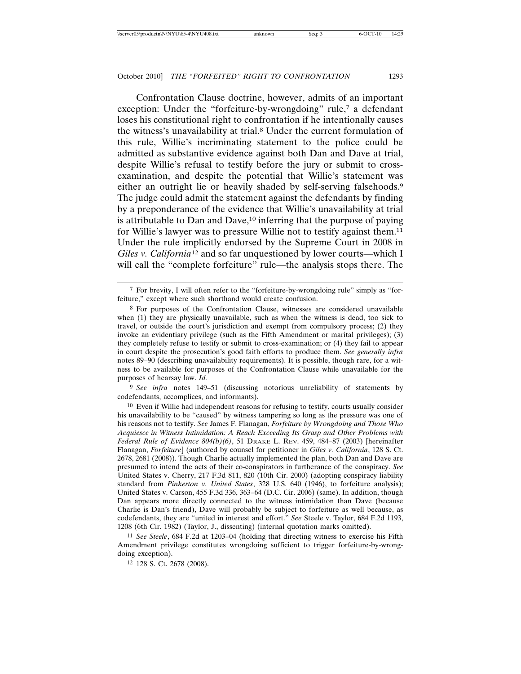Confrontation Clause doctrine, however, admits of an important exception: Under the "forfeiture-by-wrongdoing" rule,<sup>7</sup> a defendant loses his constitutional right to confrontation if he intentionally causes the witness's unavailability at trial.8 Under the current formulation of this rule, Willie's incriminating statement to the police could be admitted as substantive evidence against both Dan and Dave at trial, despite Willie's refusal to testify before the jury or submit to crossexamination, and despite the potential that Willie's statement was either an outright lie or heavily shaded by self-serving falsehoods.<sup>9</sup> The judge could admit the statement against the defendants by finding by a preponderance of the evidence that Willie's unavailability at trial is attributable to Dan and Dave,<sup>10</sup> inferring that the purpose of paying for Willie's lawyer was to pressure Willie not to testify against them.<sup>11</sup> Under the rule implicitly endorsed by the Supreme Court in 2008 in *Giles v. California*12 and so far unquestioned by lower courts—which I will call the "complete forfeiture" rule—the analysis stops there. The

9 *See infra* notes 149–51 (discussing notorious unreliability of statements by codefendants, accomplices, and informants).

10 Even if Willie had independent reasons for refusing to testify, courts usually consider his unavailability to be "caused" by witness tampering so long as the pressure was one of his reasons not to testify. *See* James F. Flanagan, *Forfeiture by Wrongdoing and Those Who Acquiesce in Witness Intimidation: A Reach Exceeding Its Grasp and Other Problems with Federal Rule of Evidence 804(b)(6)*, 51 DRAKE L. REV. 459, 484–87 (2003) [hereinafter Flanagan, *Forfeiture*] (authored by counsel for petitioner in *Giles v. California*, 128 S. Ct. 2678, 2681 (2008)). Though Charlie actually implemented the plan, both Dan and Dave are presumed to intend the acts of their co-conspirators in furtherance of the conspiracy. *See* United States v. Cherry, 217 F.3d 811, 820 (10th Cir. 2000) (adopting conspiracy liability standard from *Pinkerton v. United States*, 328 U.S. 640 (1946), to forfeiture analysis); United States v. Carson, 455 F.3d 336, 363–64 (D.C. Cir. 2006) (same). In addition, though Dan appears more directly connected to the witness intimidation than Dave (because Charlie is Dan's friend), Dave will probably be subject to forfeiture as well because, as codefendants, they are "united in interest and effort." *See* Steele v. Taylor, 684 F.2d 1193, 1208 (6th Cir. 1982) (Taylor, J., dissenting) (internal quotation marks omitted).

11 *See Steele*, 684 F.2d at 1203–04 (holding that directing witness to exercise his Fifth Amendment privilege constitutes wrongdoing sufficient to trigger forfeiture-by-wrongdoing exception).

12 128 S. Ct. 2678 (2008).

<sup>7</sup> For brevity, I will often refer to the "forfeiture-by-wrongdoing rule" simply as "forfeiture," except where such shorthand would create confusion.

<sup>8</sup> For purposes of the Confrontation Clause, witnesses are considered unavailable when (1) they are physically unavailable, such as when the witness is dead, too sick to travel, or outside the court's jurisdiction and exempt from compulsory process; (2) they invoke an evidentiary privilege (such as the Fifth Amendment or marital privileges); (3) they completely refuse to testify or submit to cross-examination; or (4) they fail to appear in court despite the prosecution's good faith efforts to produce them. *See generally infra* notes 89–90 (describing unavailability requirements). It is possible, though rare, for a witness to be available for purposes of the Confrontation Clause while unavailable for the purposes of hearsay law. *Id.*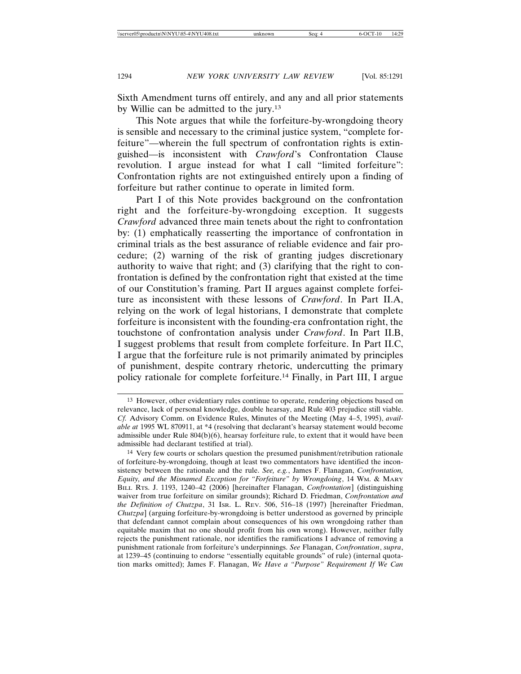Sixth Amendment turns off entirely, and any and all prior statements by Willie can be admitted to the jury.13

This Note argues that while the forfeiture-by-wrongdoing theory is sensible and necessary to the criminal justice system, "complete forfeiture"—wherein the full spectrum of confrontation rights is extinguished—is inconsistent with *Crawford*'s Confrontation Clause revolution. I argue instead for what I call "limited forfeiture": Confrontation rights are not extinguished entirely upon a finding of forfeiture but rather continue to operate in limited form.

Part I of this Note provides background on the confrontation right and the forfeiture-by-wrongdoing exception. It suggests *Crawford* advanced three main tenets about the right to confrontation by: (1) emphatically reasserting the importance of confrontation in criminal trials as the best assurance of reliable evidence and fair procedure; (2) warning of the risk of granting judges discretionary authority to waive that right; and (3) clarifying that the right to confrontation is defined by the confrontation right that existed at the time of our Constitution's framing. Part II argues against complete forfeiture as inconsistent with these lessons of *Crawford*. In Part II.A, relying on the work of legal historians, I demonstrate that complete forfeiture is inconsistent with the founding-era confrontation right, the touchstone of confrontation analysis under *Crawford*. In Part II.B, I suggest problems that result from complete forfeiture. In Part II.C, I argue that the forfeiture rule is not primarily animated by principles of punishment, despite contrary rhetoric, undercutting the primary policy rationale for complete forfeiture.14 Finally, in Part III, I argue

<sup>13</sup> However, other evidentiary rules continue to operate, rendering objections based on relevance, lack of personal knowledge, double hearsay, and Rule 403 prejudice still viable. *Cf.* Advisory Comm. on Evidence Rules, Minutes of the Meeting (May 4–5, 1995), *available at* 1995 WL 870911, at \*4 (resolving that declarant's hearsay statement would become admissible under Rule  $804(b)(6)$ , hearsay forfeiture rule, to extent that it would have been admissible had declarant testified at trial).

<sup>14</sup> Very few courts or scholars question the presumed punishment/retribution rationale of forfeiture-by-wrongdoing, though at least two commentators have identified the inconsistency between the rationale and the rule. *See, e.g.*, James F. Flanagan, *Confrontation, Equity, and the Misnamed Exception for "Forfeiture" by Wrongdoing*, 14 WM. & MARY BILL RTS. J. 1193, 1240–42 (2006) [hereinafter Flanagan, *Confrontation*] (distinguishing waiver from true forfeiture on similar grounds); Richard D. Friedman, *Confrontation and the Definition of Chutzpa*, 31 ISR. L. REV. 506, 516–18 (1997) [hereinafter Friedman, *Chutzpa*] (arguing forfeiture-by-wrongdoing is better understood as governed by principle that defendant cannot complain about consequences of his own wrongdoing rather than equitable maxim that no one should profit from his own wrong). However, neither fully rejects the punishment rationale, nor identifies the ramifications I advance of removing a punishment rationale from forfeiture's underpinnings. *See* Flanagan, *Confrontation*, *supra*, at 1239–45 (continuing to endorse "essentially equitable grounds" of rule) (internal quotation marks omitted); James F. Flanagan, *We Have a "Purpose" Requirement If We Can*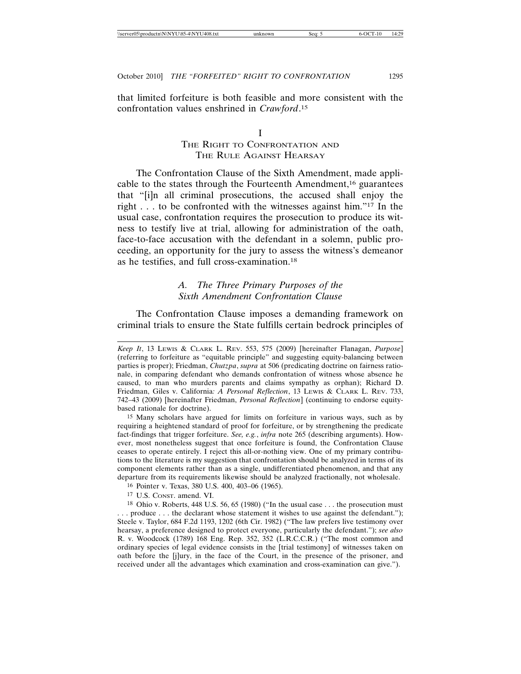that limited forfeiture is both feasible and more consistent with the confrontation values enshrined in *Crawford*. 15

# I THE RIGHT TO CONFRONTATION AND THE RULE AGAINST HEARSAY

The Confrontation Clause of the Sixth Amendment, made applicable to the states through the Fourteenth Amendment,16 guarantees that "[i]n all criminal prosecutions, the accused shall enjoy the right  $\ldots$  to be confronted with the witnesses against him."<sup>17</sup> In the usual case, confrontation requires the prosecution to produce its witness to testify live at trial, allowing for administration of the oath, face-to-face accusation with the defendant in a solemn, public proceeding, an opportunity for the jury to assess the witness's demeanor as he testifies, and full cross-examination.18

# *A. The Three Primary Purposes of the Sixth Amendment Confrontation Clause*

The Confrontation Clause imposes a demanding framework on criminal trials to ensure the State fulfills certain bedrock principles of

- 16 Pointer v. Texas, 380 U.S. 400, 403–06 (1965).
- 17 U.S. CONST. amend. VI.

*Keep It*, 13 LEWIS & CLARK L. REV. 553, 575 (2009) [hereinafter Flanagan, *Purpose*] (referring to forfeiture as "equitable principle" and suggesting equity-balancing between parties is proper); Friedman, *Chutzpa*, *supra* at 506 (predicating doctrine on fairness rationale, in comparing defendant who demands confrontation of witness whose absence he caused, to man who murders parents and claims sympathy as orphan); Richard D. Friedman, Giles v. California*: A Personal Reflection*, 13 LEWIS & CLARK L. REV. 733, 742–43 (2009) [hereinafter Friedman, *Personal Reflection*] (continuing to endorse equitybased rationale for doctrine).

<sup>15</sup> Many scholars have argued for limits on forfeiture in various ways, such as by requiring a heightened standard of proof for forfeiture, or by strengthening the predicate fact-findings that trigger forfeiture. *See, e.g.*, *infra* note 265 (describing arguments). However, most nonetheless suggest that once forfeiture is found, the Confrontation Clause ceases to operate entirely. I reject this all-or-nothing view. One of my primary contributions to the literature is my suggestion that confrontation should be analyzed in terms of its component elements rather than as a single, undifferentiated phenomenon, and that any departure from its requirements likewise should be analyzed fractionally, not wholesale.

<sup>18</sup> Ohio v. Roberts, 448 U.S. 56, 65 (1980) ("In the usual case . . . the prosecution must . . . produce . . . the declarant whose statement it wishes to use against the defendant."); Steele v. Taylor, 684 F.2d 1193, 1202 (6th Cir. 1982) ("The law prefers live testimony over hearsay, a preference designed to protect everyone, particularly the defendant."); *see also* R. v. Woodcock (1789) 168 Eng. Rep. 352, 352 (L.R.C.C.R.) ("The most common and ordinary species of legal evidence consists in the [trial testimony] of witnesses taken on oath before the [j]ury, in the face of the Court, in the presence of the prisoner, and received under all the advantages which examination and cross-examination can give.").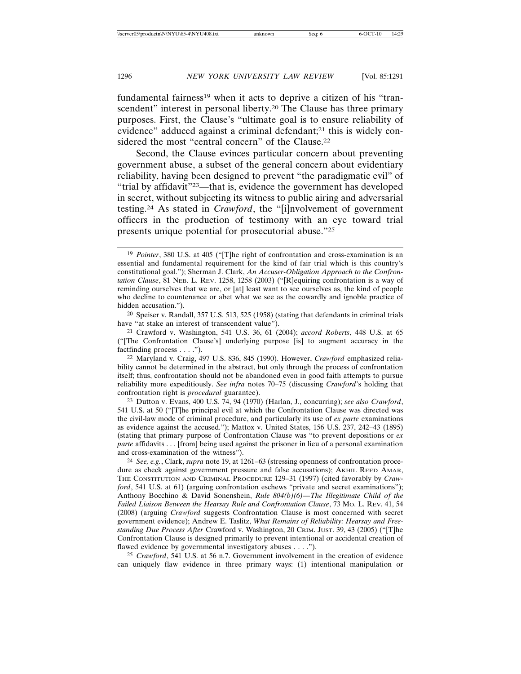fundamental fairness<sup>19</sup> when it acts to deprive a citizen of his "transcendent" interest in personal liberty.<sup>20</sup> The Clause has three primary purposes. First, the Clause's "ultimate goal is to ensure reliability of evidence" adduced against a criminal defendant;<sup>21</sup> this is widely considered the most "central concern" of the Clause.<sup>22</sup>

Second, the Clause evinces particular concern about preventing government abuse, a subset of the general concern about evidentiary reliability, having been designed to prevent "the paradigmatic evil" of "trial by affidavit"23—that is, evidence the government has developed in secret, without subjecting its witness to public airing and adversarial testing.24 As stated in *Crawford*, the "[i]nvolvement of government officers in the production of testimony with an eye toward trial presents unique potential for prosecutorial abuse."25

23 Dutton v. Evans, 400 U.S. 74, 94 (1970) (Harlan, J., concurring); *see also Crawford*, 541 U.S. at 50 ("[T]he principal evil at which the Confrontation Clause was directed was the civil-law mode of criminal procedure, and particularly its use of *ex parte* examinations as evidence against the accused."); Mattox v. United States, 156 U.S. 237, 242–43 (1895) (stating that primary purpose of Confrontation Clause was "to prevent depositions or *ex parte* affidavits . . . [from] being used against the prisoner in lieu of a personal examination and cross-examination of the witness").

24 *See, e.g.*, Clark, *supra* note 19, at 1261–63 (stressing openness of confrontation procedure as check against government pressure and false accusations); AKHIL REED AMAR, THE CONSTITUTION AND CRIMINAL PROCEDURE 129–31 (1997) (cited favorably by *Crawford*, 541 U.S. at 61) (arguing confrontation eschews "private and secret examinations"); Anthony Bocchino & David Sonenshein, *Rule 804(b)(6)—The Illegitimate Child of the Failed Liaison Between the Hearsay Rule and Confrontation Clause*, 73 MO. L. REV. 41, 54 (2008) (arguing *Crawford* suggests Confrontation Clause is most concerned with secret government evidence); Andrew E. Taslitz, *What Remains of Reliability: Hearsay and Freestanding Due Process After* Crawford v. Washington, 20 CRIM. JUST. 39, 43 (2005) ("[T]he Confrontation Clause is designed primarily to prevent intentional or accidental creation of flawed evidence by governmental investigatory abuses . . . .").

25 *Crawford*, 541 U.S. at 56 n.7. Government involvement in the creation of evidence can uniquely flaw evidence in three primary ways: (1) intentional manipulation or

<sup>19</sup> *Pointer*, 380 U.S. at 405 ("[T]he right of confrontation and cross-examination is an essential and fundamental requirement for the kind of fair trial which is this country's constitutional goal."); Sherman J. Clark, *An Accuser-Obligation Approach to the Confrontation Clause*, 81 NEB. L. REV. 1258, 1258 (2003) ("[R]equiring confrontation is a way of reminding ourselves that we are, or [at] least want to see ourselves as, the kind of people who decline to countenance or abet what we see as the cowardly and ignoble practice of hidden accusation.").

<sup>20</sup> Speiser v. Randall, 357 U.S. 513, 525 (1958) (stating that defendants in criminal trials have "at stake an interest of transcendent value").

<sup>21</sup> Crawford v. Washington, 541 U.S. 36, 61 (2004); *accord Roberts*, 448 U.S. at 65 ("[The Confrontation Clause's] underlying purpose [is] to augment accuracy in the factfinding process . . . .").

<sup>22</sup> Maryland v. Craig, 497 U.S. 836, 845 (1990). However, *Crawford* emphasized reliability cannot be determined in the abstract, but only through the process of confrontation itself; thus, confrontation should not be abandoned even in good faith attempts to pursue reliability more expeditiously. *See infra* notes 70–75 (discussing *Crawford*'s holding that confrontation right is *procedural* guarantee).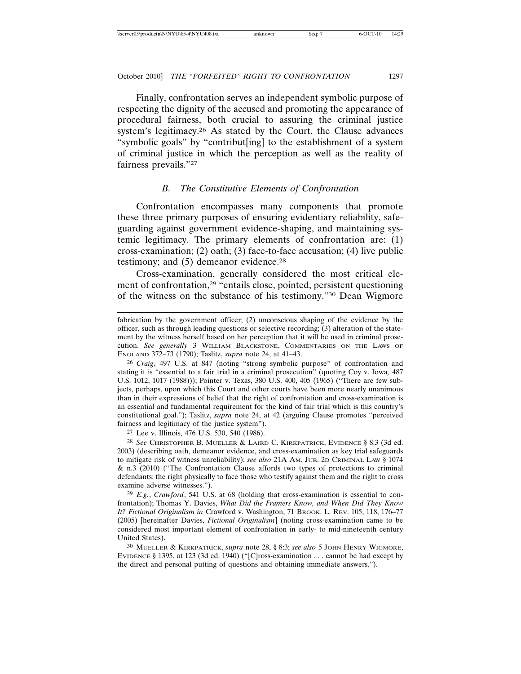Finally, confrontation serves an independent symbolic purpose of respecting the dignity of the accused and promoting the appearance of procedural fairness, both crucial to assuring the criminal justice system's legitimacy.26 As stated by the Court, the Clause advances "symbolic goals" by "contribut[ing] to the establishment of a system of criminal justice in which the perception as well as the reality of fairness prevails."27

# *B. The Constitutive Elements of Confrontation*

Confrontation encompasses many components that promote these three primary purposes of ensuring evidentiary reliability, safeguarding against government evidence-shaping, and maintaining systemic legitimacy. The primary elements of confrontation are: (1) cross-examination; (2) oath; (3) face-to-face accusation; (4) live public testimony; and (5) demeanor evidence.<sup>28</sup>

Cross-examination, generally considered the most critical element of confrontation,<sup>29</sup> "entails close, pointed, persistent questioning of the witness on the substance of his testimony."30 Dean Wigmore

27 Lee v. Illinois, 476 U.S. 530, 540 (1986).

29 *E.g.*, *Crawford*, 541 U.S. at 68 (holding that cross-examination is essential to confrontation); Thomas Y. Davies, *What Did the Framers Know, and When Did They Know It? Fictional Originalism in* Crawford v. Washington, 71 BROOK. L. REV. 105, 118, 176–77 (2005) [hereinafter Davies, *Fictional Originalism*] (noting cross-examination came to be considered most important element of confrontation in early- to mid-nineteenth century United States).

30 MUELLER & KIRKPATRICK, *supra* note 28, § 8:3; *see also* 5 JOHN HENRY WIGMORE, EVIDENCE § 1395, at 123 (3d ed. 1940) ("[C]ross-examination . . . cannot be had except by the direct and personal putting of questions and obtaining immediate answers.").

fabrication by the government officer; (2) unconscious shaping of the evidence by the officer, such as through leading questions or selective recording; (3) alteration of the statement by the witness herself based on her perception that it will be used in criminal prosecution. *See generally* 3 WILLIAM BLACKSTONE, COMMENTARIES ON THE LAWS OF ENGLAND 372–73 (1790); Taslitz, *supra* note 24, at 41–43.

<sup>26</sup> *Craig*, 497 U.S. at 847 (noting "strong symbolic purpose" of confrontation and stating it is "essential to a fair trial in a criminal prosecution" (quoting Coy v. Iowa*,* 487 U.S. 1012, 1017 (1988))); Pointer v. Texas, 380 U.S. 400, 405 (1965) ("There are few subjects, perhaps, upon which this Court and other courts have been more nearly unanimous than in their expressions of belief that the right of confrontation and cross-examination is an essential and fundamental requirement for the kind of fair trial which is this country's constitutional goal."); Taslitz, *supra* note 24, at 42 (arguing Clause promotes "perceived fairness and legitimacy of the justice system").

<sup>28</sup> *See* CHRISTOPHER B. MUELLER & LAIRD C. KIRKPATRICK, EVIDENCE § 8:3 (3d ed. 2003) (describing oath, demeanor evidence, and cross-examination as key trial safeguards to mitigate risk of witness unreliability); *see also* 21A AM. JUR. 2D CRIMINAL LAW § 1074 & n.3 (2010) ("The Confrontation Clause affords two types of protections to criminal defendants: the right physically to face those who testify against them and the right to cross examine adverse witnesses.").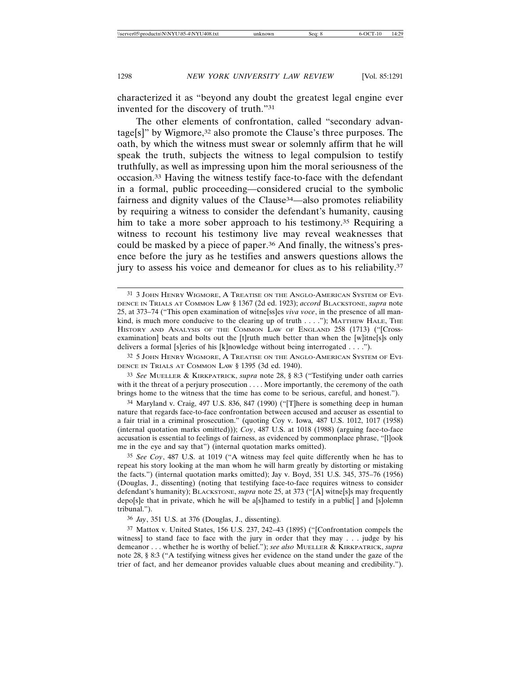characterized it as "beyond any doubt the greatest legal engine ever invented for the discovery of truth."31

The other elements of confrontation, called "secondary advantage[s]" by Wigmore,32 also promote the Clause's three purposes. The oath, by which the witness must swear or solemnly affirm that he will speak the truth, subjects the witness to legal compulsion to testify truthfully, as well as impressing upon him the moral seriousness of the occasion.33 Having the witness testify face-to-face with the defendant in a formal, public proceeding—considered crucial to the symbolic fairness and dignity values of the Clause34—also promotes reliability by requiring a witness to consider the defendant's humanity, causing him to take a more sober approach to his testimony.<sup>35</sup> Requiring a witness to recount his testimony live may reveal weaknesses that could be masked by a piece of paper.36 And finally, the witness's presence before the jury as he testifies and answers questions allows the jury to assess his voice and demeanor for clues as to his reliability.<sup>37</sup>

32 5 JOHN HENRY WIGMORE, A TREATISE ON THE ANGLO-AMERICAN SYSTEM OF EVI-DENCE IN TRIALS AT COMMON LAW § 1395 (3d ed. 1940).

33 *See* MUELLER & KIRKPATRICK, *supra* note 28, § 8:3 ("Testifying under oath carries with it the threat of a perjury prosecution . . . . More importantly, the ceremony of the oath brings home to the witness that the time has come to be serious, careful, and honest.").

34 Maryland v. Craig, 497 U.S. 836, 847 (1990) ("[T]here is something deep in human nature that regards face-to-face confrontation between accused and accuser as essential to a fair trial in a criminal prosecution." (quoting Coy v. Iowa*,* 487 U.S. 1012, 1017 (1958) (internal quotation marks omitted))); *Coy*, 487 U.S. at 1018 (1988) (arguing face-to-face accusation is essential to feelings of fairness, as evidenced by commonplace phrase, "[l]ook me in the eye and say that") (internal quotation marks omitted).

35 *See Coy*, 487 U.S. at 1019 ("A witness may feel quite differently when he has to repeat his story looking at the man whom he will harm greatly by distorting or mistaking the facts.") (internal quotation marks omitted); Jay v. Boyd, 351 U.S. 345, 375–76 (1956) (Douglas, J., dissenting) (noting that testifying face-to-face requires witness to consider defendant's humanity); BLACKSTONE, *supra* note 25, at 373 ("[A] witne[s]s may frequently depo[s]e that in private, which he will be a[s]hamed to testify in a public[ ] and [s]olemn tribunal.").

36 *Jay*, 351 U.S. at 376 (Douglas, J., dissenting).

37 Mattox v. United States, 156 U.S. 237, 242–43 (1895) ("[Confrontation compels the witness] to stand face to face with the jury in order that they may . . . judge by his demeanor . . . whether he is worthy of belief."); *see also* MUELLER & KIRKPATRICK, *supra* note 28, § 8:3 ("A testifying witness gives her evidence on the stand under the gaze of the trier of fact, and her demeanor provides valuable clues about meaning and credibility.").

<sup>31</sup> 3 JOHN HENRY WIGMORE, A TREATISE ON THE ANGLO-AMERICAN SYSTEM OF EVI-DENCE IN TRIALS AT COMMON LAW § 1367 (2d ed. 1923); *accord* BLACKSTONE, *supra* note 25, at 373–74 ("This open examination of witne[ss]es *viva voce*, in the presence of all mankind, is much more conducive to the clearing up of truth  $\dots$ ."); MATTHEW HALE, THE HISTORY AND ANALYSIS OF THE COMMON LAW OF ENGLAND 258 (1713) ("[Crossexamination] beats and bolts out the [t]ruth much better than when the [w]itne[s]s only delivers a formal [s]eries of his [k]nowledge without being interrogated . . . .").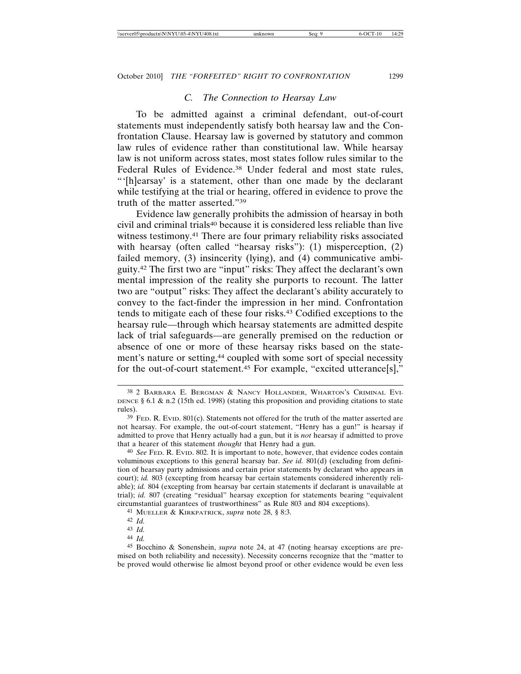### *C. The Connection to Hearsay Law*

To be admitted against a criminal defendant, out-of-court statements must independently satisfy both hearsay law and the Confrontation Clause. Hearsay law is governed by statutory and common law rules of evidence rather than constitutional law. While hearsay law is not uniform across states, most states follow rules similar to the Federal Rules of Evidence.<sup>38</sup> Under federal and most state rules, "'[h]earsay' is a statement, other than one made by the declarant while testifying at the trial or hearing, offered in evidence to prove the truth of the matter asserted."39

Evidence law generally prohibits the admission of hearsay in both civil and criminal trials40 because it is considered less reliable than live witness testimony.41 There are four primary reliability risks associated with hearsay (often called "hearsay risks"): (1) misperception, (2) failed memory, (3) insincerity (lying), and (4) communicative ambiguity.42 The first two are "input" risks: They affect the declarant's own mental impression of the reality she purports to recount. The latter two are "output" risks: They affect the declarant's ability accurately to convey to the fact-finder the impression in her mind. Confrontation tends to mitigate each of these four risks.43 Codified exceptions to the hearsay rule—through which hearsay statements are admitted despite lack of trial safeguards—are generally premised on the reduction or absence of one or more of these hearsay risks based on the statement's nature or setting,<sup>44</sup> coupled with some sort of special necessity for the out-of-court statement.45 For example, "excited utterance[s],"

<sup>38</sup> 2 BARBARA E. BERGMAN & NANCY HOLLANDER, WHARTON'S CRIMINAL EVI-DENCE § 6.1 & n.2 (15th ed. 1998) (stating this proposition and providing citations to state rules).

 $39$  Fed. R. Evid.  $801(c)$ . Statements not offered for the truth of the matter asserted are not hearsay. For example, the out-of-court statement, "Henry has a gun!" is hearsay if admitted to prove that Henry actually had a gun, but it is *not* hearsay if admitted to prove that a hearer of this statement *thought* that Henry had a gun.

<sup>40</sup> *See* FED. R. EVID. 802. It is important to note, however, that evidence codes contain voluminous exceptions to this general hearsay bar. *See id.* 801(d) (excluding from definition of hearsay party admissions and certain prior statements by declarant who appears in court); *id.* 803 (excepting from hearsay bar certain statements considered inherently reliable); *id.* 804 (excepting from hearsay bar certain statements if declarant is unavailable at trial); *id.* 807 (creating "residual" hearsay exception for statements bearing "equivalent circumstantial guarantees of trustworthiness" as Rule 803 and 804 exceptions).

<sup>41</sup> MUELLER & KIRKPATRICK, *supra* note 28, § 8:3.

<sup>42</sup> *Id.*

<sup>43</sup> *Id.*

<sup>44</sup> *Id.*

<sup>45</sup> Bocchino & Sonenshein, *supra* note 24, at 47 (noting hearsay exceptions are premised on both reliability and necessity). Necessity concerns recognize that the "matter to be proved would otherwise lie almost beyond proof or other evidence would be even less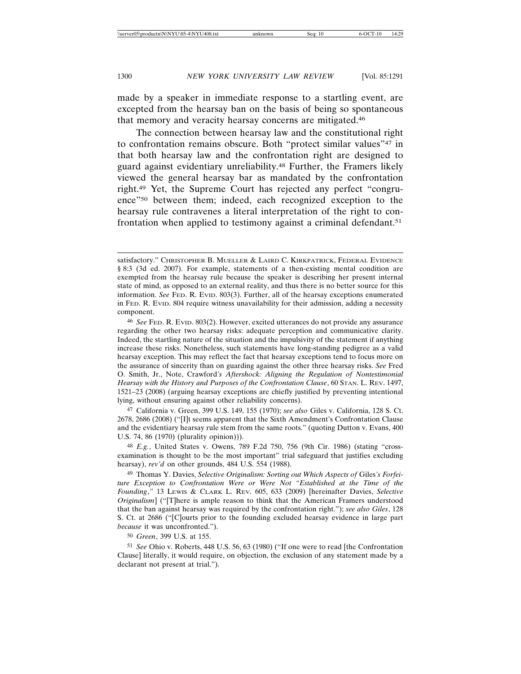made by a speaker in immediate response to a startling event, are excepted from the hearsay ban on the basis of being so spontaneous that memory and veracity hearsay concerns are mitigated.46

The connection between hearsay law and the constitutional right to confrontation remains obscure. Both "protect similar values"47 in that both hearsay law and the confrontation right are designed to guard against evidentiary unreliability.48 Further, the Framers likely viewed the general hearsay bar as mandated by the confrontation right.49 Yet, the Supreme Court has rejected any perfect "congruence"50 between them; indeed, each recognized exception to the hearsay rule contravenes a literal interpretation of the right to confrontation when applied to testimony against a criminal defendant.<sup>51</sup>

47 California v. Green, 399 U.S. 149, 155 (1970); *see also* Giles v. California, 128 S. Ct. 2678, 2686 (2008) ("[I]t seems apparent that the Sixth Amendment's Confrontation Clause and the evidentiary hearsay rule stem from the same roots." (quoting Dutton v. Evans, 400 U.S. 74, 86 (1970) (plurality opinion))).

48 *E.g.*, United States v. Owens, 789 F.2d 750, 756 (9th Cir. 1986) (stating "crossexamination is thought to be the most important" trial safeguard that justifies excluding hearsay), *rev'd* on other grounds, 484 U.S. 554 (1988).

49 Thomas Y. Davies, *Selective Originalism: Sorting out Which Aspects of* Giles*'s Forfeiture Exception to Confrontation Were or Were Not "Established at the Time of the Founding*,*"* 13 LEWIS & CLARK L. REV. 605, 633 (2009) [hereinafter Davies, *Selective Originalism*] ("[T]here is ample reason to think that the American Framers understood that the ban against hearsay was required by the confrontation right."); *see also Giles*, 128 S. Ct. at 2686 ("[C]ourts prior to the founding excluded hearsay evidence in large part *because* it was unconfronted.").

50 *Green*, 399 U.S. at 155.

51 *See* Ohio v. Roberts, 448 U.S. 56, 63 (1980) ("If one were to read [the Confrontation Clause] literally, it would require, on objection, the exclusion of any statement made by a declarant not present at trial.").

satisfactory." CHRISTOPHER B. MUELLER & LAIRD C. KIRKPATRICK, FEDERAL EVIDENCE § 8:3 (3d ed. 2007). For example, statements of a then-existing mental condition are exempted from the hearsay rule because the speaker is describing her present internal state of mind, as opposed to an external reality, and thus there is no better source for this information. *See* FED. R. EVID. 803(3). Further, all of the hearsay exceptions enumerated in FED. R. EVID. 804 require witness unavailability for their admission, adding a necessity component.

<sup>46</sup> *See* FED. R. EVID. 803(2). However, excited utterances do not provide any assurance regarding the other two hearsay risks: adequate perception and communicative clarity. Indeed, the startling nature of the situation and the impulsivity of the statement if anything increase these risks. Nonetheless, such statements have long-standing pedigree as a valid hearsay exception. This may reflect the fact that hearsay exceptions tend to focus more on the assurance of sincerity than on guarding against the other three hearsay risks. *See* Fred O. Smith, Jr., Note, Crawford*'s Aftershock: Aligning the Regulation of Nontestimonial Hearsay with the History and Purposes of the Confrontation Clause*, 60 STAN. L. REV. 1497, 1521–23 (2008) (arguing hearsay exceptions are chiefly justified by preventing intentional lying, without ensuring against other reliability concerns).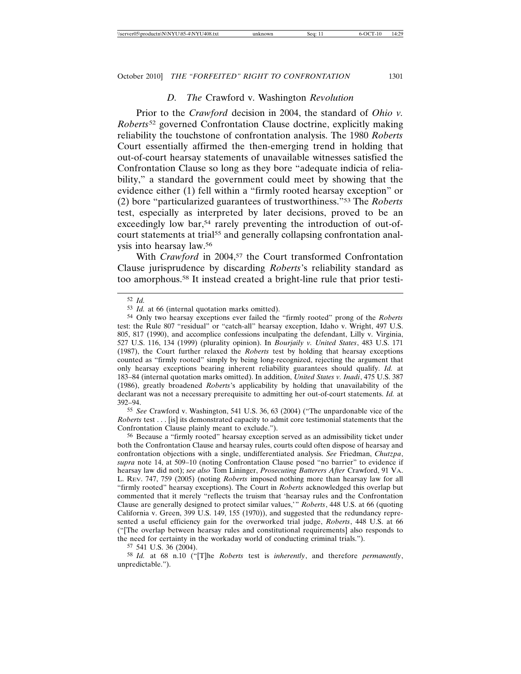#### *D. The* Crawford v. Washington *Revolution*

Prior to the *Crawford* decision in 2004, the standard of *Ohio v. Roberts*52 governed Confrontation Clause doctrine, explicitly making reliability the touchstone of confrontation analysis. The 1980 *Roberts* Court essentially affirmed the then-emerging trend in holding that out-of-court hearsay statements of unavailable witnesses satisfied the Confrontation Clause so long as they bore "adequate indicia of reliability," a standard the government could meet by showing that the evidence either (1) fell within a "firmly rooted hearsay exception" or (2) bore "particularized guarantees of trustworthiness."53 The *Roberts* test, especially as interpreted by later decisions, proved to be an exceedingly low bar,<sup>54</sup> rarely preventing the introduction of out-ofcourt statements at trial<sup>55</sup> and generally collapsing confrontation analysis into hearsay law.56

With *Crawford* in 2004,<sup>57</sup> the Court transformed Confrontation Clause jurisprudence by discarding *Roberts*'s reliability standard as too amorphous.58 It instead created a bright-line rule that prior testi-

55 *See* Crawford v. Washington, 541 U.S. 36, 63 (2004) ("The unpardonable vice of the *Roberts* test . . . [is] its demonstrated capacity to admit core testimonial statements that the Confrontation Clause plainly meant to exclude.").

57 541 U.S. 36 (2004).

58 *Id.* at 68 n.10 ("[T]he *Roberts* test is *inherently*, and therefore *permanently*, unpredictable.").

<sup>52</sup> *Id.*

<sup>53</sup> *Id.* at 66 (internal quotation marks omitted).

<sup>54</sup> Only two hearsay exceptions ever failed the "firmly rooted" prong of the *Roberts* test: the Rule 807 "residual" or "catch-all" hearsay exception, Idaho v. Wright, 497 U.S. 805, 817 (1990), and accomplice confessions inculpating the defendant, Lilly v. Virginia, 527 U.S. 116, 134 (1999) (plurality opinion). In *Bourjaily v. United States*, 483 U.S. 171 (1987), the Court further relaxed the *Roberts* test by holding that hearsay exceptions counted as "firmly rooted" simply by being long-recognized, rejecting the argument that only hearsay exceptions bearing inherent reliability guarantees should qualify. *Id.* at 183–84 (internal quotation marks omitted). In addition, *United States v. Inadi*, 475 U.S. 387 (1986), greatly broadened *Roberts*'s applicability by holding that unavailability of the declarant was not a necessary prerequisite to admitting her out-of-court statements. *Id.* at 392–94.

<sup>56</sup> Because a "firmly rooted" hearsay exception served as an admissibility ticket under both the Confrontation Clause and hearsay rules, courts could often dispose of hearsay and confrontation objections with a single, undifferentiated analysis. *See* Friedman, *Chutzpa*, *supra* note 14, at 509–10 (noting Confrontation Clause posed "no barrier" to evidence if hearsay law did not); *see also* Tom Lininger, *Prosecuting Batterers After* Crawford, 91 VA. L. REV. 747, 759 (2005) (noting *Roberts* imposed nothing more than hearsay law for all "firmly rooted" hearsay exceptions). The Court in *Roberts* acknowledged this overlap but commented that it merely "reflects the truism that 'hearsay rules and the Confrontation Clause are generally designed to protect similar values,'" *Roberts*, 448 U.S. at 66 (quoting California v. Green, 399 U.S. 149, 155 (1970)), and suggested that the redundancy represented a useful efficiency gain for the overworked trial judge, *Roberts*, 448 U.S. at 66 ("[The overlap between hearsay rules and constitutional requirements] also responds to the need for certainty in the workaday world of conducting criminal trials.").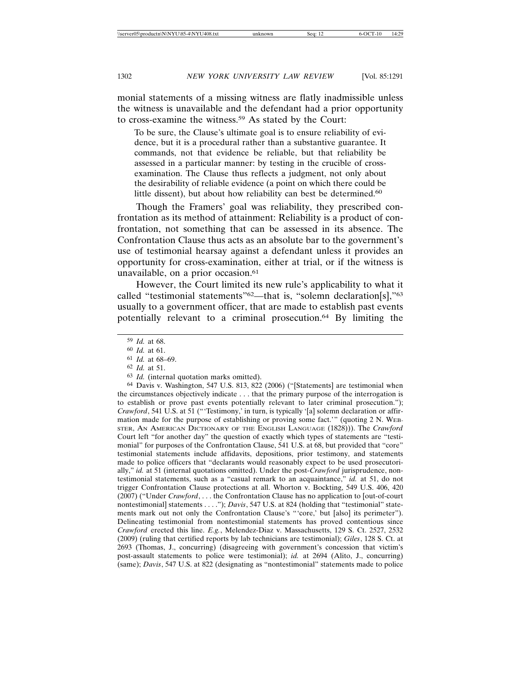monial statements of a missing witness are flatly inadmissible unless the witness is unavailable and the defendant had a prior opportunity to cross-examine the witness.59 As stated by the Court:

To be sure, the Clause's ultimate goal is to ensure reliability of evidence, but it is a procedural rather than a substantive guarantee. It commands, not that evidence be reliable, but that reliability be assessed in a particular manner: by testing in the crucible of crossexamination. The Clause thus reflects a judgment, not only about the desirability of reliable evidence (a point on which there could be little dissent), but about how reliability can best be determined.<sup>60</sup>

Though the Framers' goal was reliability, they prescribed confrontation as its method of attainment: Reliability is a product of confrontation, not something that can be assessed in its absence. The Confrontation Clause thus acts as an absolute bar to the government's use of testimonial hearsay against a defendant unless it provides an opportunity for cross-examination, either at trial, or if the witness is unavailable, on a prior occasion.<sup>61</sup>

However, the Court limited its new rule's applicability to what it called "testimonial statements"62—that is, "solemn declaration[s],"63 usually to a government officer, that are made to establish past events potentially relevant to a criminal prosecution.64 By limiting the

63 *Id.* (internal quotation marks omitted).

64 Davis v. Washington, 547 U.S. 813, 822 (2006) ("[Statements] are testimonial when the circumstances objectively indicate . . . that the primary purpose of the interrogation is to establish or prove past events potentially relevant to later criminal prosecution."); *Crawford*, 541 U.S. at 51 ("'Testimony,' in turn, is typically '[a] solemn declaration or affirmation made for the purpose of establishing or proving some fact.'" (quoting 2 N. WEB-STER, AN AMERICAN DICTIONARY OF THE ENGLISH LANGUAGE (1828))). The *Crawford* Court left "for another day" the question of exactly which types of statements are "testimonial" for purposes of the Confrontation Clause, 541 U.S. at 68, but provided that "core" testimonial statements include affidavits, depositions, prior testimony, and statements made to police officers that "declarants would reasonably expect to be used prosecutorially," *id.* at 51 (internal quotations omitted). Under the post-*Crawford* jurisprudence, nontestimonial statements, such as a "casual remark to an acquaintance," *id.* at 51, do not trigger Confrontation Clause protections at all. Whorton v. Bockting, 549 U.S. 406, 420 (2007) ("Under *Crawford*, . . . the Confrontation Clause has no application to [out-of-court nontestimonial] statements . . . ."); *Davis*, 547 U.S. at 824 (holding that "testimonial" statements mark out not only the Confrontation Clause's "'core,' but [also] its perimeter"). Delineating testimonial from nontestimonial statements has proved contentious since *Crawford* erected this line. *E.g.*, Melendez-Diaz v. Massachusetts, 129 S. Ct. 2527, 2532 (2009) (ruling that certified reports by lab technicians are testimonial); *Giles*, 128 S. Ct. at 2693 (Thomas, J., concurring) (disagreeing with government's concession that victim's post-assault statements to police were testimonial); *id.* at 2694 (Alito, J., concurring) (same); *Davis*, 547 U.S. at 822 (designating as "nontestimonial" statements made to police

<sup>59</sup> *Id.* at 68.

<sup>60</sup> *Id.* at 61.

<sup>61</sup> *Id.* at 68–69.

<sup>62</sup> *Id.* at 51.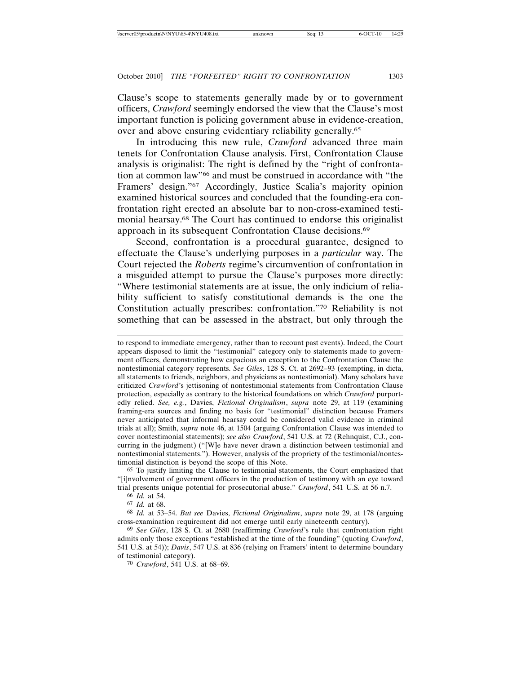Clause's scope to statements generally made by or to government officers, *Crawford* seemingly endorsed the view that the Clause's most important function is policing government abuse in evidence-creation, over and above ensuring evidentiary reliability generally.65

In introducing this new rule, *Crawford* advanced three main tenets for Confrontation Clause analysis. First, Confrontation Clause analysis is originalist: The right is defined by the "right of confrontation at common law"66 and must be construed in accordance with "the Framers' design."67 Accordingly, Justice Scalia's majority opinion examined historical sources and concluded that the founding-era confrontation right erected an absolute bar to non-cross-examined testimonial hearsay.68 The Court has continued to endorse this originalist approach in its subsequent Confrontation Clause decisions.69

Second, confrontation is a procedural guarantee, designed to effectuate the Clause's underlying purposes in a *particular* way. The Court rejected the *Roberts* regime's circumvention of confrontation in a misguided attempt to pursue the Clause's purposes more directly: "Where testimonial statements are at issue, the only indicium of reliability sufficient to satisfy constitutional demands is the one the Constitution actually prescribes: confrontation."70 Reliability is not something that can be assessed in the abstract, but only through the

to respond to immediate emergency, rather than to recount past events). Indeed, the Court appears disposed to limit the "testimonial" category only to statements made to government officers, demonstrating how capacious an exception to the Confrontation Clause the nontestimonial category represents. *See Giles*, 128 S. Ct. at 2692–93 (exempting, in dicta, all statements to friends, neighbors, and physicians as nontestimonial). Many scholars have criticized *Crawford*'s jettisoning of nontestimonial statements from Confrontation Clause protection, especially as contrary to the historical foundations on which *Crawford* purportedly relied. *See, e.g.*, Davies, *Fictional Originalism*, *supra* note 29, at 119 (examining framing-era sources and finding no basis for "testimonial" distinction because Framers never anticipated that informal hearsay could be considered valid evidence in criminal trials at all); Smith, *supra* note 46, at 1504 (arguing Confrontation Clause was intended to cover nontestimonial statements); *see also Crawford*, 541 U.S. at 72 (Rehnquist, C.J., concurring in the judgment) ("[W]e have never drawn a distinction between testimonial and nontestimonial statements."). However, analysis of the propriety of the testimonial/nontestimonial distinction is beyond the scope of this Note.

65 To justify limiting the Clause to testimonial statements, the Court emphasized that "[i]nvolvement of government officers in the production of testimony with an eye toward trial presents unique potential for prosecutorial abuse." *Crawford*, 541 U.S. at 56 n.7.

66 *Id.* at 54.

67 *Id.* at 68.

68 *Id.* at 53–54. *But see* Davies, *Fictional Originalism*, *supra* note 29, at 178 (arguing cross-examination requirement did not emerge until early nineteenth century).

69 *See Giles*, 128 S. Ct. at 2680 (reaffirming *Crawford*'s rule that confrontation right admits only those exceptions "established at the time of the founding" (quoting *Crawford*, 541 U.S. at 54)); *Davis*, 547 U.S. at 836 (relying on Framers' intent to determine boundary of testimonial category).

70 *Crawford*, 541 U.S. at 68–69.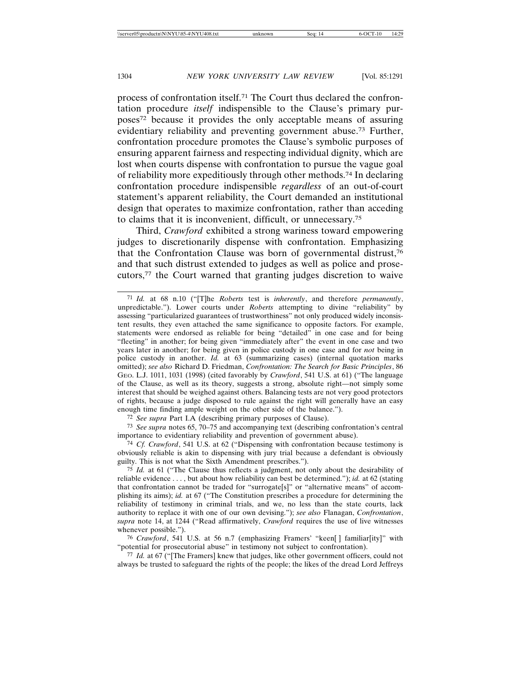process of confrontation itself.71 The Court thus declared the confrontation procedure *itself* indispensible to the Clause's primary purposes72 because it provides the only acceptable means of assuring evidentiary reliability and preventing government abuse.73 Further, confrontation procedure promotes the Clause's symbolic purposes of ensuring apparent fairness and respecting individual dignity, which are lost when courts dispense with confrontation to pursue the vague goal of reliability more expeditiously through other methods.74 In declaring confrontation procedure indispensible *regardless* of an out-of-court statement's apparent reliability, the Court demanded an institutional design that operates to maximize confrontation, rather than acceding to claims that it is inconvenient, difficult, or unnecessary.75

Third, *Crawford* exhibited a strong wariness toward empowering judges to discretionarily dispense with confrontation. Emphasizing that the Confrontation Clause was born of governmental distrust,76 and that such distrust extended to judges as well as police and prosecutors,77 the Court warned that granting judges discretion to waive

72 *See supra* Part I.A (describing primary purposes of Clause).

73 *See supra* notes 65, 70–75 and accompanying text (describing confrontation's central importance to evidentiary reliability and prevention of government abuse).

74 *Cf. Crawford*, 541 U.S. at 62 ("Dispensing with confrontation because testimony is obviously reliable is akin to dispensing with jury trial because a defendant is obviously guilty. This is not what the Sixth Amendment prescribes.").

75 *Id.* at 61 ("The Clause thus reflects a judgment, not only about the desirability of reliable evidence . . . , but about how reliability can best be determined."); *id.* at 62 (stating that confrontation cannot be traded for "surrogate[s]" or "alternative means" of accomplishing its aims); *id.* at 67 ("The Constitution prescribes a procedure for determining the reliability of testimony in criminal trials, and we, no less than the state courts, lack authority to replace it with one of our own devising."); *see also* Flanagan, *Confrontation*, *supra* note 14, at 1244 ("Read affirmatively, *Crawford* requires the use of live witnesses whenever possible.").

76 *Crawford*, 541 U.S. at 56 n.7 (emphasizing Framers' "keen[ ] familiar[ity]" with "potential for prosecutorial abuse" in testimony not subject to confrontation).

77 *Id.* at 67 ("[The Framers] knew that judges, like other government officers, could not always be trusted to safeguard the rights of the people; the likes of the dread Lord Jeffreys

<sup>71</sup> *Id.* at 68 n.10 ("[T]he *Roberts* test is *inherently*, and therefore *permanently*, unpredictable."). Lower courts under *Roberts* attempting to divine "reliability" by assessing "particularized guarantees of trustworthiness" not only produced widely inconsistent results, they even attached the same significance to opposite factors. For example, statements were endorsed as reliable for being "detailed" in one case and for being "fleeting" in another; for being given "immediately after" the event in one case and two years later in another; for being given in police custody in one case and for *not* being in police custody in another. *Id.* at 63 (summarizing cases) (internal quotation marks omitted); *see also* Richard D. Friedman, *Confrontation: The Search for Basic Principles*, 86 GEO. L.J. 1011, 1031 (1998) (cited favorably by *Crawford*, 541 U.S. at 61) ("The language of the Clause, as well as its theory, suggests a strong, absolute right—not simply some interest that should be weighed against others. Balancing tests are not very good protectors of rights, because a judge disposed to rule against the right will generally have an easy enough time finding ample weight on the other side of the balance.").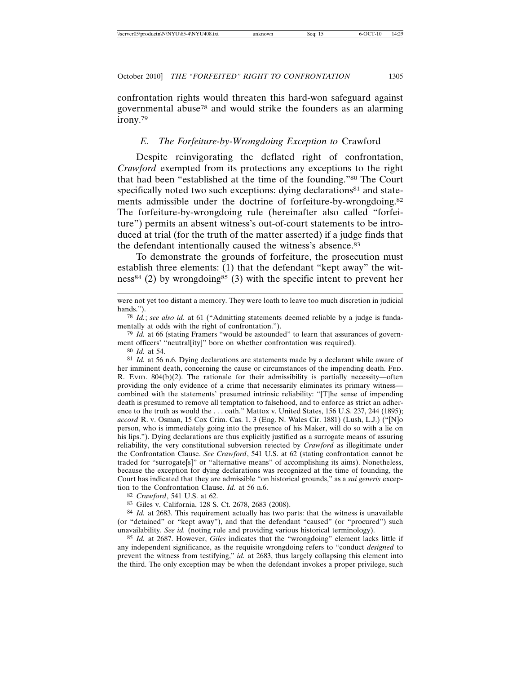confrontation rights would threaten this hard-won safeguard against governmental abuse78 and would strike the founders as an alarming irony.79

### *E. The Forfeiture-by-Wrongdoing Exception to* Crawford

Despite reinvigorating the deflated right of confrontation, *Crawford* exempted from its protections any exceptions to the right that had been "established at the time of the founding."80 The Court specifically noted two such exceptions: dying declarations<sup>81</sup> and statements admissible under the doctrine of forfeiture-by-wrongdoing.82 The forfeiture-by-wrongdoing rule (hereinafter also called "forfeiture") permits an absent witness's out-of-court statements to be introduced at trial (for the truth of the matter asserted) if a judge finds that the defendant intentionally caused the witness's absence.<sup>83</sup>

To demonstrate the grounds of forfeiture, the prosecution must establish three elements: (1) that the defendant "kept away" the witness<sup>84</sup> (2) by wrongdoing<sup>85</sup> (3) with the specific intent to prevent her

79 *Id.* at 66 (stating Framers "would be astounded" to learn that assurances of government officers' "neutral[ity]" bore on whether confrontation was required).

80 *Id.* at 54.

81 *Id.* at 56 n.6. Dying declarations are statements made by a declarant while aware of her imminent death, concerning the cause or circumstances of the impending death. FED. R. EVID.  $804(b)(2)$ . The rationale for their admissibility is partially necessity—often providing the only evidence of a crime that necessarily eliminates its primary witness combined with the statements' presumed intrinsic reliability: "[T]he sense of impending death is presumed to remove all temptation to falsehood, and to enforce as strict an adherence to the truth as would the ... oath." Mattox v. United States, 156 U.S. 237, 244 (1895); *accord* R. v. Osman, 15 Cox Crim. Cas. 1, 3 (Eng. N. Wales Cir. 1881) (Lush, L.J.) ("[N]o person, who is immediately going into the presence of his Maker, will do so with a lie on his lips."). Dying declarations are thus explicitly justified as a surrogate means of assuring reliability, the very constitutional subversion rejected by *Crawford* as illegitimate under the Confrontation Clause. *See Crawford*, 541 U.S. at 62 (stating confrontation cannot be traded for "surrogate[s]" or "alternative means" of accomplishing its aims). Nonetheless, because the exception for dying declarations was recognized at the time of founding, the Court has indicated that they are admissible "on historical grounds," as a *sui generis* exception to the Confrontation Clause. *Id.* at 56 n.6.

82 *Crawford*, 541 U.S. at 62.

83 Giles v. California, 128 S. Ct. 2678, 2683 (2008).

84 *Id.* at 2683. This requirement actually has two parts: that the witness is unavailable (or "detained" or "kept away"), and that the defendant "caused" (or "procured") such unavailability. *See id.* (noting rule and providing various historical terminology).

85 *Id.* at 2687. However, *Giles* indicates that the "wrongdoing" element lacks little if any independent significance, as the requisite wrongdoing refers to "conduct *designed* to prevent the witness from testifying," *id.* at 2683, thus largely collapsing this element into the third. The only exception may be when the defendant invokes a proper privilege, such

were not yet too distant a memory. They were loath to leave too much discretion in judicial hands.").

<sup>78</sup> *Id.*; *see also id.* at 61 ("Admitting statements deemed reliable by a judge is fundamentally at odds with the right of confrontation.").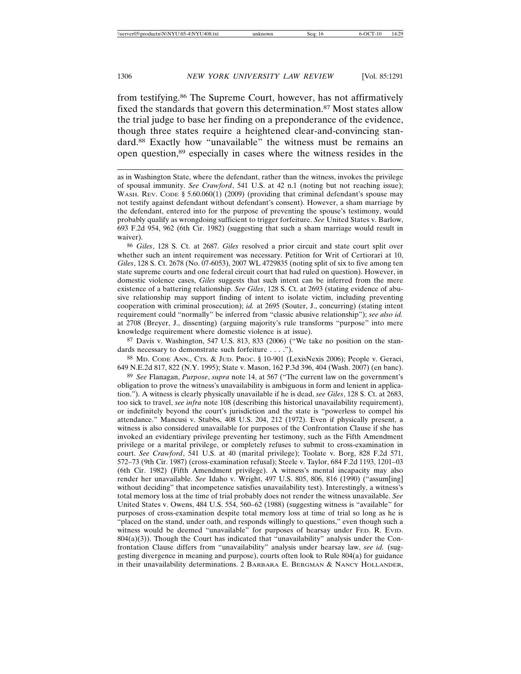from testifying.86 The Supreme Court, however, has not affirmatively fixed the standards that govern this determination.<sup>87</sup> Most states allow the trial judge to base her finding on a preponderance of the evidence, though three states require a heightened clear-and-convincing standard.88 Exactly how "unavailable" the witness must be remains an open question,89 especially in cases where the witness resides in the

86 *Giles*, 128 S. Ct. at 2687. *Giles* resolved a prior circuit and state court split over whether such an intent requirement was necessary. Petition for Writ of Certiorari at 10, *Giles*, 128 S. Ct. 2678 (No. 07-6053), 2007 WL 4729835 (noting split of six to five among ten state supreme courts and one federal circuit court that had ruled on question). However, in domestic violence cases, *Giles* suggests that such intent can be inferred from the mere existence of a battering relationship. *See Giles*, 128 S. Ct. at 2693 (stating evidence of abusive relationship may support finding of intent to isolate victim, including preventing cooperation with criminal prosecution); *id.* at 2695 (Souter, J., concurring) (stating intent requirement could "normally" be inferred from "classic abusive relationship"); *see also id.* at 2708 (Breyer, J., dissenting) (arguing majority's rule transforms "purpose" into mere knowledge requirement where domestic violence is at issue).

87 Davis v. Washington, 547 U.S. 813, 833 (2006) ("We take no position on the standards necessary to demonstrate such forfeiture . . . .").

88 MD. CODE ANN., CTS. & JUD. PROC. § 10-901 (LexisNexis 2006); People v. Geraci, 649 N.E.2d 817, 822 (N.Y. 1995); State v. Mason, 162 P.3d 396, 404 (Wash. 2007) (en banc).

89 *See* Flanagan, *Purpose*, *supra* note 14, at 567 ("The current law on the government's obligation to prove the witness's unavailability is ambiguous in form and lenient in application."). A witness is clearly physically unavailable if he is dead, *see Giles*, 128 S. Ct. at 2683, too sick to travel, *see infra* note 108 (describing this historical unavailability requirement), or indefinitely beyond the court's jurisdiction and the state is "powerless to compel his attendance." Mancusi v. Stubbs, 408 U.S. 204, 212 (1972). Even if physically present, a witness is also considered unavailable for purposes of the Confrontation Clause if she has invoked an evidentiary privilege preventing her testimony, such as the Fifth Amendment privilege or a marital privilege, or completely refuses to submit to cross-examination in court. *See Crawford*, 541 U.S. at 40 (marital privilege); Toolate v. Borg, 828 F.2d 571, 572–73 (9th Cir. 1987) (cross-examination refusal); Steele v. Taylor, 684 F.2d 1193, 1201–03 (6th Cir. 1982) (Fifth Amendment privilege). A witness's mental incapacity may also render her unavailable. *See* Idaho v. Wright, 497 U.S. 805, 806, 816 (1990) ("assum[ing] without deciding" that incompetence satisfies unavailability test). Interestingly, a witness's total memory loss at the time of trial probably does not render the witness unavailable. *See* United States v. Owens, 484 U.S. 554, 560–62 (1988) (suggesting witness is "available" for purposes of cross-examination despite total memory loss at time of trial so long as he is "placed on the stand, under oath, and responds willingly to questions," even though such a witness would be deemed "unavailable" for purposes of hearsay under FED. R. EVID.  $804(a)(3)$ ). Though the Court has indicated that "unavailability" analysis under the Confrontation Clause differs from "unavailability" analysis under hearsay law, *see id.* (suggesting divergence in meaning and purpose), courts often look to Rule 804(a) for guidance in their unavailability determinations. 2 BARBARA E. BERGMAN & NANCY HOLLANDER,

as in Washington State, where the defendant, rather than the witness, invokes the privilege of spousal immunity. *See Crawford*, 541 U.S. at 42 n.1 (noting but not reaching issue); WASH. REV. CODE  $\S$  5.60.060(1) (2009) (providing that criminal defendant's spouse may not testify against defendant without defendant's consent). However, a sham marriage by the defendant, entered into for the purpose of preventing the spouse's testimony, would probably qualify as wrongdoing sufficient to trigger forfeiture. *See* United States v. Barlow, 693 F.2d 954, 962 (6th Cir. 1982) (suggesting that such a sham marriage would result in waiver).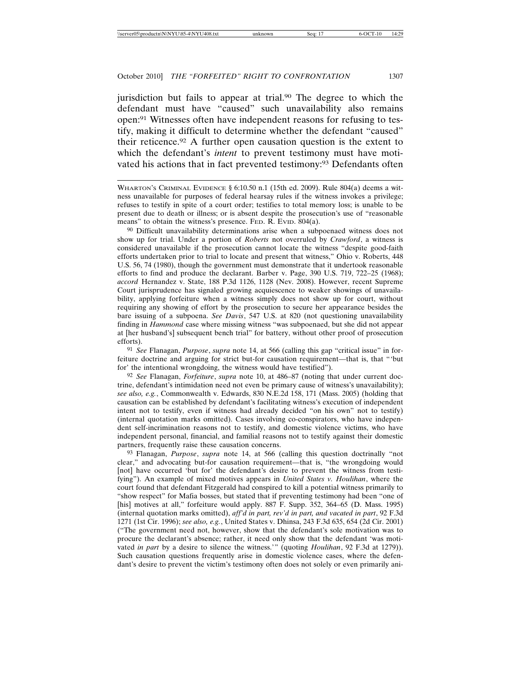jurisdiction but fails to appear at trial.90 The degree to which the defendant must have "caused" such unavailability also remains open:91 Witnesses often have independent reasons for refusing to testify, making it difficult to determine whether the defendant "caused" their reticence.92 A further open causation question is the extent to which the defendant's *intent* to prevent testimony must have motivated his actions that in fact prevented testimony:<sup>93</sup> Defendants often

90 Difficult unavailability determinations arise when a subpoenaed witness does not show up for trial. Under a portion of *Roberts* not overruled by *Crawford*, a witness is considered unavailable if the prosecution cannot locate the witness "despite good-faith efforts undertaken prior to trial to locate and present that witness," Ohio v. Roberts, 448 U.S. 56, 74 (1980), though the government must demonstrate that it undertook reasonable efforts to find and produce the declarant. Barber v. Page, 390 U.S. 719, 722–25 (1968); *accord* Hernandez v. State, 188 P.3d 1126, 1128 (Nev. 2008). However, recent Supreme Court jurisprudence has signaled growing acquiescence to weaker showings of unavailability, applying forfeiture when a witness simply does not show up for court, without requiring any showing of effort by the prosecution to secure her appearance besides the bare issuing of a subpoena. *See Davis*, 547 U.S. at 820 (not questioning unavailability finding in *Hammond* case where missing witness "was subpoenaed, but she did not appear at [her husband's] subsequent bench trial" for battery, without other proof of prosecution efforts).

91 *See* Flanagan, *Purpose*, *supra* note 14, at 566 (calling this gap "critical issue" in forfeiture doctrine and arguing for strict but-for causation requirement—that is, that "'but for' the intentional wrongdoing, the witness would have testified").

92 *See* Flanagan, *Forfeiture*, *supra* note 10, at 486–87 (noting that under current doctrine, defendant's intimidation need not even be primary cause of witness's unavailability); *see also, e.g.*, Commonwealth v. Edwards, 830 N.E.2d 158, 171 (Mass. 2005) (holding that causation can be established by defendant's facilitating witness's execution of independent intent not to testify, even if witness had already decided "on his own" not to testify) (internal quotation marks omitted). Cases involving co-conspirators, who have independent self-incrimination reasons not to testify, and domestic violence victims, who have independent personal, financial, and familial reasons not to testify against their domestic partners, frequently raise these causation concerns.

93 Flanagan, *Purpose*, *supra* note 14, at 566 (calling this question doctrinally "not clear," and advocating but-for causation requirement—that is, "the wrongdoing would [not] have occurred 'but for' the defendant's desire to prevent the witness from testifying"). An example of mixed motives appears in *United States v. Houlihan*, where the court found that defendant Fitzgerald had conspired to kill a potential witness primarily to "show respect" for Mafia bosses, but stated that if preventing testimony had been "one of [his] motives at all," forfeiture would apply. 887 F. Supp. 352, 364-65 (D. Mass. 1995) (internal quotation marks omitted), *aff'd in part, rev'd in part, and vacated in part*, 92 F.3d 1271 (1st Cir. 1996); *see also, e.g.*, United States v. Dhinsa, 243 F.3d 635, 654 (2d Cir. 2001) ("The government need not, however, show that the defendant's sole motivation was to procure the declarant's absence; rather, it need only show that the defendant 'was motivated *in part* by a desire to silence the witness.'" (quoting *Houlihan*, 92 F.3d at 1279)). Such causation questions frequently arise in domestic violence cases, where the defendant's desire to prevent the victim's testimony often does not solely or even primarily ani-

WHARTON'S CRIMINAL EVIDENCE § 6:10.50 n.1 (15th ed. 2009). Rule 804(a) deems a witness unavailable for purposes of federal hearsay rules if the witness invokes a privilege; refuses to testify in spite of a court order; testifies to total memory loss; is unable to be present due to death or illness; or is absent despite the prosecution's use of "reasonable means" to obtain the witness's presence. FED. R. EVID. 804(a).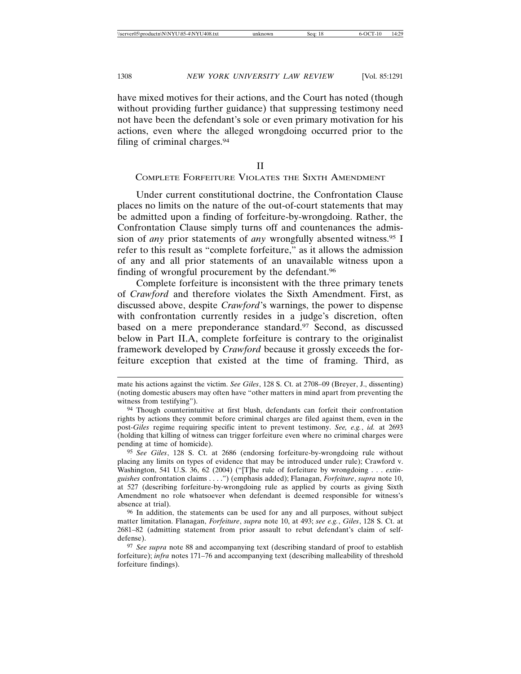have mixed motives for their actions, and the Court has noted (though without providing further guidance) that suppressing testimony need not have been the defendant's sole or even primary motivation for his actions, even where the alleged wrongdoing occurred prior to the filing of criminal charges.94

II

# COMPLETE FORFEITURE VIOLATES THE SIXTH AMENDMENT

Under current constitutional doctrine, the Confrontation Clause places no limits on the nature of the out-of-court statements that may be admitted upon a finding of forfeiture-by-wrongdoing. Rather, the Confrontation Clause simply turns off and countenances the admission of *any* prior statements of *any* wrongfully absented witness.95 I refer to this result as "complete forfeiture," as it allows the admission of any and all prior statements of an unavailable witness upon a finding of wrongful procurement by the defendant.<sup>96</sup>

Complete forfeiture is inconsistent with the three primary tenets of *Crawford* and therefore violates the Sixth Amendment. First, as discussed above, despite *Crawford*'s warnings, the power to dispense with confrontation currently resides in a judge's discretion, often based on a mere preponderance standard.<sup>97</sup> Second, as discussed below in Part II.A, complete forfeiture is contrary to the originalist framework developed by *Crawford* because it grossly exceeds the forfeiture exception that existed at the time of framing. Third, as

96 In addition, the statements can be used for any and all purposes, without subject matter limitation. Flanagan, *Forfeiture*, *supra* note 10, at 493; *see e.g.*, *Giles*, 128 S. Ct. at 2681–82 (admitting statement from prior assault to rebut defendant's claim of selfdefense).

mate his actions against the victim. *See Giles*, 128 S. Ct. at 2708–09 (Breyer, J., dissenting) (noting domestic abusers may often have "other matters in mind apart from preventing the witness from testifying").

<sup>94</sup> Though counterintuitive at first blush, defendants can forfeit their confrontation rights by actions they commit before criminal charges are filed against them, even in the post-*Giles* regime requiring specific intent to prevent testimony. *See, e.g.*, *id.* at 2693 (holding that killing of witness can trigger forfeiture even where no criminal charges were pending at time of homicide).

<sup>95</sup> *See Giles*, 128 S. Ct. at 2686 (endorsing forfeiture-by-wrongdoing rule without placing any limits on types of evidence that may be introduced under rule); Crawford v. Washington, 541 U.S. 36, 62 (2004) ("[T]he rule of forfeiture by wrongdoing . . . *extinguishes* confrontation claims . . . .") (emphasis added); Flanagan, *Forfeiture*, *supra* note 10, at 527 (describing forfeiture-by-wrongdoing rule as applied by courts as giving Sixth Amendment no role whatsoever when defendant is deemed responsible for witness's absence at trial).

<sup>97</sup> *See supra* note 88 and accompanying text (describing standard of proof to establish forfeiture); *infra* notes 171–76 and accompanying text (describing malleability of threshold forfeiture findings).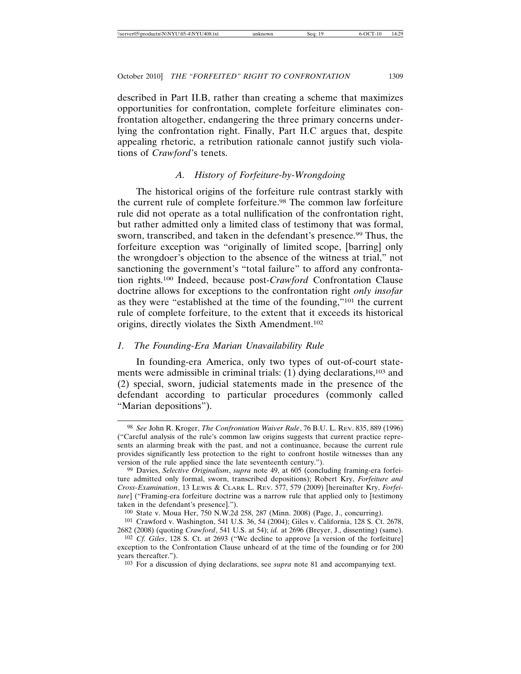described in Part II.B, rather than creating a scheme that maximizes opportunities for confrontation, complete forfeiture eliminates confrontation altogether, endangering the three primary concerns underlying the confrontation right. Finally, Part II.C argues that, despite appealing rhetoric, a retribution rationale cannot justify such violations of *Crawford*'s tenets.

# *A. History of Forfeiture-by-Wrongdoing*

The historical origins of the forfeiture rule contrast starkly with the current rule of complete forfeiture.<sup>98</sup> The common law forfeiture rule did not operate as a total nullification of the confrontation right, but rather admitted only a limited class of testimony that was formal, sworn, transcribed, and taken in the defendant's presence.<sup>99</sup> Thus, the forfeiture exception was "originally of limited scope, [barring] only the wrongdoer's objection to the absence of the witness at trial," not sanctioning the government's "total failure" to afford any confrontation rights.100 Indeed, because post-*Crawford* Confrontation Clause doctrine allows for exceptions to the confrontation right *only insofar* as they were "established at the time of the founding,"101 the current rule of complete forfeiture, to the extent that it exceeds its historical origins, directly violates the Sixth Amendment.102

# *1. The Founding-Era Marian Unavailability Rule*

In founding-era America, only two types of out-of-court statements were admissible in criminal trials: (1) dying declarations,<sup>103</sup> and (2) special, sworn, judicial statements made in the presence of the defendant according to particular procedures (commonly called "Marian depositions").

<sup>98</sup> *See* John R. Kroger, *The Confrontation Waiver Rule*, 76 B.U. L. REV. 835, 889 (1996) ("Careful analysis of the rule's common law origins suggests that current practice represents an alarming break with the past, and not a continuance, because the current rule provides significantly less protection to the right to confront hostile witnesses than any version of the rule applied since the late seventeenth century.").

<sup>99</sup> Davies, *Selective Originalism*, *supra* note 49, at 605 (concluding framing-era forfeiture admitted only formal, sworn, transcribed depositions); Robert Kry, *Forfeiture and Cross-Examination*, 13 LEWIS & CLARK L. REV. 577, 579 (2009) [hereinafter Kry, *Forfeiture*] ("Framing-era forfeiture doctrine was a narrow rule that applied only to [testimony taken in the defendant's presence].").

<sup>100</sup> State v. Moua Her, 750 N.W.2d 258, 287 (Minn. 2008) (Page, J., concurring).

<sup>101</sup> Crawford v. Washington, 541 U.S. 36, 54 (2004); Giles v. California, 128 S. Ct. 2678, 2682 (2008) (quoting *Crawford*, 541 U.S. at 54); *id.* at 2696 (Breyer, J., dissenting) (same).

<sup>102</sup> *Cf. Giles*, 128 S. Ct. at 2693 ("We decline to approve [a version of the forfeiture] exception to the Confrontation Clause unheard of at the time of the founding or for 200 years thereafter.").

<sup>103</sup> For a discussion of dying declarations, see *supra* note 81 and accompanying text.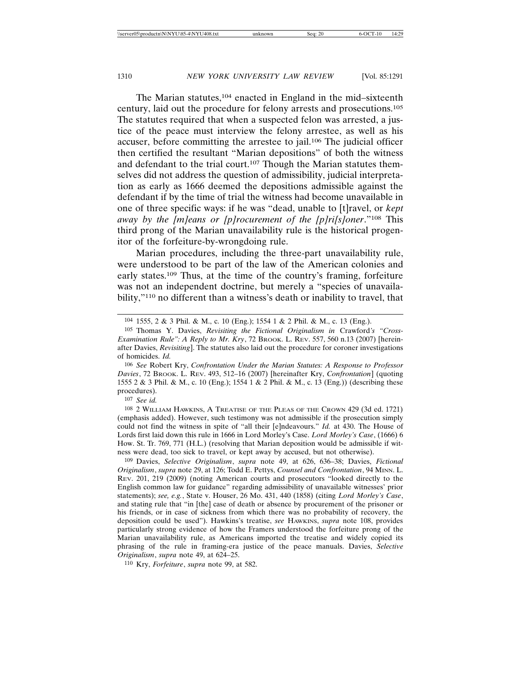The Marian statutes,<sup>104</sup> enacted in England in the mid–sixteenth century, laid out the procedure for felony arrests and prosecutions.105 The statutes required that when a suspected felon was arrested, a justice of the peace must interview the felony arrestee, as well as his accuser, before committing the arrestee to jail.106 The judicial officer then certified the resultant "Marian depositions" of both the witness and defendant to the trial court.<sup>107</sup> Though the Marian statutes themselves did not address the question of admissibility, judicial interpretation as early as 1666 deemed the depositions admissible against the defendant if by the time of trial the witness had become unavailable in one of three specific ways: if he was "dead, unable to [t]ravel, or *kept away by the [m]eans or [p]rocurement of the [p]ri[s]oner*."108 This third prong of the Marian unavailability rule is the historical progenitor of the forfeiture-by-wrongdoing rule.

Marian procedures, including the three-part unavailability rule, were understood to be part of the law of the American colonies and early states.109 Thus, at the time of the country's framing, forfeiture was not an independent doctrine, but merely a "species of unavailability,"110 no different than a witness's death or inability to travel, that

106 *See* Robert Kry, *Confrontation Under the Marian Statutes: A Response to Professor Davies*, 72 BROOK. L. REV. 493, 512–16 (2007) [hereinafter Kry, *Confrontation*] (quoting 1555 2 & 3 Phil. & M., c. 10 (Eng.); 1554 1 & 2 Phil. & M., c. 13 (Eng.)) (describing these procedures).

107 *See id.*

108 2 WILLIAM HAWKINS, A TREATISE OF THE PLEAS OF THE CROWN 429 (3d ed. 1721) (emphasis added). However, such testimony was not admissible if the prosecution simply could not find the witness in spite of "all their [e]ndeavours." *Id.* at 430. The House of Lords first laid down this rule in 1666 in Lord Morley's Case. *Lord Morley's Case*, (1666) 6 How. St. Tr. 769, 771 (H.L.) (resolving that Marian deposition would be admissible if witness were dead, too sick to travel, or kept away by accused, but not otherwise).

109 Davies, *Selective Originalism*, *supra* note 49, at 626, 636–38; Davies, *Fictional Originalism*, *supra* note 29, at 126; Todd E. Pettys, *Counsel and Confrontation*, 94 MINN. L. REV. 201, 219 (2009) (noting American courts and prosecutors "looked directly to the English common law for guidance" regarding admissibility of unavailable witnesses' prior statements); *see, e.g.*, State v. Houser, 26 Mo. 431, 440 (1858) (citing *Lord Morley's Case*, and stating rule that "in [the] case of death or absence by procurement of the prisoner or his friends, or in case of sickness from which there was no probability of recovery, the deposition could be used"). Hawkins's treatise, *see* HAWKINS, *supra* note 108, provides particularly strong evidence of how the Framers understood the forfeiture prong of the Marian unavailability rule, as Americans imported the treatise and widely copied its phrasing of the rule in framing-era justice of the peace manuals. Davies, *Selective Originalism*, *supra* note 49, at 624–25.

110 Kry, *Forfeiture*, *supra* note 99, at 582.

<sup>104</sup> 1555, 2 & 3 Phil. & M., c. 10 (Eng.); 1554 1 & 2 Phil. & M., c. 13 (Eng.).

<sup>105</sup> Thomas Y. Davies, *Revisiting the Fictional Originalism in* Crawford*'s "Cross-Examination Rule": A Reply to Mr. Kry*, 72 BROOK. L. REV. 557, 560 n.13 (2007) [hereinafter Davies, *Revisiting*]. The statutes also laid out the procedure for coroner investigations of homicides. *Id.*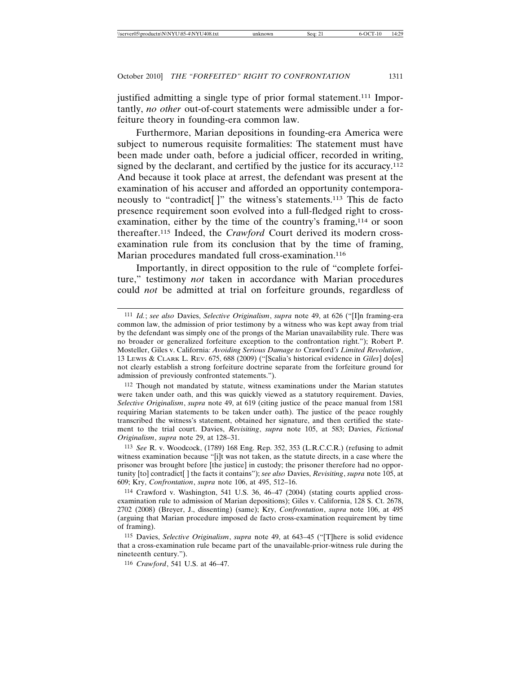justified admitting a single type of prior formal statement.111 Importantly, *no other* out-of-court statements were admissible under a forfeiture theory in founding-era common law.

Furthermore, Marian depositions in founding-era America were subject to numerous requisite formalities: The statement must have been made under oath, before a judicial officer, recorded in writing, signed by the declarant, and certified by the justice for its accuracy.<sup>112</sup> And because it took place at arrest, the defendant was present at the examination of his accuser and afforded an opportunity contemporaneously to "contradict[]" the witness's statements.<sup>113</sup> This de facto presence requirement soon evolved into a full-fledged right to crossexamination, either by the time of the country's framing,<sup>114</sup> or soon thereafter.115 Indeed, the *Crawford* Court derived its modern crossexamination rule from its conclusion that by the time of framing, Marian procedures mandated full cross-examination.<sup>116</sup>

Importantly, in direct opposition to the rule of "complete forfeiture," testimony *not* taken in accordance with Marian procedures could *not* be admitted at trial on forfeiture grounds, regardless of

<sup>111</sup> *Id.*; *see also* Davies, *Selective Originalism*, *supra* note 49, at 626 ("[I]n framing-era common law, the admission of prior testimony by a witness who was kept away from trial by the defendant was simply one of the prongs of the Marian unavailability rule. There was no broader or generalized forfeiture exception to the confrontation right."); Robert P. Mosteller, Giles v. California*: Avoiding Serious Damage to* Crawford*'s Limited Revolution*, 13 LEWIS & CLARK L. REV. 675, 688 (2009) ("[Scalia's historical evidence in *Giles*] do[es] not clearly establish a strong forfeiture doctrine separate from the forfeiture ground for admission of previously confronted statements.").

<sup>112</sup> Though not mandated by statute, witness examinations under the Marian statutes were taken under oath, and this was quickly viewed as a statutory requirement. Davies, *Selective Originalism*, *supra* note 49, at 619 (citing justice of the peace manual from 1581 requiring Marian statements to be taken under oath). The justice of the peace roughly transcribed the witness's statement, obtained her signature, and then certified the statement to the trial court. Davies, *Revisiting*, *supra* note 105, at 583; Davies, *Fictional Originalism*, *supra* note 29, at 128–31.

<sup>113</sup> *See* R. v. Woodcock, (1789) 168 Eng. Rep. 352, 353 (L.R.C.C.R.) (refusing to admit witness examination because "[i]t was not taken, as the statute directs, in a case where the prisoner was brought before [the justice] in custody; the prisoner therefore had no opportunity [to] contradict[ ] the facts it contains"); *see also* Davies, *Revisiting*, *supra* note 105, at 609; Kry, *Confrontation*, *supra* note 106, at 495, 512–16.

<sup>114</sup> Crawford v. Washington, 541 U.S. 36, 46–47 (2004) (stating courts applied crossexamination rule to admission of Marian depositions); Giles v. California, 128 S. Ct. 2678, 2702 (2008) (Breyer, J., dissenting) (same); Kry, *Confrontation*, *supra* note 106, at 495 (arguing that Marian procedure imposed de facto cross-examination requirement by time of framing).

<sup>115</sup> Davies, *Selective Originalism*, *supra* note 49, at 643–45 ("[T]here is solid evidence that a cross-examination rule became part of the unavailable-prior-witness rule during the nineteenth century.").

<sup>116</sup> *Crawford*, 541 U.S. at 46–47.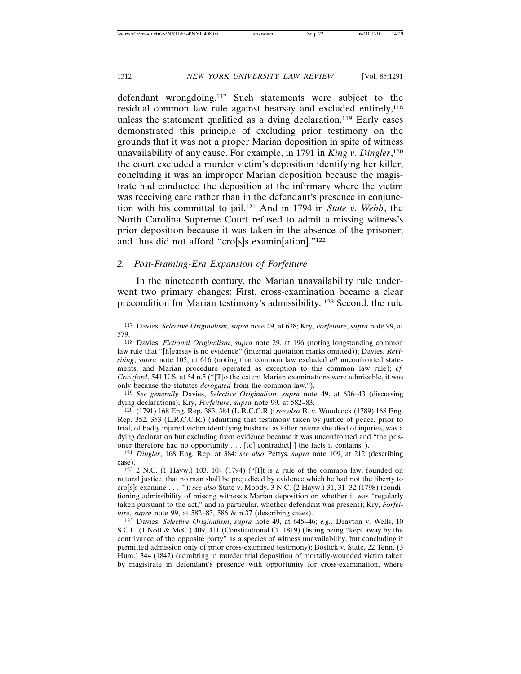defendant wrongdoing.117 Such statements were subject to the residual common law rule against hearsay and excluded entirely,<sup>118</sup> unless the statement qualified as a dying declaration.<sup>119</sup> Early cases demonstrated this principle of excluding prior testimony on the grounds that it was not a proper Marian deposition in spite of witness unavailability of any cause. For example, in 1791 in *King v. Dingler*, 120 the court excluded a murder victim's deposition identifying her killer, concluding it was an improper Marian deposition because the magistrate had conducted the deposition at the infirmary where the victim was receiving care rather than in the defendant's presence in conjunction with his committal to jail.121 And in 1794 in *State v. Webb*, the North Carolina Supreme Court refused to admit a missing witness's prior deposition because it was taken in the absence of the prisoner, and thus did not afford "cro[s]s examin[ation]."122

### *2. Post-Framing-Era Expansion of Forfeiture*

In the nineteenth century, the Marian unavailability rule underwent two primary changes: First, cross-examination became a clear precondition for Marian testimony's admissibility. 123 Second, the rule

119 *See generally* Davies, *Selective Originalism*, *supra* note 49, at 636–43 (discussing dying declarations); Kry, *Forfeiture*, *supra* note 99, at 582–83.

120 (1791) 168 Eng. Rep. 383, 384 (L.R.C.C.R.); *see also* R. v. Woodcock (1789) 168 Eng. Rep. 352, 353 (L.R.C.C.R.) (admitting that testimony taken by justice of peace, prior to trial, of badly injured victim identifying husband as killer before she died of injuries, was a dying declaration but excluding from evidence because it was unconfronted and "the prisoner therefore had no opportunity . . . [to] contradict[ ] the facts it contains").

121 *Dingler*, 168 Eng. Rep. at 384; *see also* Pettys, *supra* note 109, at 212 (describing case).

 $122$  2 N.C. (1 Hayw.) 103, 104 (1794) ("[I]t is a rule of the common law, founded on natural justice, that no man shall be prejudiced by evidence which he had not the liberty to cro[s]s examine . . . ."); *see also* State v. Moody, 3 N.C. (2 Hayw.) 31, 31–32 (1798) (conditioning admissibility of missing witness's Marian deposition on whether it was "regularly taken pursuant to the act," and in particular, whether defendant was present); Kry, *Forfeiture*, *supra* note 99, at 582–83, 586 & n.37 (describing cases).

123 Davies, *Selective Originalism*, *supra* note 49, at 645–46; *e.g.*, Drayton v. Wells, 10 S.C.L. (1 Nott & McC.) 409, 411 (Constitutional Ct. 1819) (listing being "kept away by the contrivance of the opposite party" as a species of witness unavailability, but concluding it permitted admission only of prior cross-examined testimony); Bostick v. State, 22 Tenn. (3 Hum.) 344 (1842) (admitting in murder trial deposition of mortally-wounded victim taken by magistrate in defendant's presence with opportunity for cross-examination, where

<sup>117</sup> Davies, *Selective Originalism*, *supra* note 49, at 638; Kry, *Forfeiture*, *supra* note 99, at 579.

<sup>118</sup> Davies, *Fictional Originalism*, *supra* note 29, at 196 (noting longstanding common law rule that "[h]earsay is no evidence" (internal quotation marks omitted)); Davies, *Revisiting*, *supra* note 105, at 616 (noting that common law excluded *all* unconfronted statements, and Marian procedure operated as exception to this common law rule); *cf. Crawford*, 541 U.S. at 54 n.5 ("[T]o the extent Marian examinations were admissible, it was only because the statutes *derogated* from the common law.").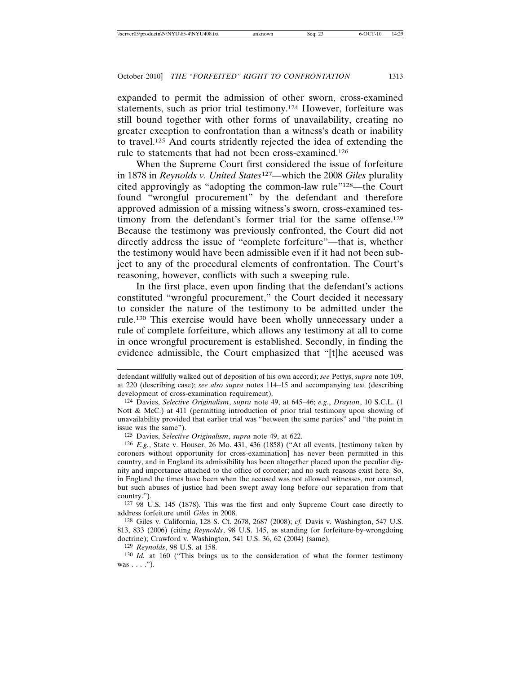expanded to permit the admission of other sworn, cross-examined statements, such as prior trial testimony.124 However, forfeiture was still bound together with other forms of unavailability, creating no greater exception to confrontation than a witness's death or inability to travel.125 And courts stridently rejected the idea of extending the rule to statements that had not been cross-examined.126

When the Supreme Court first considered the issue of forfeiture in 1878 in *Reynolds v. United States*127—which the 2008 *Giles* plurality cited approvingly as "adopting the common-law rule"128—the Court found "wrongful procurement" by the defendant and therefore approved admission of a missing witness's sworn, cross-examined testimony from the defendant's former trial for the same offense.<sup>129</sup> Because the testimony was previously confronted, the Court did not directly address the issue of "complete forfeiture"—that is, whether the testimony would have been admissible even if it had not been subject to any of the procedural elements of confrontation. The Court's reasoning, however, conflicts with such a sweeping rule.

In the first place, even upon finding that the defendant's actions constituted "wrongful procurement," the Court decided it necessary to consider the nature of the testimony to be admitted under the rule.130 This exercise would have been wholly unnecessary under a rule of complete forfeiture, which allows any testimony at all to come in once wrongful procurement is established. Secondly, in finding the evidence admissible, the Court emphasized that "[t]he accused was

127 98 U.S. 145 (1878). This was the first and only Supreme Court case directly to address forfeiture until *Giles* in 2008.

128 Giles v. California, 128 S. Ct. 2678, 2687 (2008); *cf.* Davis v. Washington, 547 U.S. 813, 833 (2006) (citing *Reynolds*, 98 U.S. 145, as standing for forfeiture-by-wrongdoing doctrine); Crawford v. Washington, 541 U.S. 36, 62 (2004) (same).

129 *Reynolds*, 98 U.S. at 158.

defendant willfully walked out of deposition of his own accord); *see* Pettys, *supra* note 109, at 220 (describing case); *see also supra* notes 114–15 and accompanying text (describing development of cross-examination requirement).

<sup>124</sup> Davies, *Selective Originalism*, *supra* note 49, at 645–46; *e.g.*, *Drayton*, 10 S.C.L. (1 Nott & McC.) at 411 (permitting introduction of prior trial testimony upon showing of unavailability provided that earlier trial was "between the same parties" and "the point in issue was the same").

<sup>125</sup> Davies, *Selective Originalism*, *supra* note 49, at 622.

<sup>126</sup> *E.g.*, State v. Houser, 26 Mo. 431, 436 (1858) ("At all events, [testimony taken by coroners without opportunity for cross-examination] has never been permitted in this country, and in England its admissibility has been altogether placed upon the peculiar dignity and importance attached to the office of coroner; and no such reasons exist here. So, in England the times have been when the accused was not allowed witnesses, nor counsel, but such abuses of justice had been swept away long before our separation from that country.").

<sup>130</sup> *Id.* at 160 ("This brings us to the consideration of what the former testimony was  $\dots$ .").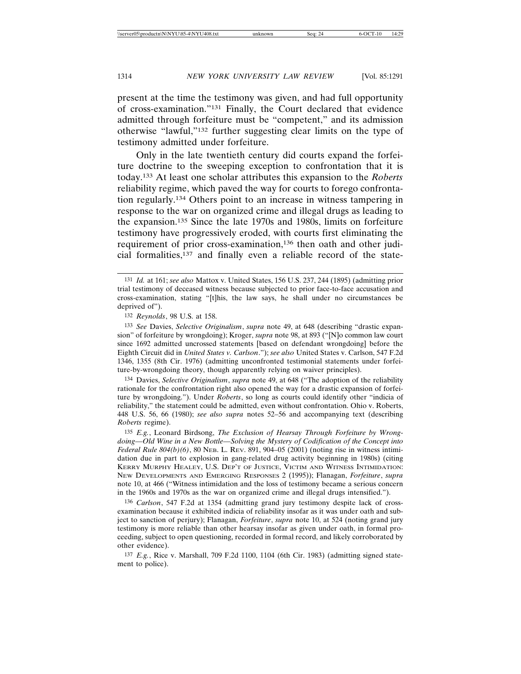present at the time the testimony was given, and had full opportunity of cross-examination."131 Finally, the Court declared that evidence admitted through forfeiture must be "competent," and its admission otherwise "lawful,"132 further suggesting clear limits on the type of testimony admitted under forfeiture.

Only in the late twentieth century did courts expand the forfeiture doctrine to the sweeping exception to confrontation that it is today.133 At least one scholar attributes this expansion to the *Roberts* reliability regime, which paved the way for courts to forego confrontation regularly.134 Others point to an increase in witness tampering in response to the war on organized crime and illegal drugs as leading to the expansion.135 Since the late 1970s and 1980s, limits on forfeiture testimony have progressively eroded, with courts first eliminating the requirement of prior cross-examination,136 then oath and other judicial formalities,137 and finally even a reliable record of the state-

134 Davies, *Selective Originalism*, *supra* note 49, at 648 ("The adoption of the reliability rationale for the confrontation right also opened the way for a drastic expansion of forfeiture by wrongdoing."). Under *Roberts*, so long as courts could identify other "indicia of reliability," the statement could be admitted, even without confrontation. Ohio v. Roberts, 448 U.S. 56, 66 (1980); *see also supra* notes 52–56 and accompanying text (describing *Roberts* regime).

135 *E.g.*, Leonard Birdsong, *The Exclusion of Hearsay Through Forfeiture by Wrongdoing—Old Wine in a New Bottle—Solving the Mystery of Codification of the Concept into Federal Rule 804(b)(6)*, 80 NEB. L. REV. 891, 904–05 (2001) (noting rise in witness intimidation due in part to explosion in gang-related drug activity beginning in 1980s) (citing KERRY MURPHY HEALEY, U.S. DEP'T OF JUSTICE, VICTIM AND WITNESS INTIMIDATION: NEW DEVELOPMENTS AND EMERGING RESPONSES 2 (1995)); Flanagan, *Forfeiture*, *supra* note 10, at 466 ("Witness intimidation and the loss of testimony became a serious concern in the 1960s and 1970s as the war on organized crime and illegal drugs intensified.").

136 *Carlson*, 547 F.2d at 1354 (admitting grand jury testimony despite lack of crossexamination because it exhibited indicia of reliability insofar as it was under oath and subject to sanction of perjury); Flanagan, *Forfeiture*, *supra* note 10, at 524 (noting grand jury testimony is more reliable than other hearsay insofar as given under oath, in formal proceeding, subject to open questioning, recorded in formal record, and likely corroborated by other evidence).

137 *E.g.*, Rice v. Marshall, 709 F.2d 1100, 1104 (6th Cir. 1983) (admitting signed statement to police).

<sup>131</sup> *Id.* at 161; *see also* Mattox v. United States, 156 U.S. 237, 244 (1895) (admitting prior trial testimony of deceased witness because subjected to prior face-to-face accusation and cross-examination, stating "[t]his, the law says, he shall under no circumstances be deprived of").

<sup>132</sup> *Reynolds*, 98 U.S. at 158.

<sup>133</sup> *See* Davies, *Selective Originalism*, *supra* note 49, at 648 (describing "drastic expansion" of forfeiture by wrongdoing); Kroger, *supra* note 98, at 893 ("[N]o common law court since 1692 admitted uncrossed statements [based on defendant wrongdoing] before the Eighth Circuit did in *United States v. Carlson*."); *see also* United States v. Carlson, 547 F.2d 1346, 1355 (8th Cir. 1976) (admitting unconfronted testimonial statements under forfeiture-by-wrongdoing theory, though apparently relying on waiver principles).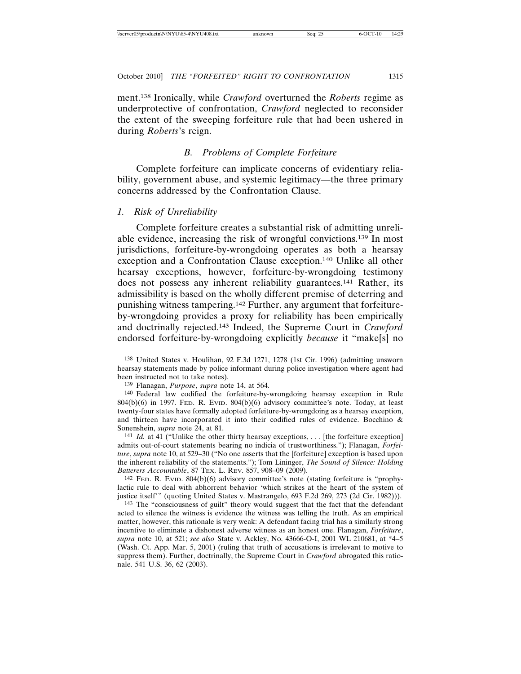ment.138 Ironically, while *Crawford* overturned the *Roberts* regime as underprotective of confrontation, *Crawford* neglected to reconsider the extent of the sweeping forfeiture rule that had been ushered in during *Roberts*'s reign.

# *B. Problems of Complete Forfeiture*

Complete forfeiture can implicate concerns of evidentiary reliability, government abuse, and systemic legitimacy—the three primary concerns addressed by the Confrontation Clause.

### *1. Risk of Unreliability*

Complete forfeiture creates a substantial risk of admitting unreliable evidence, increasing the risk of wrongful convictions.139 In most jurisdictions, forfeiture-by-wrongdoing operates as both a hearsay exception and a Confrontation Clause exception.140 Unlike all other hearsay exceptions, however, forfeiture-by-wrongdoing testimony does not possess any inherent reliability guarantees.<sup>141</sup> Rather, its admissibility is based on the wholly different premise of deterring and punishing witness tampering.142 Further, any argument that forfeitureby-wrongdoing provides a proxy for reliability has been empirically and doctrinally rejected.143 Indeed, the Supreme Court in *Crawford* endorsed forfeiture-by-wrongdoing explicitly *because* it "make[s] no

142 FED. R. EVID. 804(b)(6) advisory committee's note (stating forfeiture is "prophylactic rule to deal with abhorrent behavior 'which strikes at the heart of the system of justice itself'" (quoting United States v. Mastrangelo, 693 F.2d 269, 273 (2d Cir. 1982))).

143 The "consciousness of guilt" theory would suggest that the fact that the defendant acted to silence the witness is evidence the witness was telling the truth. As an empirical matter, however, this rationale is very weak: A defendant facing trial has a similarly strong incentive to eliminate a dishonest adverse witness as an honest one. Flanagan, *Forfeiture*, *supra* note 10, at 521; *see also* State v. Ackley, No. 43666-O-I, 2001 WL 210681, at \*4–5 (Wash. Ct. App. Mar. 5, 2001) (ruling that truth of accusations is irrelevant to motive to suppress them). Further, doctrinally, the Supreme Court in *Crawford* abrogated this rationale. 541 U.S. 36, 62 (2003).

<sup>138</sup> United States v. Houlihan, 92 F.3d 1271, 1278 (1st Cir. 1996) (admitting unsworn hearsay statements made by police informant during police investigation where agent had been instructed not to take notes).

<sup>139</sup> Flanagan, *Purpose*, *supra* note 14, at 564.

<sup>140</sup> Federal law codified the forfeiture-by-wrongdoing hearsay exception in Rule  $804(b)(6)$  in 1997. Fed. R. Evid.  $804(b)(6)$  advisory committee's note. Today, at least twenty-four states have formally adopted forfeiture-by-wrongdoing as a hearsay exception, and thirteen have incorporated it into their codified rules of evidence. Bocchino & Sonenshein, *supra* note 24, at 81.

<sup>141</sup> *Id.* at 41 ("Unlike the other thirty hearsay exceptions, . . . [the forfeiture exception] admits out-of-court statements bearing no indicia of trustworthiness."); Flanagan, *Forfeiture*, *supra* note 10, at 529–30 ("No one asserts that the [forfeiture] exception is based upon the inherent reliability of the statements."); Tom Lininger, *The Sound of Silence: Holding Batterers Accountable*, 87 TEX. L. REV. 857, 908–09 (2009).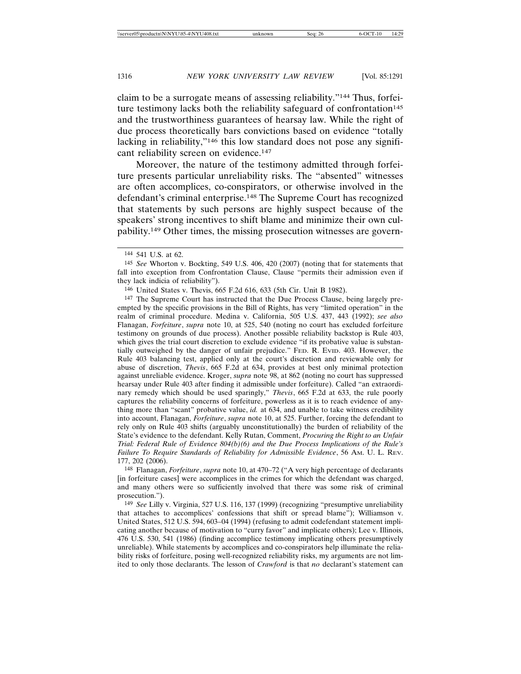claim to be a surrogate means of assessing reliability."144 Thus, forfeiture testimony lacks both the reliability safeguard of confrontation $145$ and the trustworthiness guarantees of hearsay law. While the right of due process theoretically bars convictions based on evidence "totally lacking in reliability,"<sup>146</sup> this low standard does not pose any significant reliability screen on evidence.147

Moreover, the nature of the testimony admitted through forfeiture presents particular unreliability risks. The "absented" witnesses are often accomplices, co-conspirators, or otherwise involved in the defendant's criminal enterprise.148 The Supreme Court has recognized that statements by such persons are highly suspect because of the speakers' strong incentives to shift blame and minimize their own culpability.149 Other times, the missing prosecution witnesses are govern-

147 The Supreme Court has instructed that the Due Process Clause, being largely preempted by the specific provisions in the Bill of Rights, has very "limited operation" in the realm of criminal procedure. Medina v. California, 505 U.S. 437, 443 (1992); *see also* Flanagan, *Forfeiture*, *supra* note 10, at 525, 540 (noting no court has excluded forfeiture testimony on grounds of due process). Another possible reliability backstop is Rule 403, which gives the trial court discretion to exclude evidence "if its probative value is substantially outweighed by the danger of unfair prejudice." FED. R. EVID. 403. However, the Rule 403 balancing test, applied only at the court's discretion and reviewable only for abuse of discretion, *Thevis*, 665 F.2d at 634, provides at best only minimal protection against unreliable evidence. Kroger, *supra* note 98, at 862 (noting no court has suppressed hearsay under Rule 403 after finding it admissible under forfeiture). Called "an extraordinary remedy which should be used sparingly," *Thevis*, 665 F.2d at 633, the rule poorly captures the reliability concerns of forfeiture, powerless as it is to reach evidence of anything more than "scant" probative value, *id.* at 634, and unable to take witness credibility into account, Flanagan, *Forfeiture*, *supra* note 10, at 525. Further, forcing the defendant to rely only on Rule 403 shifts (arguably unconstitutionally) the burden of reliability of the State's evidence to the defendant. Kelly Rutan, Comment, *Procuring the Right to an Unfair Trial: Federal Rule of Evidence 804(b)(6) and the Due Process Implications of the Rule's Failure To Require Standards of Reliability for Admissible Evidence*, 56 AM. U. L. REV. 177, 202 (2006).

148 Flanagan, *Forfeiture*, *supra* note 10, at 470–72 ("A very high percentage of declarants [in forfeiture cases] were accomplices in the crimes for which the defendant was charged, and many others were so sufficiently involved that there was some risk of criminal prosecution.").

149 *See* Lilly v. Virginia, 527 U.S. 116, 137 (1999) (recognizing "presumptive unreliability that attaches to accomplices' confessions that shift or spread blame"); Williamson v. United States, 512 U.S. 594, 603–04 (1994) (refusing to admit codefendant statement implicating another because of motivation to "curry favor" and implicate others); Lee v. Illinois, 476 U.S. 530, 541 (1986) (finding accomplice testimony implicating others presumptively unreliable). While statements by accomplices and co-conspirators help illuminate the reliability risks of forfeiture, posing well-recognized reliability risks, my arguments are not limited to only those declarants. The lesson of *Crawford* is that *no* declarant's statement can

<sup>144</sup> 541 U.S. at 62.

<sup>145</sup> *See* Whorton v. Bockting, 549 U.S. 406, 420 (2007) (noting that for statements that fall into exception from Confrontation Clause, Clause "permits their admission even if they lack indicia of reliability").

<sup>146</sup> United States v. Thevis, 665 F.2d 616, 633 (5th Cir. Unit B 1982).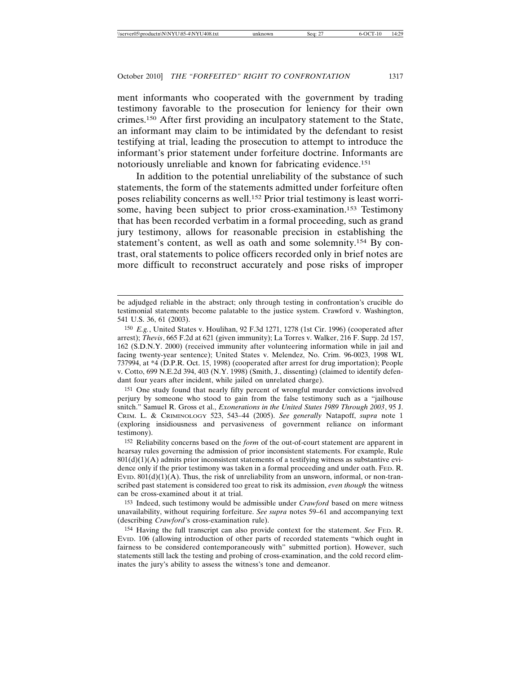ment informants who cooperated with the government by trading testimony favorable to the prosecution for leniency for their own crimes.150 After first providing an inculpatory statement to the State, an informant may claim to be intimidated by the defendant to resist testifying at trial, leading the prosecution to attempt to introduce the informant's prior statement under forfeiture doctrine. Informants are notoriously unreliable and known for fabricating evidence.151

In addition to the potential unreliability of the substance of such statements, the form of the statements admitted under forfeiture often poses reliability concerns as well.152 Prior trial testimony is least worrisome, having been subject to prior cross-examination.<sup>153</sup> Testimony that has been recorded verbatim in a formal proceeding, such as grand jury testimony, allows for reasonable precision in establishing the statement's content, as well as oath and some solemnity.154 By contrast, oral statements to police officers recorded only in brief notes are more difficult to reconstruct accurately and pose risks of improper

151 One study found that nearly fifty percent of wrongful murder convictions involved perjury by someone who stood to gain from the false testimony such as a "jailhouse snitch." Samuel R. Gross et al., *Exonerations in the United States 1989 Through 2003*, 95 J. CRIM. L. & CRIMINOLOGY 523, 543–44 (2005). *See generally* Natapoff, *supra* note 1 (exploring insidiousness and pervasiveness of government reliance on informant testimony).

153 Indeed, such testimony would be admissible under *Crawford* based on mere witness unavailability, without requiring forfeiture. *See supra* notes 59–61 and accompanying text (describing *Crawford*'s cross-examination rule).

be adjudged reliable in the abstract; only through testing in confrontation's crucible do testimonial statements become palatable to the justice system. Crawford v. Washington, 541 U.S. 36, 61 (2003).

<sup>150</sup> *E.g.*, United States v. Houlihan, 92 F.3d 1271, 1278 (1st Cir. 1996) (cooperated after arrest); *Thevis*, 665 F.2d at 621 (given immunity); La Torres v. Walker, 216 F. Supp. 2d 157, 162 (S.D.N.Y. 2000) (received immunity after volunteering information while in jail and facing twenty-year sentence); United States v. Melendez, No. Crim. 96-0023, 1998 WL 737994, at \*4 (D.P.R. Oct. 15, 1998) (cooperated after arrest for drug importation); People v. Cotto, 699 N.E.2d 394, 403 (N.Y. 1998) (Smith, J., dissenting) (claimed to identify defendant four years after incident, while jailed on unrelated charge).

<sup>152</sup> Reliability concerns based on the *form* of the out-of-court statement are apparent in hearsay rules governing the admission of prior inconsistent statements. For example, Rule  $801(d)(1)(A)$  admits prior inconsistent statements of a testifying witness as substantive evidence only if the prior testimony was taken in a formal proceeding and under oath. FED. R. EVID.  $801(d)(1)(A)$ . Thus, the risk of unreliability from an unsworn, informal, or non-transcribed past statement is considered too great to risk its admission, *even though* the witness can be cross-examined about it at trial.

<sup>154</sup> Having the full transcript can also provide context for the statement. *See* FED. R. EVID. 106 (allowing introduction of other parts of recorded statements "which ought in fairness to be considered contemporaneously with" submitted portion). However, such statements still lack the testing and probing of cross-examination, and the cold record eliminates the jury's ability to assess the witness's tone and demeanor.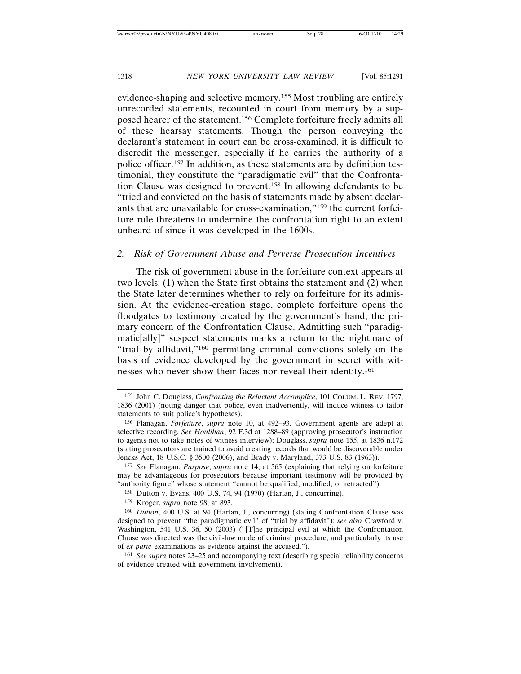evidence-shaping and selective memory.155 Most troubling are entirely unrecorded statements, recounted in court from memory by a supposed hearer of the statement.156 Complete forfeiture freely admits all of these hearsay statements. Though the person conveying the declarant's statement in court can be cross-examined, it is difficult to discredit the messenger, especially if he carries the authority of a police officer.157 In addition, as these statements are by definition testimonial, they constitute the "paradigmatic evil" that the Confrontation Clause was designed to prevent.158 In allowing defendants to be "tried and convicted on the basis of statements made by absent declarants that are unavailable for cross-examination,"159 the current forfeiture rule threatens to undermine the confrontation right to an extent unheard of since it was developed in the 1600s.

### *2. Risk of Government Abuse and Perverse Prosecution Incentives*

The risk of government abuse in the forfeiture context appears at two levels: (1) when the State first obtains the statement and (2) when the State later determines whether to rely on forfeiture for its admission. At the evidence-creation stage, complete forfeiture opens the floodgates to testimony created by the government's hand, the primary concern of the Confrontation Clause. Admitting such "paradigmatic[ally]" suspect statements marks a return to the nightmare of "trial by affidavit,"160 permitting criminal convictions solely on the basis of evidence developed by the government in secret with witnesses who never show their faces nor reveal their identity.161

<sup>155</sup> John C. Douglass, *Confronting the Reluctant Accomplice*, 101 COLUM. L. REV. 1797, 1836 (2001) (noting danger that police, even inadvertently, will induce witness to tailor statements to suit police's hypotheses).

<sup>156</sup> Flanagan, *Forfeiture*, *supra* note 10, at 492–93. Government agents are adept at selective recording. *See Houlihan*, 92 F.3d at 1288–89 (approving prosecutor's instruction to agents not to take notes of witness interview); Douglass, *supra* note 155, at 1836 n.172 (stating prosecutors are trained to avoid creating records that would be discoverable under Jencks Act, 18 U.S.C. § 3500 (2006), and Brady v. Maryland, 373 U.S. 83 (1963)).

<sup>157</sup> *See* Flanagan, *Purpose*, *supra* note 14, at 565 (explaining that relying on forfeiture may be advantageous for prosecutors because important testimony will be provided by "authority figure" whose statement "cannot be qualified, modified, or retracted").

<sup>158</sup> Dutton v. Evans, 400 U.S. 74, 94 (1970) (Harlan, J., concurring).

<sup>159</sup> Kroger, *supra* note 98, at 893.

<sup>160</sup> *Dutton*, 400 U.S. at 94 (Harlan, J., concurring) (stating Confrontation Clause was designed to prevent "the paradigmatic evil" of "trial by affidavit"); *see also* Crawford v. Washington, 541 U.S. 36, 50 (2003) ("[T]he principal evil at which the Confrontation Clause was directed was the civil-law mode of criminal procedure, and particularly its use of *ex parte* examinations as evidence against the accused.").

<sup>161</sup> *See supra* notes 23–25 and accompanying text (describing special reliability concerns of evidence created with government involvement).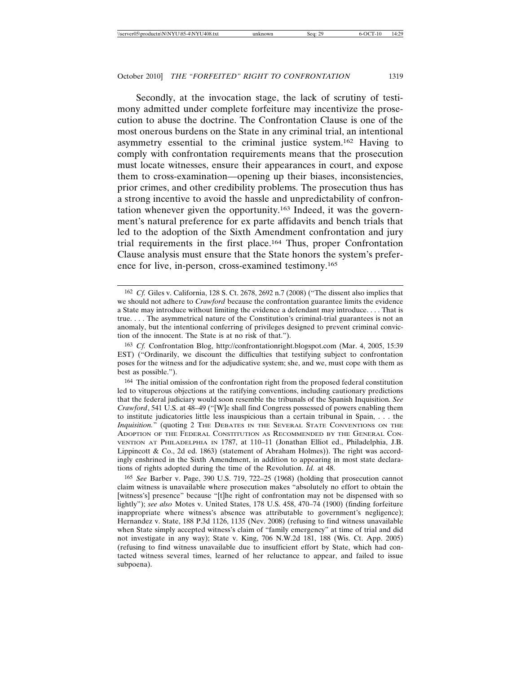Secondly, at the invocation stage, the lack of scrutiny of testimony admitted under complete forfeiture may incentivize the prosecution to abuse the doctrine. The Confrontation Clause is one of the most onerous burdens on the State in any criminal trial, an intentional asymmetry essential to the criminal justice system.162 Having to comply with confrontation requirements means that the prosecution must locate witnesses, ensure their appearances in court, and expose them to cross-examination—opening up their biases, inconsistencies, prior crimes, and other credibility problems. The prosecution thus has a strong incentive to avoid the hassle and unpredictability of confrontation whenever given the opportunity.163 Indeed, it was the government's natural preference for ex parte affidavits and bench trials that led to the adoption of the Sixth Amendment confrontation and jury trial requirements in the first place.164 Thus, proper Confrontation Clause analysis must ensure that the State honors the system's preference for live, in-person, cross-examined testimony.165

<sup>162</sup> *Cf.* Giles v. California, 128 S. Ct. 2678, 2692 n.7 (2008) ("The dissent also implies that we should not adhere to *Crawford* because the confrontation guarantee limits the evidence a State may introduce without limiting the evidence a defendant may introduce. . . . That is true. . . . The asymmetrical nature of the Constitution's criminal-trial guarantees is not an anomaly, but the intentional conferring of privileges designed to prevent criminal conviction of the innocent. The State is at no risk of that.").

<sup>163</sup> *Cf.* Confrontation Blog, http://confrontationright.blogspot.com (Mar. 4, 2005, 15:39 EST) ("Ordinarily, we discount the difficulties that testifying subject to confrontation poses for the witness and for the adjudicative system; she, and we, must cope with them as best as possible.").

<sup>164</sup> The initial omission of the confrontation right from the proposed federal constitution led to vituperous objections at the ratifying conventions, including cautionary predictions that the federal judiciary would soon resemble the tribunals of the Spanish Inquisition. *See Crawford*, 541 U.S. at 48–49 ("[W]e shall find Congress possessed of powers enabling them to institute judicatories little less inauspicious than a certain tribunal in Spain, . . . the *Inquisition.*" (quoting 2 THE DEBATES IN THE SEVERAL STATE CONVENTIONS ON THE ADOPTION OF THE FEDERAL CONSTITUTION AS RECOMMENDED BY THE GENERAL CON-VENTION AT PHILADELPHIA IN 1787, at 110–11 (Jonathan Elliot ed., Philadelphia, J.B. Lippincott & Co., 2d ed. 1863) (statement of Abraham Holmes)). The right was accordingly enshrined in the Sixth Amendment, in addition to appearing in most state declarations of rights adopted during the time of the Revolution. *Id.* at 48.

<sup>165</sup> *See* Barber v. Page, 390 U.S. 719, 722–25 (1968) (holding that prosecution cannot claim witness is unavailable where prosecution makes "absolutely no effort to obtain the [witness's] presence" because "[t]he right of confrontation may not be dispensed with so lightly"); *see also* Motes v. United States, 178 U.S. 458, 470–74 (1900) (finding forfeiture inappropriate where witness's absence was attributable to government's negligence); Hernandez v. State, 188 P.3d 1126, 1135 (Nev. 2008) (refusing to find witness unavailable when State simply accepted witness's claim of "family emergency" at time of trial and did not investigate in any way); State v. King, 706 N.W.2d 181, 188 (Wis. Ct. App. 2005) (refusing to find witness unavailable due to insufficient effort by State, which had contacted witness several times, learned of her reluctance to appear, and failed to issue subpoena).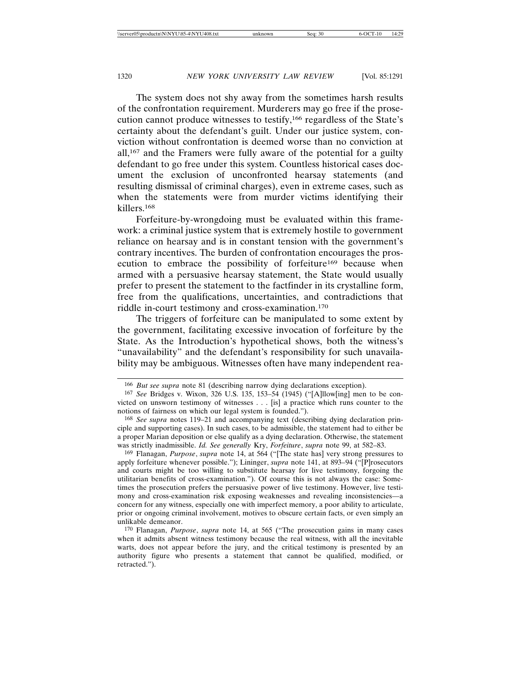The system does not shy away from the sometimes harsh results of the confrontation requirement. Murderers may go free if the prosecution cannot produce witnesses to testify,166 regardless of the State's certainty about the defendant's guilt. Under our justice system, conviction without confrontation is deemed worse than no conviction at all,167 and the Framers were fully aware of the potential for a guilty defendant to go free under this system. Countless historical cases document the exclusion of unconfronted hearsay statements (and resulting dismissal of criminal charges), even in extreme cases, such as when the statements were from murder victims identifying their killers.168

Forfeiture-by-wrongdoing must be evaluated within this framework: a criminal justice system that is extremely hostile to government reliance on hearsay and is in constant tension with the government's contrary incentives. The burden of confrontation encourages the prosecution to embrace the possibility of forfeiture<sup>169</sup> because when armed with a persuasive hearsay statement, the State would usually prefer to present the statement to the factfinder in its crystalline form, free from the qualifications, uncertainties, and contradictions that riddle in-court testimony and cross-examination.170

The triggers of forfeiture can be manipulated to some extent by the government, facilitating excessive invocation of forfeiture by the State. As the Introduction's hypothetical shows, both the witness's "unavailability" and the defendant's responsibility for such unavailability may be ambiguous. Witnesses often have many independent rea-

169 Flanagan, *Purpose*, *supra* note 14, at 564 ("[The state has] very strong pressures to apply forfeiture whenever possible."); Lininger, *supra* note 141, at 893–94 ("[P]rosecutors and courts might be too willing to substitute hearsay for live testimony, forgoing the utilitarian benefits of cross-examination."). Of course this is not always the case: Sometimes the prosecution prefers the persuasive power of live testimony. However, live testimony and cross-examination risk exposing weaknesses and revealing inconsistencies—a concern for any witness, especially one with imperfect memory, a poor ability to articulate, prior or ongoing criminal involvement, motives to obscure certain facts, or even simply an unlikable demeanor.

170 Flanagan, *Purpose*, *supra* note 14, at 565 ("The prosecution gains in many cases when it admits absent witness testimony because the real witness, with all the inevitable warts, does not appear before the jury, and the critical testimony is presented by an authority figure who presents a statement that cannot be qualified, modified, or retracted.").

<sup>166</sup> *But see supra* note 81 (describing narrow dying declarations exception).

<sup>167</sup> *See* Bridges v. Wixon, 326 U.S. 135, 153–54 (1945) ("[A]llow[ing] men to be convicted on unsworn testimony of witnesses . . . [is] a practice which runs counter to the notions of fairness on which our legal system is founded.").

<sup>168</sup> *See supra* notes 119–21 and accompanying text (describing dying declaration principle and supporting cases). In such cases, to be admissible, the statement had to either be a proper Marian deposition or else qualify as a dying declaration. Otherwise, the statement was strictly inadmissible. *Id. See generally* Kry, *Forfeiture*, *supra* note 99, at 582–83.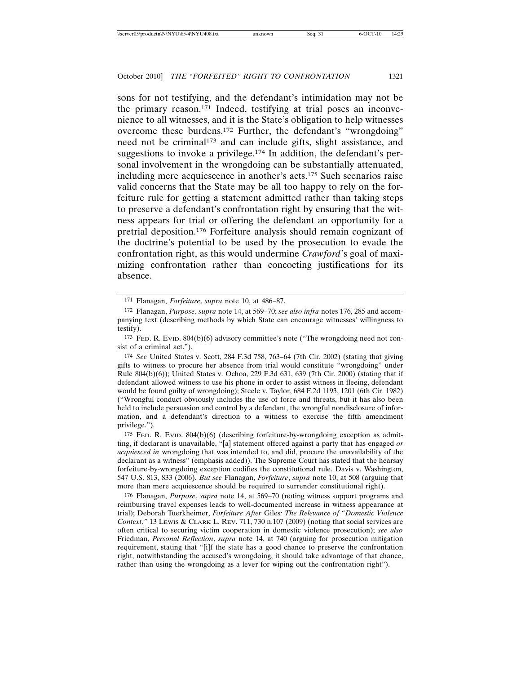sons for not testifying, and the defendant's intimidation may not be the primary reason.171 Indeed, testifying at trial poses an inconvenience to all witnesses, and it is the State's obligation to help witnesses overcome these burdens.172 Further, the defendant's "wrongdoing" need not be criminal<sup>173</sup> and can include gifts, slight assistance, and suggestions to invoke a privilege.<sup>174</sup> In addition, the defendant's personal involvement in the wrongdoing can be substantially attenuated, including mere acquiescence in another's acts.175 Such scenarios raise valid concerns that the State may be all too happy to rely on the forfeiture rule for getting a statement admitted rather than taking steps to preserve a defendant's confrontation right by ensuring that the witness appears for trial or offering the defendant an opportunity for a pretrial deposition.176 Forfeiture analysis should remain cognizant of the doctrine's potential to be used by the prosecution to evade the confrontation right, as this would undermine *Crawford*'s goal of maximizing confrontation rather than concocting justifications for its absence.

174 *See* United States v. Scott, 284 F.3d 758, 763–64 (7th Cir. 2002) (stating that giving gifts to witness to procure her absence from trial would constitute "wrongdoing" under Rule 804(b)(6)); United States v. Ochoa, 229 F.3d 631, 639 (7th Cir. 2000) (stating that if defendant allowed witness to use his phone in order to assist witness in fleeing, defendant would be found guilty of wrongdoing); Steele v. Taylor, 684 F.2d 1193, 1201 (6th Cir. 1982) ("Wrongful conduct obviously includes the use of force and threats, but it has also been held to include persuasion and control by a defendant, the wrongful nondisclosure of information, and a defendant's direction to a witness to exercise the fifth amendment privilege.").

175 FED. R. EVID. 804(b)(6) (describing forfeiture-by-wrongdoing exception as admitting, if declarant is unavailable, "[a] statement offered against a party that has engaged *or acquiesced in* wrongdoing that was intended to, and did, procure the unavailability of the declarant as a witness" (emphasis added)). The Supreme Court has stated that the hearsay forfeiture-by-wrongdoing exception codifies the constitutional rule. Davis v. Washington, 547 U.S. 813, 833 (2006). *But see* Flanagan, *Forfeiture*, *supra* note 10, at 508 (arguing that more than mere acquiescence should be required to surrender constitutional right).

176 Flanagan, *Purpose*, *supra* note 14, at 569–70 (noting witness support programs and reimbursing travel expenses leads to well-documented increase in witness appearance at trial); Deborah Tuerkheimer, *Forfeiture After* Giles*: The Relevance of "Domestic Violence Context*,*"* 13 LEWIS & CLARK L. REV. 711, 730 n.107 (2009) (noting that social services are often critical to securing victim cooperation in domestic violence prosecution); *see also* Friedman, *Personal Reflection*, *supra* note 14, at 740 (arguing for prosecution mitigation requirement, stating that "[i]f the state has a good chance to preserve the confrontation right, notwithstanding the accused's wrongdoing, it should take advantage of that chance, rather than using the wrongdoing as a lever for wiping out the confrontation right").

<sup>171</sup> Flanagan, *Forfeiture*, *supra* note 10, at 486–87.

<sup>172</sup> Flanagan, *Purpose*, *supra* note 14, at 569–70; *see also infra* notes 176, 285 and accompanying text (describing methods by which State can encourage witnesses' willingness to testify).

<sup>173</sup> FED. R. EVID. 804(b)(6) advisory committee's note ("The wrongdoing need not consist of a criminal act.").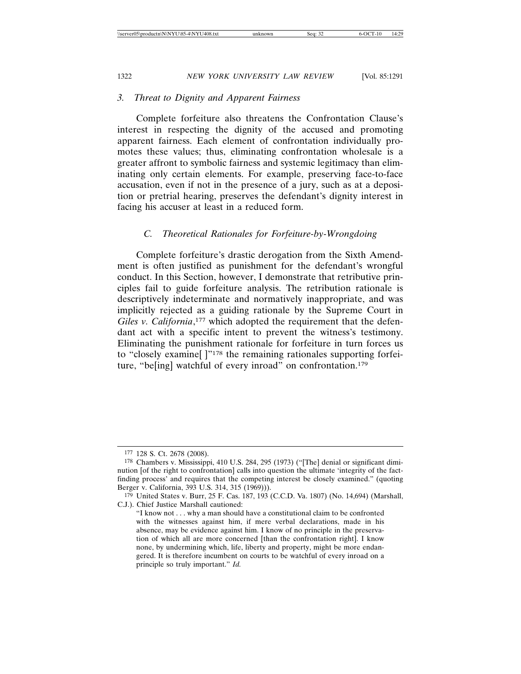#### *3. Threat to Dignity and Apparent Fairness*

Complete forfeiture also threatens the Confrontation Clause's interest in respecting the dignity of the accused and promoting apparent fairness. Each element of confrontation individually promotes these values; thus, eliminating confrontation wholesale is a greater affront to symbolic fairness and systemic legitimacy than eliminating only certain elements. For example, preserving face-to-face accusation, even if not in the presence of a jury, such as at a deposition or pretrial hearing, preserves the defendant's dignity interest in facing his accuser at least in a reduced form.

### *C. Theoretical Rationales for Forfeiture-by-Wrongdoing*

Complete forfeiture's drastic derogation from the Sixth Amendment is often justified as punishment for the defendant's wrongful conduct. In this Section, however, I demonstrate that retributive principles fail to guide forfeiture analysis. The retribution rationale is descriptively indeterminate and normatively inappropriate, and was implicitly rejected as a guiding rationale by the Supreme Court in Giles v. California,<sup>177</sup> which adopted the requirement that the defendant act with a specific intent to prevent the witness's testimony. Eliminating the punishment rationale for forfeiture in turn forces us to "closely examine[ ]"178 the remaining rationales supporting forfeiture, "be[ing] watchful of every inroad" on confrontation.179

<sup>177</sup> 128 S. Ct. 2678 (2008).

<sup>178</sup> Chambers v. Mississippi, 410 U.S. 284, 295 (1973) ("[The] denial or significant diminution [of the right to confrontation] calls into question the ultimate 'integrity of the factfinding process' and requires that the competing interest be closely examined." (quoting Berger v. California, 393 U.S. 314, 315 (1969))).

 $179$  United States v. Burr, 25 F. Cas. 187, 193 (C.C.D. Va. 1807) (No. 14,694) (Marshall, C.J.). Chief Justice Marshall cautioned:

<sup>&</sup>quot;I know not . . . why a man should have a constitutional claim to be confronted with the witnesses against him, if mere verbal declarations, made in his absence, may be evidence against him. I know of no principle in the preservation of which all are more concerned [than the confrontation right]. I know none, by undermining which, life, liberty and property, might be more endangered. It is therefore incumbent on courts to be watchful of every inroad on a principle so truly important." *Id.*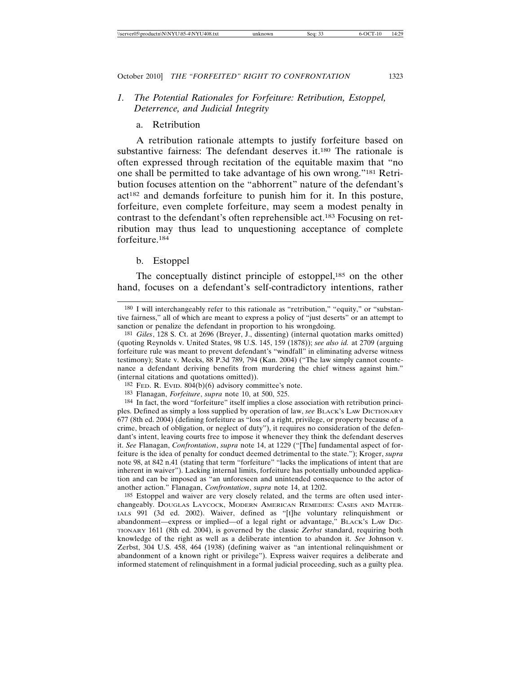# *1. The Potential Rationales for Forfeiture: Retribution, Estoppel, Deterrence, and Judicial Integrity*

### a. Retribution

A retribution rationale attempts to justify forfeiture based on substantive fairness: The defendant deserves it.<sup>180</sup> The rationale is often expressed through recitation of the equitable maxim that "no one shall be permitted to take advantage of his own wrong."181 Retribution focuses attention on the "abhorrent" nature of the defendant's act182 and demands forfeiture to punish him for it. In this posture, forfeiture, even complete forfeiture, may seem a modest penalty in contrast to the defendant's often reprehensible act.183 Focusing on retribution may thus lead to unquestioning acceptance of complete forfeiture.184

#### b. Estoppel

The conceptually distinct principle of estoppel,<sup>185</sup> on the other hand, focuses on a defendant's self-contradictory intentions, rather

185 Estoppel and waiver are very closely related, and the terms are often used interchangeably. DOUGLAS LAYCOCK, MODERN AMERICAN REMEDIES: CASES AND MATER-IALS 991 (3d ed. 2002). Waiver, defined as "[t]he voluntary relinquishment or abandonment—express or implied—of a legal right or advantage," BLACK'S LAW DIC-TIONARY 1611 (8th ed. 2004), is governed by the classic *Zerbst* standard, requiring both knowledge of the right as well as a deliberate intention to abandon it. *See* Johnson v. Zerbst, 304 U.S. 458, 464 (1938) (defining waiver as "an intentional relinquishment or abandonment of a known right or privilege"). Express waiver requires a deliberate and informed statement of relinquishment in a formal judicial proceeding, such as a guilty plea.

<sup>180</sup> I will interchangeably refer to this rationale as "retribution," "equity," or "substantive fairness," all of which are meant to express a policy of "just deserts" or an attempt to sanction or penalize the defendant in proportion to his wrongdoing.

<sup>181</sup> *Giles*, 128 S. Ct. at 2696 (Breyer, J., dissenting) (internal quotation marks omitted) (quoting Reynolds v. United States, 98 U.S. 145, 159 (1878)); *see also id.* at 2709 (arguing forfeiture rule was meant to prevent defendant's "windfall" in eliminating adverse witness testimony); State v. Meeks, 88 P.3d 789, 794 (Kan. 2004) ("The law simply cannot countenance a defendant deriving benefits from murdering the chief witness against him." (internal citations and quotations omitted)).

 $182$  FED. R. EVID.  $804(b)(6)$  advisory committee's note.

<sup>183</sup> Flanagan, *Forfeiture*, *supra* note 10, at 500, 525.

<sup>184</sup> In fact, the word "forfeiture" itself implies a close association with retribution principles. Defined as simply a loss supplied by operation of law, *see* BLACK'S LAW DICTIONARY 677 (8th ed. 2004) (defining forfeiture as "loss of a right, privilege, or property because of a crime, breach of obligation, or neglect of duty"), it requires no consideration of the defendant's intent, leaving courts free to impose it whenever they think the defendant deserves it. *See* Flanagan, *Confrontation*, *supra* note 14, at 1229 ("[The] fundamental aspect of forfeiture is the idea of penalty for conduct deemed detrimental to the state."); Kroger, *supra* note 98, at 842 n.41 (stating that term "forfeiture" "lacks the implications of intent that are inherent in waiver"). Lacking internal limits, forfeiture has potentially unbounded application and can be imposed as "an unforeseen and unintended consequence to the actor of another action." Flanagan, *Confrontation*, *supra* note 14, at 1202.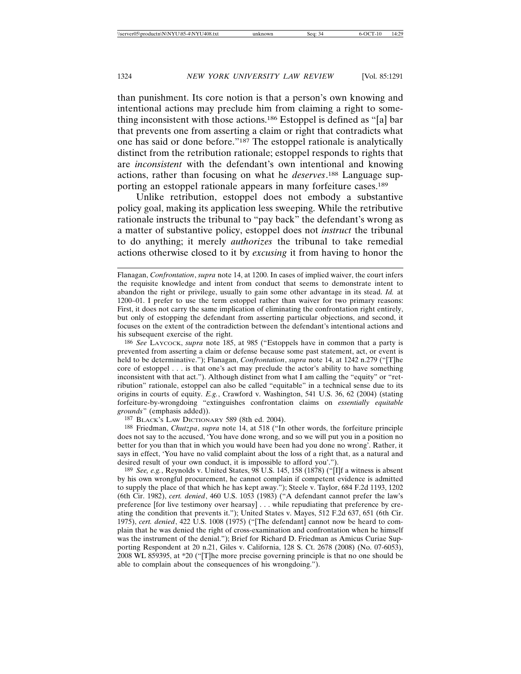than punishment. Its core notion is that a person's own knowing and intentional actions may preclude him from claiming a right to something inconsistent with those actions.186 Estoppel is defined as "[a] bar that prevents one from asserting a claim or right that contradicts what one has said or done before."187 The estoppel rationale is analytically distinct from the retribution rationale; estoppel responds to rights that are *inconsistent* with the defendant's own intentional and knowing actions, rather than focusing on what he *deserves*. 188 Language supporting an estoppel rationale appears in many forfeiture cases.189

Unlike retribution, estoppel does not embody a substantive policy goal, making its application less sweeping. While the retributive rationale instructs the tribunal to "pay back" the defendant's wrong as a matter of substantive policy, estoppel does not *instruct* the tribunal to do anything; it merely *authorizes* the tribunal to take remedial actions otherwise closed to it by *excusing* it from having to honor the

186 *See* LAYCOCK, *supra* note 185, at 985 ("Estoppels have in common that a party is prevented from asserting a claim or defense because some past statement, act, or event is held to be determinative."); Flanagan, *Confrontation*, *supra* note 14, at 1242 n.279 ("[T]he core of estoppel . . . is that one's act may preclude the actor's ability to have something inconsistent with that act."). Although distinct from what I am calling the "equity" or "retribution" rationale, estoppel can also be called "equitable" in a technical sense due to its origins in courts of equity. *E.g.*, Crawford v. Washington, 541 U.S. 36, 62 (2004) (stating forfeiture-by-wrongdoing "extinguishes confrontation claims on *essentially equitable grounds*" (emphasis added)).

187 BLACK'S LAW DICTIONARY 589 (8th ed. 2004).

188 Friedman, *Chutzpa*, *supra* note 14, at 518 ("In other words, the forfeiture principle does not say to the accused, 'You have done wrong, and so we will put you in a position no better for you than that in which you would have been had you done no wrong'. Rather, it says in effect, 'You have no valid complaint about the loss of a right that, as a natural and desired result of your own conduct, it is impossible to afford you'.").

189 *See, e.g.*, Reynolds v. United States, 98 U.S. 145, 158 (1878) ("[I]f a witness is absent by his own wrongful procurement, he cannot complain if competent evidence is admitted to supply the place of that which he has kept away."); Steele v. Taylor, 684 F.2d 1193, 1202 (6th Cir. 1982), *cert. denied*, 460 U.S. 1053 (1983) ("A defendant cannot prefer the law's preference [for live testimony over hearsay] . . . while repudiating that preference by creating the condition that prevents it."); United States v. Mayes, 512 F.2d 637, 651 (6th Cir. 1975), *cert. denied*, 422 U.S. 1008 (1975) ("[The defendant] cannot now be heard to complain that he was denied the right of cross-examination and confrontation when he himself was the instrument of the denial."); Brief for Richard D. Friedman as Amicus Curiae Supporting Respondent at 20 n.21, Giles v. California, 128 S. Ct. 2678 (2008) (No. 07-6053), 2008 WL 859395, at \*20 ("[T]he more precise governing principle is that no one should be able to complain about the consequences of his wrongdoing.").

Flanagan, *Confrontation*, *supra* note 14, at 1200. In cases of implied waiver, the court infers the requisite knowledge and intent from conduct that seems to demonstrate intent to abandon the right or privilege, usually to gain some other advantage in its stead. *Id.* at 1200–01. I prefer to use the term estoppel rather than waiver for two primary reasons: First, it does not carry the same implication of eliminating the confrontation right entirely, but only of estopping the defendant from asserting particular objections, and second, it focuses on the extent of the contradiction between the defendant's intentional actions and his subsequent exercise of the right.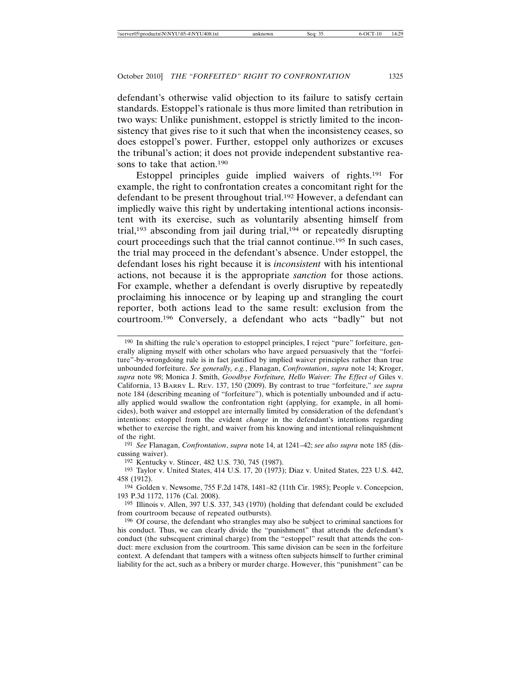defendant's otherwise valid objection to its failure to satisfy certain standards. Estoppel's rationale is thus more limited than retribution in two ways: Unlike punishment, estoppel is strictly limited to the inconsistency that gives rise to it such that when the inconsistency ceases, so does estoppel's power. Further, estoppel only authorizes or excuses the tribunal's action; it does not provide independent substantive reasons to take that action.190

Estoppel principles guide implied waivers of rights.191 For example, the right to confrontation creates a concomitant right for the defendant to be present throughout trial.192 However, a defendant can impliedly waive this right by undertaking intentional actions inconsistent with its exercise, such as voluntarily absenting himself from trial,193 absconding from jail during trial,194 or repeatedly disrupting court proceedings such that the trial cannot continue.195 In such cases, the trial may proceed in the defendant's absence. Under estoppel, the defendant loses his right because it is *inconsistent* with his intentional actions, not because it is the appropriate *sanction* for those actions. For example, whether a defendant is overly disruptive by repeatedly proclaiming his innocence or by leaping up and strangling the court reporter, both actions lead to the same result: exclusion from the courtroom.196 Conversely, a defendant who acts "badly" but not

192 Kentucky v. Stincer, 482 U.S. 730, 745 (1987).

<sup>190</sup> In shifting the rule's operation to estoppel principles, I reject "pure" forfeiture, generally aligning myself with other scholars who have argued persuasively that the "forfeiture"-by-wrongdoing rule is in fact justified by implied waiver principles rather than true unbounded forfeiture. *See generally, e.g.*, Flanagan, *Confrontation*, *supra* note 14; Kroger, *supra* note 98; Monica J. Smith, *Goodbye Forfeiture, Hello Waiver: The Effect of* Giles v. California, 13 BARRY L. REV. 137, 150 (2009). By contrast to true "forfeiture," *see supra* note 184 (describing meaning of "forfeiture"), which is potentially unbounded and if actually applied would swallow the confrontation right (applying, for example, in all homicides), both waiver and estoppel are internally limited by consideration of the defendant's intentions: estoppel from the evident *change* in the defendant's intentions regarding whether to exercise the right, and waiver from his knowing and intentional relinquishment of the right.

<sup>191</sup> *See* Flanagan, *Confrontation*, *supra* note 14, at 1241–42; *see also supra* note 185 (discussing waiver).

<sup>193</sup> Taylor v. United States, 414 U.S. 17, 20 (1973); Diaz v. United States, 223 U.S. 442, 458 (1912).

<sup>194</sup> Golden v. Newsome, 755 F.2d 1478, 1481–82 (11th Cir. 1985); People v. Concepcion, 193 P.3d 1172, 1176 (Cal. 2008).

<sup>195</sup> Illinois v. Allen, 397 U.S. 337, 343 (1970) (holding that defendant could be excluded from courtroom because of repeated outbursts).

<sup>196</sup> Of course, the defendant who strangles may also be subject to criminal sanctions for his conduct. Thus, we can clearly divide the "punishment" that attends the defendant's conduct (the subsequent criminal charge) from the "estoppel" result that attends the conduct: mere exclusion from the courtroom. This same division can be seen in the forfeiture context. A defendant that tampers with a witness often subjects himself to further criminal liability for the act, such as a bribery or murder charge. However, this "punishment" can be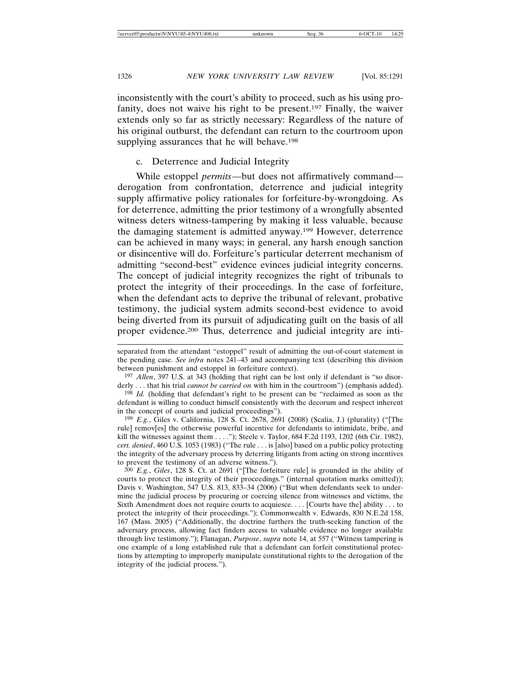inconsistently with the court's ability to proceed, such as his using profanity, does not waive his right to be present.<sup>197</sup> Finally, the waiver extends only so far as strictly necessary: Regardless of the nature of his original outburst, the defendant can return to the courtroom upon supplying assurances that he will behave.<sup>198</sup>

# c. Deterrence and Judicial Integrity

While estoppel *permits*—but does not affirmatively command derogation from confrontation, deterrence and judicial integrity supply affirmative policy rationales for forfeiture-by-wrongdoing. As for deterrence, admitting the prior testimony of a wrongfully absented witness deters witness-tampering by making it less valuable, because the damaging statement is admitted anyway.199 However, deterrence can be achieved in many ways; in general, any harsh enough sanction or disincentive will do. Forfeiture's particular deterrent mechanism of admitting "second-best" evidence evinces judicial integrity concerns. The concept of judicial integrity recognizes the right of tribunals to protect the integrity of their proceedings. In the case of forfeiture, when the defendant acts to deprive the tribunal of relevant, probative testimony, the judicial system admits second-best evidence to avoid being diverted from its pursuit of adjudicating guilt on the basis of all proper evidence.200 Thus, deterrence and judicial integrity are inti-

199 *E.g.*, Giles v. California, 128 S. Ct. 2678, 2691 (2008) (Scalia, J.) (plurality) ("[The rule] remov[es] the otherwise powerful incentive for defendants to intimidate, bribe, and kill the witnesses against them . . . ."); Steele v. Taylor, 684 F.2d 1193, 1202 (6th Cir. 1982), *cert. denied*, 460 U.S. 1053 (1983) ("The rule . . . is [also] based on a public policy protecting the integrity of the adversary process by deterring litigants from acting on strong incentives to prevent the testimony of an adverse witness.").

200 *E.g.*, *Giles*, 128 S. Ct. at 2691 ("[The forfeiture rule] is grounded in the ability of courts to protect the integrity of their proceedings." (internal quotation marks omitted)); Davis v. Washington, 547 U.S. 813, 833-34 (2006) ("But when defendants seek to undermine the judicial process by procuring or coercing silence from witnesses and victims, the Sixth Amendment does not require courts to acquiesce. . . . [Courts have the] ability . . . to protect the integrity of their proceedings."); Commonwealth v. Edwards, 830 N.E.2d 158, 167 (Mass. 2005) ("Additionally, the doctrine furthers the truth-seeking function of the adversary process, allowing fact finders access to valuable evidence no longer available through live testimony."); Flanagan, *Purpose*, *supra* note 14, at 557 ("Witness tampering is one example of a long established rule that a defendant can forfeit constitutional protections by attempting to improperly manipulate constitutional rights to the derogation of the integrity of the judicial process.").

separated from the attendant "estoppel" result of admitting the out-of-court statement in the pending case. *See infra* notes 241–43 and accompanying text (describing this division between punishment and estoppel in forfeiture context).

<sup>197</sup> *Allen*, 397 U.S. at 343 (holding that right can be lost only if defendant is "so disorderly . . . that his trial *cannot be carried on* with him in the courtroom") (emphasis added).

<sup>198</sup> *Id.* (holding that defendant's right to be present can be "reclaimed as soon as the defendant is willing to conduct himself consistently with the decorum and respect inherent in the concept of courts and judicial proceedings").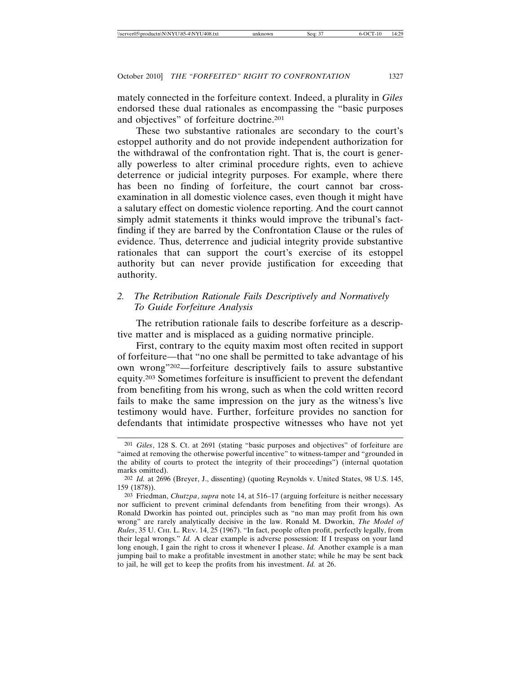mately connected in the forfeiture context. Indeed, a plurality in *Giles* endorsed these dual rationales as encompassing the "basic purposes and objectives" of forfeiture doctrine.201

These two substantive rationales are secondary to the court's estoppel authority and do not provide independent authorization for the withdrawal of the confrontation right. That is, the court is generally powerless to alter criminal procedure rights, even to achieve deterrence or judicial integrity purposes. For example, where there has been no finding of forfeiture, the court cannot bar crossexamination in all domestic violence cases, even though it might have a salutary effect on domestic violence reporting. And the court cannot simply admit statements it thinks would improve the tribunal's factfinding if they are barred by the Confrontation Clause or the rules of evidence. Thus, deterrence and judicial integrity provide substantive rationales that can support the court's exercise of its estoppel authority but can never provide justification for exceeding that authority.

# *2. The Retribution Rationale Fails Descriptively and Normatively To Guide Forfeiture Analysis*

The retribution rationale fails to describe forfeiture as a descriptive matter and is misplaced as a guiding normative principle.

First, contrary to the equity maxim most often recited in support of forfeiture—that "no one shall be permitted to take advantage of his own wrong"202—forfeiture descriptively fails to assure substantive equity.203 Sometimes forfeiture is insufficient to prevent the defendant from benefiting from his wrong, such as when the cold written record fails to make the same impression on the jury as the witness's live testimony would have. Further, forfeiture provides no sanction for defendants that intimidate prospective witnesses who have not yet

<sup>201</sup> *Giles*, 128 S. Ct. at 2691 (stating "basic purposes and objectives" of forfeiture are "aimed at removing the otherwise powerful incentive" to witness-tamper and "grounded in the ability of courts to protect the integrity of their proceedings") (internal quotation marks omitted).

<sup>202</sup> *Id.* at 2696 (Breyer, J., dissenting) (quoting Reynolds v. United States, 98 U.S. 145, 159 (1878)).

<sup>203</sup> Friedman, *Chutzpa*, *supra* note 14, at 516–17 (arguing forfeiture is neither necessary nor sufficient to prevent criminal defendants from benefiting from their wrongs). As Ronald Dworkin has pointed out, principles such as "no man may profit from his own wrong" are rarely analytically decisive in the law. Ronald M. Dworkin, *The Model of Rules*, 35 U. CHI. L. REV. 14, 25 (1967). "In fact, people often profit, perfectly legally, from their legal wrongs." *Id.* A clear example is adverse possession: If I trespass on your land long enough, I gain the right to cross it whenever I please. *Id.* Another example is a man jumping bail to make a profitable investment in another state; while he may be sent back to jail, he will get to keep the profits from his investment. *Id.* at 26.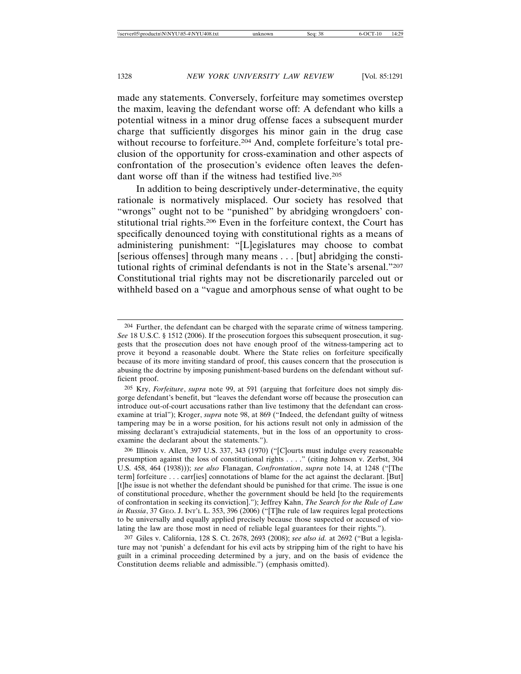made any statements. Conversely, forfeiture may sometimes overstep the maxim, leaving the defendant worse off: A defendant who kills a potential witness in a minor drug offense faces a subsequent murder charge that sufficiently disgorges his minor gain in the drug case without recourse to forfeiture.<sup>204</sup> And, complete forfeiture's total preclusion of the opportunity for cross-examination and other aspects of confrontation of the prosecution's evidence often leaves the defendant worse off than if the witness had testified live.<sup>205</sup>

In addition to being descriptively under-determinative, the equity rationale is normatively misplaced. Our society has resolved that "wrongs" ought not to be "punished" by abridging wrongdoers' constitutional trial rights.206 Even in the forfeiture context, the Court has specifically denounced toying with constitutional rights as a means of administering punishment: "[L]egislatures may choose to combat [serious offenses] through many means . . . [but] abridging the constitutional rights of criminal defendants is not in the State's arsenal."207 Constitutional trial rights may not be discretionarily parceled out or withheld based on a "vague and amorphous sense of what ought to be

<sup>204</sup> Further, the defendant can be charged with the separate crime of witness tampering. *See* 18 U.S.C. § 1512 (2006). If the prosecution forgoes this subsequent prosecution, it suggests that the prosecution does not have enough proof of the witness-tampering act to prove it beyond a reasonable doubt. Where the State relies on forfeiture specifically because of its more inviting standard of proof, this causes concern that the prosecution is abusing the doctrine by imposing punishment-based burdens on the defendant without sufficient proof.

<sup>205</sup> Kry, *Forfeiture*, *supra* note 99, at 591 (arguing that forfeiture does not simply disgorge defendant's benefit, but "leaves the defendant worse off because the prosecution can introduce out-of-court accusations rather than live testimony that the defendant can crossexamine at trial"); Kroger, *supra* note 98, at 869 ("Indeed, the defendant guilty of witness tampering may be in a worse position, for his actions result not only in admission of the missing declarant's extrajudicial statements, but in the loss of an opportunity to crossexamine the declarant about the statements.").

<sup>206</sup> Illinois v. Allen, 397 U.S. 337, 343 (1970) ("[C]ourts must indulge every reasonable presumption against the loss of constitutional rights . . . ." (citing Johnson v. Zerbst, 304 U.S. 458, 464 (1938))); *see also* Flanagan, *Confrontation*, *supra* note 14, at 1248 ("[The term] forfeiture . . . carr[ies] connotations of blame for the act against the declarant. [But] [t]he issue is not whether the defendant should be punished for that crime. The issue is one of constitutional procedure, whether the government should be held [to the requirements of confrontation in seeking its conviction]."); Jeffrey Kahn, *The Search for the Rule of Law in Russia*, 37 GEO. J. INT'L L. 353, 396 (2006) ("[T]he rule of law requires legal protections to be universally and equally applied precisely because those suspected or accused of violating the law are those most in need of reliable legal guarantees for their rights.").

<sup>207</sup> Giles v. California, 128 S. Ct. 2678, 2693 (2008); *see also id.* at 2692 ("But a legislature may not 'punish' a defendant for his evil acts by stripping him of the right to have his guilt in a criminal proceeding determined by a jury, and on the basis of evidence the Constitution deems reliable and admissible.") (emphasis omitted).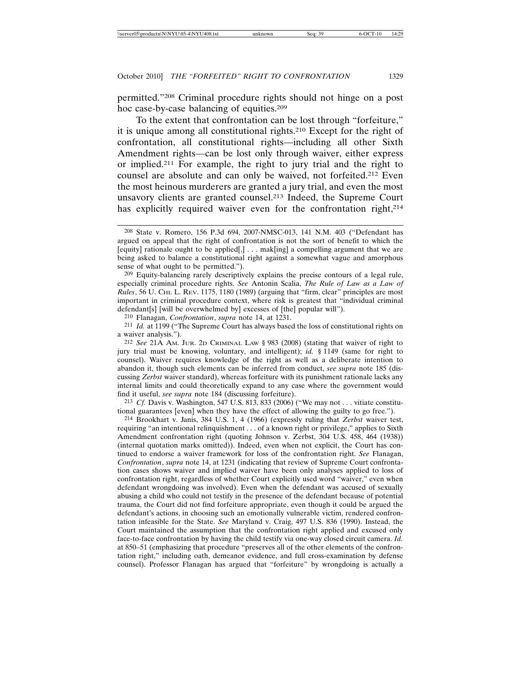permitted."208 Criminal procedure rights should not hinge on a post hoc case-by-case balancing of equities.209

To the extent that confrontation can be lost through "forfeiture," it is unique among all constitutional rights.210 Except for the right of confrontation, all constitutional rights—including all other Sixth Amendment rights—can be lost only through waiver, either express or implied.211 For example, the right to jury trial and the right to counsel are absolute and can only be waived, not forfeited.212 Even the most heinous murderers are granted a jury trial, and even the most unsavory clients are granted counsel.213 Indeed, the Supreme Court has explicitly required waiver even for the confrontation right,<sup>214</sup>

209 Equity-balancing rarely descriptively explains the precise contours of a legal rule, especially criminal procedure rights. *See* Antonin Scalia, *The Rule of Law as a Law of Rules*, 56 U. CHI. L. REV. 1175, 1180 (1989) (arguing that "firm, clear" principles are most important in criminal procedure context, where risk is greatest that "individual criminal defendant[s] [will be overwhelmed by] excesses of [the] popular will").

210 Flanagan, *Confrontation*, *supra* note 14, at 1231.

211 *Id.* at 1199 ("The Supreme Court has always based the loss of constitutional rights on a waiver analysis.").

212 *See* 21A AM. JUR. 2D CRIMINAL LAW § 983 (2008) (stating that waiver of right to jury trial must be knowing, voluntary, and intelligent); *id.* § 1149 (same for right to counsel). Waiver requires knowledge of the right as well as a deliberate intention to abandon it, though such elements can be inferred from conduct, *see supra* note 185 (discussing *Zerbst* waiver standard), whereas forfeiture with its punishment rationale lacks any internal limits and could theoretically expand to any case where the government would find it useful, *see supra* note 184 (discussing forfeiture).

213 *Cf.* Davis v. Washington, 547 U.S. 813, 833 (2006) ("We may not . . . vitiate constitutional guarantees [even] when they have the effect of allowing the guilty to go free.").

214 Brookhart v. Janis, 384 U.S. 1, 4 (1966) (expressly ruling that *Zerbst* waiver test, requiring "an intentional relinquishment . . . of a known right or privilege," applies to Sixth Amendment confrontation right (quoting Johnson v. Zerbst, 304 U.S. 458, 464 (1938)) (internal quotation marks omitted)). Indeed, even when not explicit, the Court has continued to endorse a waiver framework for loss of the confrontation right. *See* Flanagan, *Confrontation*, *supra* note 14, at 1231 (indicating that review of Supreme Court confrontation cases shows waiver and implied waiver have been only analyses applied to loss of confrontation right, regardless of whether Court explicitly used word "waiver," even when defendant wrongdoing was involved). Even when the defendant was accused of sexually abusing a child who could not testify in the presence of the defendant because of potential trauma, the Court did not find forfeiture appropriate, even though it could be argued the defendant's actions, in choosing such an emotionally vulnerable victim, rendered confrontation infeasible for the State. *See* Maryland v. Craig, 497 U.S. 836 (1990). Instead, the Court maintained the assumption that the confrontation right applied and excused only face-to-face confrontation by having the child testify via one-way closed circuit camera. *Id.* at 850–51 (emphasizing that procedure "preserves all of the other elements of the confrontation right," including oath, demeanor evidence, and full cross-examination by defense counsel). Professor Flanagan has argued that "forfeiture" by wrongdoing is actually a

<sup>208</sup> State v. Romero, 156 P.3d 694, 2007-NMSC-013, 141 N.M. 403 ("Defendant has argued on appeal that the right of confrontation is not the sort of benefit to which the [equity] rationale ought to be applied[,] . . . mak[ing] a compelling argument that we are being asked to balance a constitutional right against a somewhat vague and amorphous sense of what ought to be permitted.").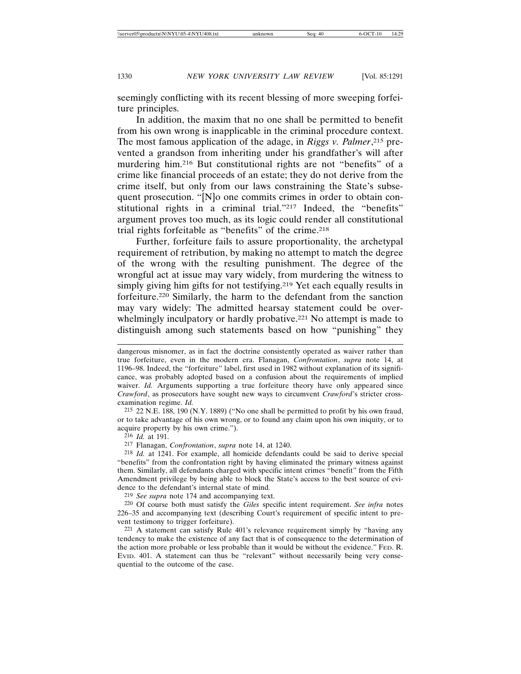seemingly conflicting with its recent blessing of more sweeping forfeiture principles.

In addition, the maxim that no one shall be permitted to benefit from his own wrong is inapplicable in the criminal procedure context. The most famous application of the adage, in *Riggs v. Palmer*, 215 prevented a grandson from inheriting under his grandfather's will after murdering him.216 But constitutional rights are not "benefits" of a crime like financial proceeds of an estate; they do not derive from the crime itself, but only from our laws constraining the State's subsequent prosecution. "[N]o one commits crimes in order to obtain constitutional rights in a criminal trial."217 Indeed, the "benefits" argument proves too much, as its logic could render all constitutional trial rights forfeitable as "benefits" of the crime.<sup>218</sup>

Further, forfeiture fails to assure proportionality, the archetypal requirement of retribution, by making no attempt to match the degree of the wrong with the resulting punishment. The degree of the wrongful act at issue may vary widely, from murdering the witness to simply giving him gifts for not testifying.<sup>219</sup> Yet each equally results in forfeiture.220 Similarly, the harm to the defendant from the sanction may vary widely: The admitted hearsay statement could be overwhelmingly inculpatory or hardly probative.<sup>221</sup> No attempt is made to distinguish among such statements based on how "punishing" they

215 22 N.E. 188, 190 (N.Y. 1889) ("No one shall be permitted to profit by his own fraud, or to take advantage of his own wrong, or to found any claim upon his own iniquity, or to acquire property by his own crime.").

216 *Id.* at 191.

217 Flanagan, *Confrontation*, *supra* note 14, at 1240.

218 *Id.* at 1241. For example, all homicide defendants could be said to derive special "benefits" from the confrontation right by having eliminated the primary witness against them. Similarly, all defendants charged with specific intent crimes "benefit" from the Fifth Amendment privilege by being able to block the State's access to the best source of evidence to the defendant's internal state of mind.

219 *See supra* note 174 and accompanying text.

220 Of course both must satisfy the *Giles* specific intent requirement. *See infra* notes 226–35 and accompanying text (describing Court's requirement of specific intent to prevent testimony to trigger forfeiture).

221 A statement can satisfy Rule 401's relevance requirement simply by "having any tendency to make the existence of any fact that is of consequence to the determination of the action more probable or less probable than it would be without the evidence." FED. R. EVID. 401. A statement can thus be "relevant" without necessarily being very consequential to the outcome of the case.

dangerous misnomer, as in fact the doctrine consistently operated as waiver rather than true forfeiture, even in the modern era. Flanagan, *Confrontation*, *supra* note 14, at 1196–98. Indeed, the "forfeiture" label, first used in 1982 without explanation of its significance, was probably adopted based on a confusion about the requirements of implied waiver. *Id.* Arguments supporting a true forfeiture theory have only appeared since *Crawford*, as prosecutors have sought new ways to circumvent *Crawford*'s stricter crossexamination regime. *Id.*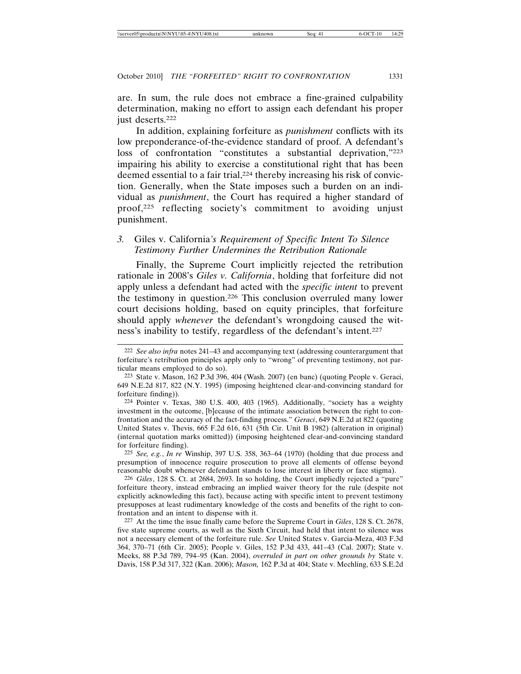are. In sum, the rule does not embrace a fine-grained culpability determination, making no effort to assign each defendant his proper just deserts.222

In addition, explaining forfeiture as *punishment* conflicts with its low preponderance-of-the-evidence standard of proof. A defendant's loss of confrontation "constitutes a substantial deprivation,"223 impairing his ability to exercise a constitutional right that has been deemed essential to a fair trial,<sup>224</sup> thereby increasing his risk of conviction. Generally, when the State imposes such a burden on an individual as *punishment*, the Court has required a higher standard of proof,225 reflecting society's commitment to avoiding unjust punishment.

# *3.* Giles v. California*'s Requirement of Specific Intent To Silence Testimony Further Undermines the Retribution Rationale*

Finally, the Supreme Court implicitly rejected the retribution rationale in 2008's *Giles v. California*, holding that forfeiture did not apply unless a defendant had acted with the *specific intent* to prevent the testimony in question.226 This conclusion overruled many lower court decisions holding, based on equity principles, that forfeiture should apply *whenever* the defendant's wrongdoing caused the witness's inability to testify, regardless of the defendant's intent.227

224 Pointer v. Texas, 380 U.S. 400, 403 (1965). Additionally, "society has a weighty investment in the outcome, [b]ecause of the intimate association between the right to confrontation and the accuracy of the fact-finding process." *Geraci*, 649 N.E.2d at 822 (quoting United States v. Thevis, 665 F.2d 616, 631 (5th Cir. Unit B 1982) (alteration in original) (internal quotation marks omitted)) (imposing heightened clear-and-convincing standard for forfeiture finding).

225 *See, e.g.*, *In re* Winship, 397 U.S. 358, 363–64 (1970) (holding that due process and presumption of innocence require prosecution to prove all elements of offense beyond reasonable doubt whenever defendant stands to lose interest in liberty or face stigma).

226 *Giles*, 128 S. Ct. at 2684, 2693. In so holding, the Court impliedly rejected a "pure" forfeiture theory, instead embracing an implied waiver theory for the rule (despite not explicitly acknowleding this fact), because acting with specific intent to prevent testimony presupposes at least rudimentary knowledge of the costs and benefits of the right to confrontation and an intent to dispense with it.

227 At the time the issue finally came before the Supreme Court in *Giles*, 128 S. Ct. 2678, five state supreme courts, as well as the Sixth Circuit, had held that intent to silence was not a necessary element of the forfeiture rule. *See* United States v. Garcia-Meza, 403 F.3d 364, 370–71 (6th Cir. 2005); People v. Giles, 152 P.3d 433, 441–43 (Cal. 2007); State v. Meeks, 88 P.3d 789, 794–95 (Kan. 2004), *overruled in part on other grounds by* State v. Davis, 158 P.3d 317, 322 (Kan. 2006); *Mason,* 162 P.3d at 404; State v. Mechling, 633 S.E.2d

<sup>222</sup> *See also infra* notes 241–43 and accompanying text (addressing counterargument that forfeiture's retribution principles apply only to "wrong" of preventing testimony, not particular means employed to do so).

<sup>223</sup> State v. Mason, 162 P.3d 396, 404 (Wash. 2007) (en banc) (quoting People v. Geraci, 649 N.E.2d 817, 822 (N.Y. 1995) (imposing heightened clear-and-convincing standard for forfeiture finding)).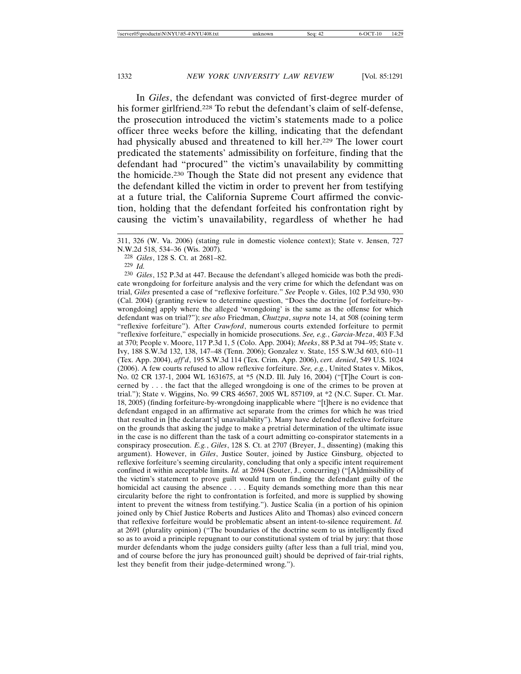In *Giles*, the defendant was convicted of first-degree murder of his former girlfriend.<sup>228</sup> To rebut the defendant's claim of self-defense, the prosecution introduced the victim's statements made to a police officer three weeks before the killing, indicating that the defendant had physically abused and threatened to kill her.<sup>229</sup> The lower court predicated the statements' admissibility on forfeiture, finding that the defendant had "procured" the victim's unavailability by committing the homicide.230 Though the State did not present any evidence that the defendant killed the victim in order to prevent her from testifying at a future trial, the California Supreme Court affirmed the conviction, holding that the defendant forfeited his confrontation right by causing the victim's unavailability, regardless of whether he had

230 *Giles*, 152 P.3d at 447. Because the defendant's alleged homicide was both the predicate wrongdoing for forfeiture analysis and the very crime for which the defendant was on trial, *Giles* presented a case of "reflexive forfeiture." *See* People v. Giles, 102 P.3d 930, 930 (Cal. 2004) (granting review to determine question, "Does the doctrine [of forfeiture-bywrongdoing] apply where the alleged 'wrongdoing' is the same as the offense for which defendant was on trial?"); *see also* Friedman, *Chutzpa*, *supra* note 14, at 508 (coining term "reflexive forfeiture"). After *Crawford*, numerous courts extended forfeiture to permit "reflexive forfeiture," especially in homicide prosecutions. *See, e.g.*, *Garcia-Meza*, 403 F.3d at 370; People v. Moore, 117 P.3d 1, 5 (Colo. App. 2004); *Meeks*, 88 P.3d at 794–95; State v. Ivy, 188 S.W.3d 132, 138, 147–48 (Tenn. 2006); Gonzalez v. State, 155 S.W.3d 603, 610–11 (Tex. App. 2004), *aff'd*, 195 S.W.3d 114 (Tex. Crim. App. 2006), *cert. denied*, 549 U.S. 1024 (2006). A few courts refused to allow reflexive forfeiture. *See, e.g.*, United States v. Mikos, No. 02 CR 137-1, 2004 WL 1631675, at \*5 (N.D. Ill. July 16, 2004) ("[T]he Court is concerned by . . . the fact that the alleged wrongdoing is one of the crimes to be proven at trial."); State v. Wiggins, No. 99 CRS 46567, 2005 WL 857109, at \*2 (N.C. Super. Ct. Mar. 18, 2005) (finding forfeiture-by-wrongdoing inapplicable where "[t]here is no evidence that defendant engaged in an affirmative act separate from the crimes for which he was tried that resulted in [the declarant's] unavailability"). Many have defended reflexive forfeiture on the grounds that asking the judge to make a pretrial determination of the ultimate issue in the case is no different than the task of a court admitting co-conspirator statements in a conspiracy prosecution. *E.g.*, *Giles*, 128 S. Ct. at 2707 (Breyer, J., dissenting) (making this argument). However, in *Giles*, Justice Souter, joined by Justice Ginsburg, objected to reflexive forfeiture's seeming circularity, concluding that only a specific intent requirement confined it within acceptable limits. *Id.* at 2694 (Souter, J., concurring) ("[A]dmissibility of the victim's statement to prove guilt would turn on finding the defendant guilty of the homicidal act causing the absence . . . . Equity demands something more than this near circularity before the right to confrontation is forfeited, and more is supplied by showing intent to prevent the witness from testifying."). Justice Scalia (in a portion of his opinion joined only by Chief Justice Roberts and Justices Alito and Thomas) also evinced concern that reflexive forfeiture would be problematic absent an intent-to-silence requirement. *Id.* at 2691 (plurality opinion) ("The boundaries of the doctrine seem to us intelligently fixed so as to avoid a principle repugnant to our constitutional system of trial by jury: that those murder defendants whom the judge considers guilty (after less than a full trial, mind you, and of course before the jury has pronounced guilt) should be deprived of fair-trial rights, lest they benefit from their judge-determined wrong.").

<sup>311, 326 (</sup>W. Va. 2006) (stating rule in domestic violence context); State v. Jensen, 727 N.W.2d 518, 534–36 (Wis. 2007).

<sup>228</sup> *Giles*, 128 S. Ct. at 2681–82.

<sup>229</sup> *Id.*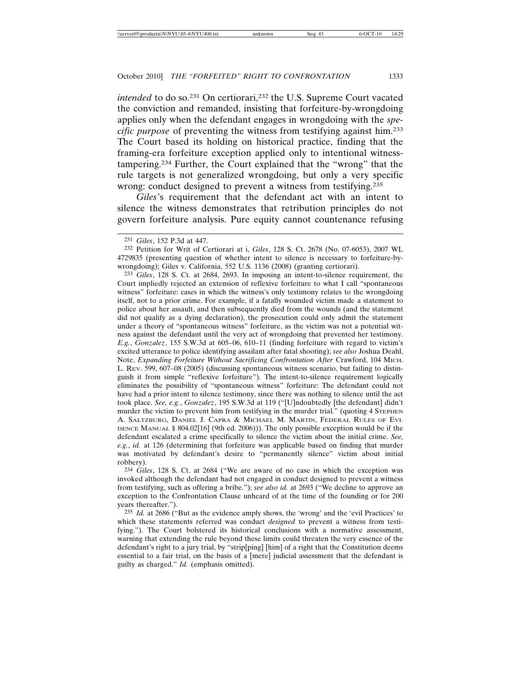*intended* to do so.<sup>231</sup> On certiorari,<sup>232</sup> the U.S. Supreme Court vacated the conviction and remanded, insisting that forfeiture-by-wrongdoing applies only when the defendant engages in wrongdoing with the *specific purpose* of preventing the witness from testifying against him.233 The Court based its holding on historical practice, finding that the framing-era forfeiture exception applied only to intentional witnesstampering.234 Further, the Court explained that the "wrong" that the rule targets is not generalized wrongdoing, but only a very specific wrong: conduct designed to prevent a witness from testifying.235

*Giles*'s requirement that the defendant act with an intent to silence the witness demonstrates that retribution principles do not govern forfeiture analysis. Pure equity cannot countenance refusing

232 Petition for Writ of Certiorari at i, *Giles*, 128 S. Ct. 2678 (No. 07-6053), 2007 WL 4729835 (presenting question of whether intent to silence is necessary to forfeiture-bywrongdoing); Giles v. California, 552 U.S. 1136 (2008) (granting certiorari).

233 *Giles*, 128 S. Ct. at 2684, 2693. In imposing an intent-to-silence requirement, the Court impliedly rejected an extension of reflexive forfeiture to what I call "spontaneous witness" forfeiture: cases in which the witness's only testimony relates to the wrongdoing itself, not to a prior crime. For example, if a fatally wounded victim made a statement to police about her assault, and then subsequently died from the wounds (and the statement did not qualify as a dying declaration), the prosecution could only admit the statement under a theory of "spontaneous witness" forfeiture, as the victim was not a potential witness against the defendant until the very act of wrongdoing that prevented her testimony. *E.g.*, *Gonzalez*, 155 S.W.3d at 605–06, 610–11 (finding forfeiture with regard to victim's excited utterance to police identifying assailant after fatal shooting); *see also* Joshua Deahl, Note, *Expanding Forfeiture Without Sacrificing Confrontation After* Crawford, 104 MICH. L. REV. 599, 607–08 (2005) (discussing spontaneous witness scenario, but failing to distinguish it from simple "reflexive forfeiture"). The intent-to-silence requirement logically eliminates the possibility of "spontaneous witness" forfeiture: The defendant could not have had a prior intent to silence testimony, since there was nothing to silence until the act took place. *See, e.g.*, *Gonzalez*, 195 S.W.3d at 119 ("[U]ndoubtedly [the defendant] didn't murder the victim to prevent him from testifying in the murder trial." (quoting 4 STEPHEN A. SALTZBURG, DANIEL J. CAPRA & MICHAEL M. MARTIN, FEDERAL RULES OF EVI-DENCE MANUAL § 804.02[16] (9th ed. 2006))). The only possible exception would be if the defendant escalated a crime specifically to silence the victim about the initial crime. *See, e.g.*, *id.* at 126 (determining that forfeiture was applicable based on finding that murder was motivated by defendant's desire to "permanently silence" victim about initial robbery).

234 *Giles*, 128 S. Ct. at 2684 ("We are aware of no case in which the exception was invoked although the defendant had not engaged in conduct designed to prevent a witness from testifying, such as offering a bribe."); *see also id.* at 2693 ("We decline to approve an exception to the Confrontation Clause unheard of at the time of the founding or for 200 years thereafter.").

235 *Id.* at 2686 ("But as the evidence amply shows, the 'wrong' and the 'evil Practices' to which these statements referred was conduct *designed* to prevent a witness from testifying."). The Court bolstered its historical conclusions with a normative assessment, warning that extending the rule beyond these limits could threaten the very essence of the defendant's right to a jury trial, by "strip[ping] [him] of a right that the Constitution deems essential to a fair trial, on the basis of a [mere] judicial assessment that the defendant is guilty as charged." *Id.* (emphasis omitted).

<sup>231</sup> *Giles*, 152 P.3d at 447.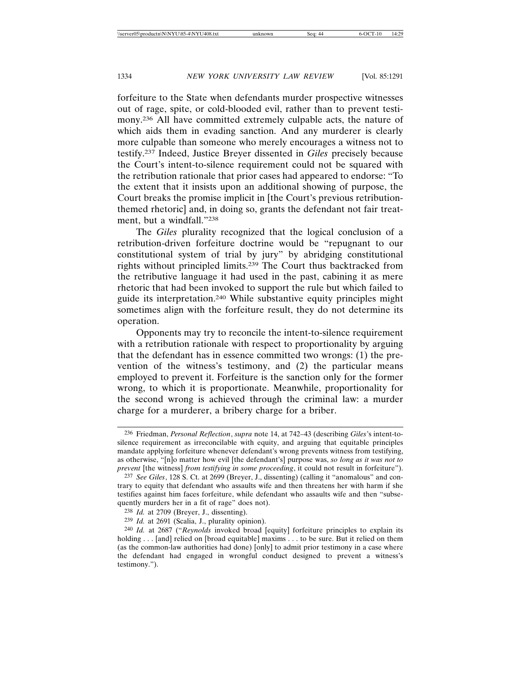forfeiture to the State when defendants murder prospective witnesses out of rage, spite, or cold-blooded evil, rather than to prevent testimony.236 All have committed extremely culpable acts, the nature of which aids them in evading sanction. And any murderer is clearly more culpable than someone who merely encourages a witness not to testify.237 Indeed, Justice Breyer dissented in *Giles* precisely because the Court's intent-to-silence requirement could not be squared with the retribution rationale that prior cases had appeared to endorse: "To the extent that it insists upon an additional showing of purpose, the Court breaks the promise implicit in [the Court's previous retributionthemed rhetoric] and, in doing so, grants the defendant not fair treatment, but a windfall."238

The *Giles* plurality recognized that the logical conclusion of a retribution-driven forfeiture doctrine would be "repugnant to our constitutional system of trial by jury" by abridging constitutional rights without principled limits.239 The Court thus backtracked from the retributive language it had used in the past, cabining it as mere rhetoric that had been invoked to support the rule but which failed to guide its interpretation.240 While substantive equity principles might sometimes align with the forfeiture result, they do not determine its operation.

Opponents may try to reconcile the intent-to-silence requirement with a retribution rationale with respect to proportionality by arguing that the defendant has in essence committed two wrongs: (1) the prevention of the witness's testimony, and (2) the particular means employed to prevent it. Forfeiture is the sanction only for the former wrong, to which it is proportionate. Meanwhile, proportionality for the second wrong is achieved through the criminal law: a murder charge for a murderer, a bribery charge for a briber.

<sup>236</sup> Friedman, *Personal Reflection*, *supra* note 14, at 742–43 (describing *Giles*'s intent-tosilence requirement as irreconcilable with equity, and arguing that equitable principles mandate applying forfeiture whenever defendant's wrong prevents witness from testifying, as otherwise, "[n]o matter how evil [the defendant's] purpose was, *so long as it was not to prevent* [the witness] *from testifying in some proceeding*, it could not result in forfeiture").

<sup>237</sup> *See Giles*, 128 S. Ct. at 2699 (Breyer, J., dissenting) (calling it "anomalous" and contrary to equity that defendant who assaults wife and then threatens her with harm if she testifies against him faces forfeiture, while defendant who assaults wife and then "subsequently murders her in a fit of rage" does not).

<sup>238</sup> *Id.* at 2709 (Breyer, J., dissenting).

<sup>239</sup> *Id.* at 2691 (Scalia, J., plurality opinion).

<sup>240</sup> *Id.* at 2687 ("*Reynolds* invoked broad [equity] forfeiture principles to explain its holding . . . [and] relied on [broad equitable] maxims . . . to be sure. But it relied on them (as the common-law authorities had done) [only] to admit prior testimony in a case where the defendant had engaged in wrongful conduct designed to prevent a witness's testimony.").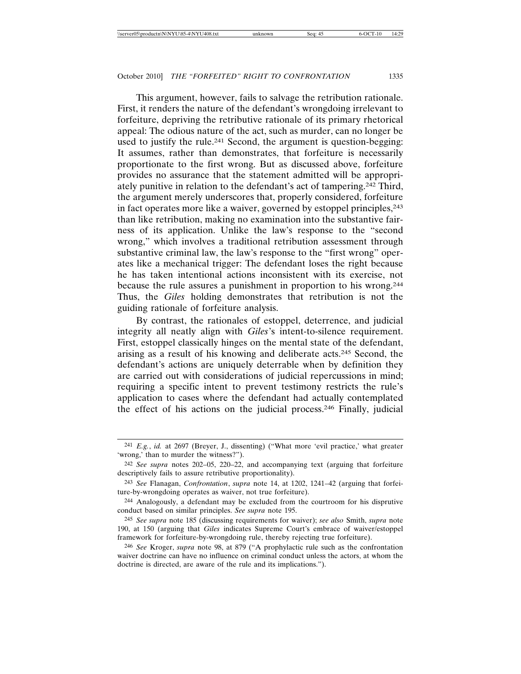This argument, however, fails to salvage the retribution rationale. First, it renders the nature of the defendant's wrongdoing irrelevant to forfeiture, depriving the retributive rationale of its primary rhetorical appeal: The odious nature of the act, such as murder, can no longer be used to justify the rule.241 Second, the argument is question-begging: It assumes, rather than demonstrates, that forfeiture is necessarily proportionate to the first wrong. But as discussed above, forfeiture provides no assurance that the statement admitted will be appropriately punitive in relation to the defendant's act of tampering.242 Third, the argument merely underscores that, properly considered, forfeiture in fact operates more like a waiver, governed by estoppel principles, <sup>243</sup> than like retribution, making no examination into the substantive fairness of its application. Unlike the law's response to the "second wrong," which involves a traditional retribution assessment through substantive criminal law, the law's response to the "first wrong" operates like a mechanical trigger: The defendant loses the right because he has taken intentional actions inconsistent with its exercise, not because the rule assures a punishment in proportion to his wrong.244 Thus, the *Giles* holding demonstrates that retribution is not the guiding rationale of forfeiture analysis.

By contrast, the rationales of estoppel, deterrence, and judicial integrity all neatly align with *Giles*'s intent-to-silence requirement. First, estoppel classically hinges on the mental state of the defendant, arising as a result of his knowing and deliberate acts.245 Second, the defendant's actions are uniquely deterrable when by definition they are carried out with considerations of judicial repercussions in mind; requiring a specific intent to prevent testimony restricts the rule's application to cases where the defendant had actually contemplated the effect of his actions on the judicial process.246 Finally, judicial

<sup>241</sup> *E.g.*, *id.* at 2697 (Breyer, J., dissenting) ("What more 'evil practice,' what greater 'wrong,' than to murder the witness?").

<sup>242</sup> *See supra* notes 202–05, 220–22, and accompanying text (arguing that forfeiture descriptively fails to assure retributive proportionality).

<sup>243</sup> *See* Flanagan, *Confrontation*, *supra* note 14, at 1202, 1241–42 (arguing that forfeiture-by-wrongdoing operates as waiver, not true forfeiture).

<sup>244</sup> Analogously, a defendant may be excluded from the courtroom for his disprutive conduct based on similar principles. *See supra* note 195.

<sup>245</sup> *See supra* note 185 (discussing requirements for waiver); *see also* Smith, *supra* note 190, at 150 (arguing that *Giles* indicates Supreme Court's embrace of waiver/estoppel framework for forfeiture-by-wrongdoing rule, thereby rejecting true forfeiture).

<sup>246</sup> *See* Kroger, *supra* note 98, at 879 ("A prophylactic rule such as the confrontation waiver doctrine can have no influence on criminal conduct unless the actors, at whom the doctrine is directed, are aware of the rule and its implications.").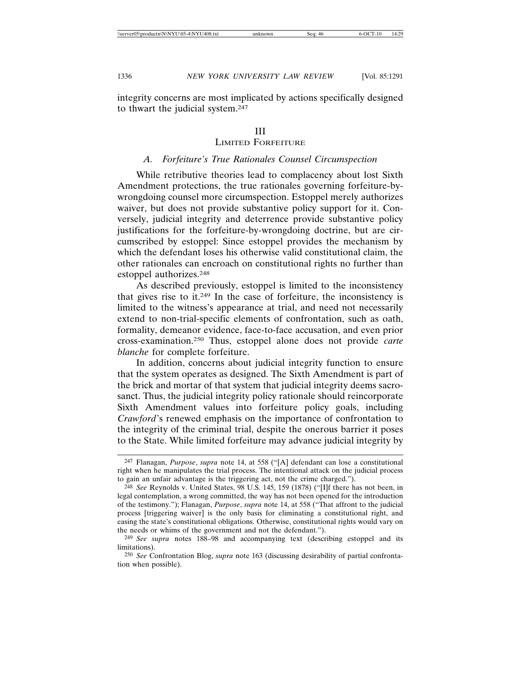# III

# LIMITED FORFEITURE

### *A. Forfeiture's True Rationales Counsel Circumspection*

While retributive theories lead to complacency about lost Sixth Amendment protections, the true rationales governing forfeiture-bywrongdoing counsel more circumspection. Estoppel merely authorizes waiver, but does not provide substantive policy support for it. Conversely, judicial integrity and deterrence provide substantive policy justifications for the forfeiture-by-wrongdoing doctrine, but are circumscribed by estoppel: Since estoppel provides the mechanism by which the defendant loses his otherwise valid constitutional claim, the other rationales can encroach on constitutional rights no further than estoppel authorizes.248

As described previously, estoppel is limited to the inconsistency that gives rise to it.249 In the case of forfeiture, the inconsistency is limited to the witness's appearance at trial, and need not necessarily extend to non-trial-specific elements of confrontation, such as oath, formality, demeanor evidence, face-to-face accusation, and even prior cross-examination.250 Thus, estoppel alone does not provide *carte blanche* for complete forfeiture.

In addition, concerns about judicial integrity function to ensure that the system operates as designed. The Sixth Amendment is part of the brick and mortar of that system that judicial integrity deems sacrosanct. Thus, the judicial integrity policy rationale should reincorporate Sixth Amendment values into forfeiture policy goals, including *Crawford*'s renewed emphasis on the importance of confrontation to the integrity of the criminal trial, despite the onerous barrier it poses to the State. While limited forfeiture may advance judicial integrity by

<sup>247</sup> Flanagan, *Purpose*, *supra* note 14, at 558 ("[A] defendant can lose a constitutional right when he manipulates the trial process. The intentional attack on the judicial process to gain an unfair advantage is the triggering act, not the crime charged.").

<sup>248</sup> *See* Reynolds v. United States, 98 U.S. 145, 159 (1878) ("[I]f there has not been, in legal contemplation, a wrong committed, the way has not been opened for the introduction of the testimony."); Flanagan, *Purpose*, *supra* note 14, at 558 ("That affront to the judicial process [triggering waiver] is the only basis for eliminating a constitutional right, and easing the state's constitutional obligations. Otherwise, constitutional rights would vary on the needs or whims of the government and not the defendant.").

<sup>249</sup> *See supra* notes 188–98 and accompanying text (describing estoppel and its limitations).

<sup>250</sup> *See* Confrontation Blog, *supra* note 163 (discussing desirability of partial confrontation when possible).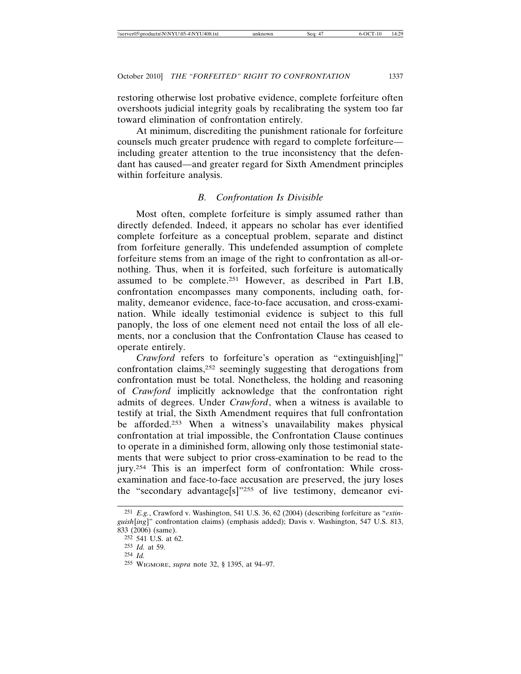restoring otherwise lost probative evidence, complete forfeiture often overshoots judicial integrity goals by recalibrating the system too far toward elimination of confrontation entirely.

At minimum, discrediting the punishment rationale for forfeiture counsels much greater prudence with regard to complete forfeiture including greater attention to the true inconsistency that the defendant has caused—and greater regard for Sixth Amendment principles within forfeiture analysis.

# *B. Confrontation Is Divisible*

Most often, complete forfeiture is simply assumed rather than directly defended. Indeed, it appears no scholar has ever identified complete forfeiture as a conceptual problem, separate and distinct from forfeiture generally. This undefended assumption of complete forfeiture stems from an image of the right to confrontation as all-ornothing. Thus, when it is forfeited, such forfeiture is automatically assumed to be complete.251 However, as described in Part I.B, confrontation encompasses many components, including oath, formality, demeanor evidence, face-to-face accusation, and cross-examination. While ideally testimonial evidence is subject to this full panoply, the loss of one element need not entail the loss of all elements, nor a conclusion that the Confrontation Clause has ceased to operate entirely.

*Crawford* refers to forfeiture's operation as "extinguish[ing]" confrontation claims,252 seemingly suggesting that derogations from confrontation must be total. Nonetheless, the holding and reasoning of *Crawford* implicitly acknowledge that the confrontation right admits of degrees. Under *Crawford*, when a witness is available to testify at trial, the Sixth Amendment requires that full confrontation be afforded.253 When a witness's unavailability makes physical confrontation at trial impossible, the Confrontation Clause continues to operate in a diminished form, allowing only those testimonial statements that were subject to prior cross-examination to be read to the jury.254 This is an imperfect form of confrontation: While crossexamination and face-to-face accusation are preserved, the jury loses the "secondary advantage[s]"255 of live testimony, demeanor evi-

<sup>251</sup> *E.g.*, Crawford v. Washington, 541 U.S. 36, 62 (2004) (describing forfeiture as "*extinguish*[*ing*]" confrontation claims) (emphasis added); Davis v. Washington, 547 U.S. 813, 833 (2006) (same).

<sup>252</sup> 541 U.S. at 62.

<sup>253</sup> *Id.* at 59.

<sup>254</sup> *Id.*

<sup>255</sup> WIGMORE, *supra* note 32, § 1395, at 94–97.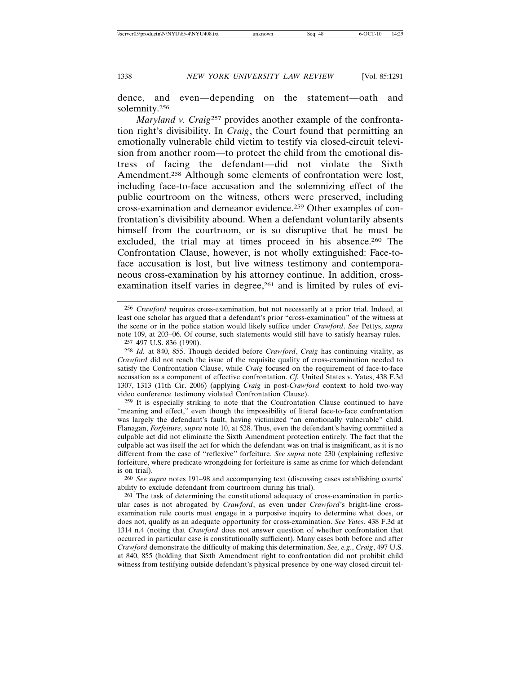dence, and even—depending on the statement—oath and solemnity.256

*Maryland v. Craig*257 provides another example of the confrontation right's divisibility. In *Craig*, the Court found that permitting an emotionally vulnerable child victim to testify via closed-circuit television from another room—to protect the child from the emotional distress of facing the defendant—did not violate the Sixth Amendment.258 Although some elements of confrontation were lost, including face-to-face accusation and the solemnizing effect of the public courtroom on the witness, others were preserved, including cross-examination and demeanor evidence.259 Other examples of confrontation's divisibility abound. When a defendant voluntarily absents himself from the courtroom, or is so disruptive that he must be excluded, the trial may at times proceed in his absence.<sup>260</sup> The Confrontation Clause, however, is not wholly extinguished: Face-toface accusation is lost, but live witness testimony and contemporaneous cross-examination by his attorney continue. In addition, crossexamination itself varies in degree,<sup>261</sup> and is limited by rules of evi-

<sup>256</sup> *Crawford* requires cross-examination, but not necessarily at a prior trial. Indeed, at least one scholar has argued that a defendant's prior "cross-examination" of the witness at the scene or in the police station would likely suffice under *Crawford*. *See* Pettys, *supra* note 109, at 203–06. Of course, such statements would still have to satisfy hearsay rules. 257 497 U.S. 836 (1990).

<sup>258</sup> *Id.* at 840, 855. Though decided before *Crawford*, *Craig* has continuing vitality, as *Crawford* did not reach the issue of the requisite quality of cross-examination needed to satisfy the Confrontation Clause, while *Craig* focused on the requirement of face-to-face accusation as a component of effective confrontation. *Cf.* United States v. Yates, 438 F.3d 1307, 1313 (11th Cir. 2006) (applying *Craig* in post-*Crawford* context to hold two-way video conference testimony violated Confrontation Clause).

<sup>259</sup> It is especially striking to note that the Confrontation Clause continued to have "meaning and effect," even though the impossibility of literal face-to-face confrontation was largely the defendant's fault, having victimized "an emotionally vulnerable" child. Flanagan, *Forfeiture*, *supra* note 10, at 528. Thus, even the defendant's having committed a culpable act did not eliminate the Sixth Amendment protection entirely. The fact that the culpable act was itself the act for which the defendant was on trial is insignificant, as it is no different from the case of "reflexive" forfeiture. *See supra* note 230 (explaining reflexive forfeiture, where predicate wrongdoing for forfeiture is same as crime for which defendant is on trial).

<sup>260</sup> *See supra* notes 191–98 and accompanying text (discussing cases establishing courts' ability to exclude defendant from courtroom during his trial).

<sup>&</sup>lt;sup>261</sup> The task of determining the constitutional adequacy of cross-examination in particular cases is not abrogated by *Crawford*, as even under *Crawford*'s bright-line crossexamination rule courts must engage in a purposive inquiry to determine what does, or does not, qualify as an adequate opportunity for cross-examination. *See Yates*, 438 F.3d at 1314 n.4 (noting that *Crawford* does not answer question of whether confrontation that occurred in particular case is constitutionally sufficient). Many cases both before and after *Crawford* demonstrate the difficulty of making this determination. *See, e.g.*, *Craig*, 497 U.S. at 840, 855 (holding that Sixth Amendment right to confrontation did not prohibit child witness from testifying outside defendant's physical presence by one-way closed circuit tel-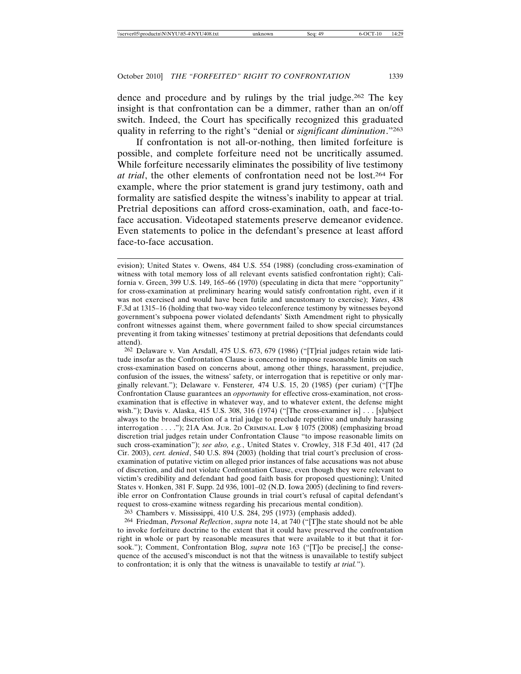dence and procedure and by rulings by the trial judge.262 The key insight is that confrontation can be a dimmer, rather than an on/off switch. Indeed, the Court has specifically recognized this graduated quality in referring to the right's "denial or *significant diminution*."263

If confrontation is not all-or-nothing, then limited forfeiture is possible, and complete forfeiture need not be uncritically assumed. While forfeiture necessarily eliminates the possibility of live testimony *at trial*, the other elements of confrontation need not be lost.264 For example, where the prior statement is grand jury testimony, oath and formality are satisfied despite the witness's inability to appear at trial. Pretrial depositions can afford cross-examination, oath, and face-toface accusation. Videotaped statements preserve demeanor evidence. Even statements to police in the defendant's presence at least afford face-to-face accusation.

262 Delaware v. Van Arsdall, 475 U.S. 673, 679 (1986) ("[T]rial judges retain wide latitude insofar as the Confrontation Clause is concerned to impose reasonable limits on such cross-examination based on concerns about, among other things, harassment, prejudice, confusion of the issues, the witness' safety, or interrogation that is repetitive or only marginally relevant."); Delaware v. Fensterer*,* 474 U.S. 15, 20 (1985) (per curiam) ("[T]he Confrontation Clause guarantees an *opportunity* for effective cross-examination, not crossexamination that is effective in whatever way, and to whatever extent, the defense might wish."); Davis v. Alaska, 415 U.S. 308, 316 (1974) ("[The cross-examiner is] . . . [s]ubject always to the broad discretion of a trial judge to preclude repetitive and unduly harassing interrogation . . . ."); 21A AM. JUR. 2D CRIMINAL LAW § 1075 (2008) (emphasizing broad discretion trial judges retain under Confrontation Clause "to impose reasonable limits on such cross-examination"); *see also, e.g.*, United States v. Crowley, 318 F.3d 401, 417 (2d Cir. 2003), *cert. denied*, 540 U.S. 894 (2003) (holding that trial court's preclusion of crossexamination of putative victim on alleged prior instances of false accusations was not abuse of discretion, and did not violate Confrontation Clause, even though they were relevant to victim's credibility and defendant had good faith basis for proposed questioning); United States v. Honken, 381 F. Supp. 2d 936, 1001–02 (N.D. Iowa 2005) (declining to find reversible error on Confrontation Clause grounds in trial court's refusal of capital defendant's request to cross-examine witness regarding his precarious mental condition).

263 Chambers v. Mississippi, 410 U.S. 284, 295 (1973) (emphasis added).

264 Friedman, *Personal Reflection*, *supra* note 14, at 740 ("[T]he state should not be able to invoke forfeiture doctrine to the extent that it could have preserved the confrontation right in whole or part by reasonable measures that were available to it but that it forsook."); Comment, Confrontation Blog, *supra* note 163 ("[T]o be precise<sup>[1]</sup>, the consequence of the accused's misconduct is not that the witness is unavailable to testify subject to confrontation; it is only that the witness is unavailable to testify *at trial.*").

evision); United States v. Owens, 484 U.S. 554 (1988) (concluding cross-examination of witness with total memory loss of all relevant events satisfied confrontation right); California v. Green, 399 U.S. 149, 165–66 (1970) (speculating in dicta that mere "opportunity" for cross-examination at preliminary hearing would satisfy confrontation right, even if it was not exercised and would have been futile and uncustomary to exercise); *Yates*, 438 F.3d at 1315–16 (holding that two-way video teleconference testimony by witnesses beyond government's subpoena power violated defendants' Sixth Amendment right to physically confront witnesses against them, where government failed to show special circumstances preventing it from taking witnesses' testimony at pretrial depositions that defendants could attend).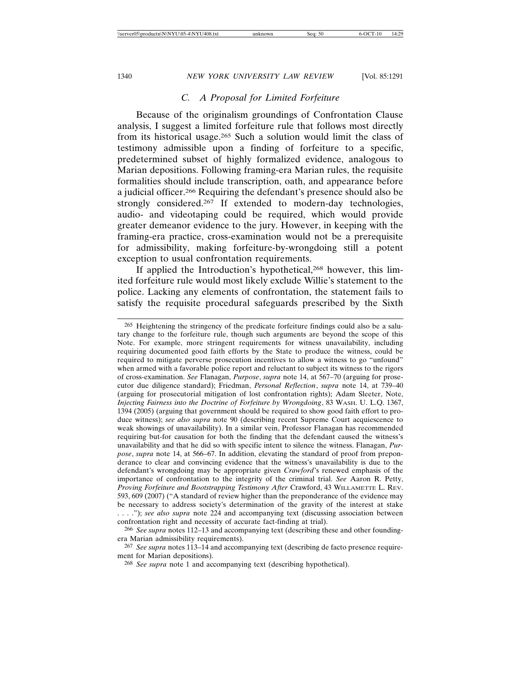# *C. A Proposal for Limited Forfeiture*

Because of the originalism groundings of Confrontation Clause analysis, I suggest a limited forfeiture rule that follows most directly from its historical usage.265 Such a solution would limit the class of testimony admissible upon a finding of forfeiture to a specific, predetermined subset of highly formalized evidence, analogous to Marian depositions. Following framing-era Marian rules, the requisite formalities should include transcription, oath, and appearance before a judicial officer.266 Requiring the defendant's presence should also be strongly considered.<sup>267</sup> If extended to modern-day technologies, audio- and videotaping could be required, which would provide greater demeanor evidence to the jury. However, in keeping with the framing-era practice, cross-examination would not be a prerequisite for admissibility, making forfeiture-by-wrongdoing still a potent exception to usual confrontation requirements.

If applied the Introduction's hypothetical,<sup>268</sup> however, this limited forfeiture rule would most likely exclude Willie's statement to the police. Lacking any elements of confrontation, the statement fails to satisfy the requisite procedural safeguards prescribed by the Sixth

<sup>265</sup> Heightening the stringency of the predicate forfeiture findings could also be a salutary change to the forfeiture rule, though such arguments are beyond the scope of this Note. For example, more stringent requirements for witness unavailability, including requiring documented good faith efforts by the State to produce the witness, could be required to mitigate perverse prosecution incentives to allow a witness to go "unfound" when armed with a favorable police report and reluctant to subject its witness to the rigors of cross-examination. *See* Flanagan, *Purpose*, *supra* note 14, at 567–70 (arguing for prosecutor due diligence standard); Friedman, *Personal Reflection*, *supra* note 14, at 739–40 (arguing for prosecutorial mitigation of lost confrontation rights); Adam Sleeter, Note, *Injecting Fairness into the Doctrine of Forfeiture by Wrongdoing*, 83 WASH. U. L.Q. 1367, 1394 (2005) (arguing that government should be required to show good faith effort to produce witness); *see also supra* note 90 (describing recent Supreme Court acquiescence to weak showings of unavailability). In a similar vein, Professor Flanagan has recommended requiring but-for causation for both the finding that the defendant caused the witness's unavailability and that he did so with specific intent to silence the witness. Flanagan, *Purpose*, *supra* note 14, at 566–67. In addition, elevating the standard of proof from preponderance to clear and convincing evidence that the witness's unavailability is due to the defendant's wrongdoing may be appropriate given *Crawford*'s renewed emphasis of the importance of confrontation to the integrity of the criminal trial. *See* Aaron R. Petty, *Proving Forfeiture and Bootstrapping Testimony After* Crawford, 43 WILLAMETTE L. REV. 593, 609 (2007) ("A standard of review higher than the preponderance of the evidence may be necessary to address society's determination of the gravity of the interest at stake . . . ."); *see also supra* note 224 and accompanying text (discussing association between confrontation right and necessity of accurate fact-finding at trial).

<sup>266</sup> *See supra* notes 112–13 and accompanying text (describing these and other foundingera Marian admissibility requirements).

<sup>267</sup> *See supra* notes 113–14 and accompanying text (describing de facto presence requirement for Marian depositions).

<sup>268</sup> *See supra* note 1 and accompanying text (describing hypothetical).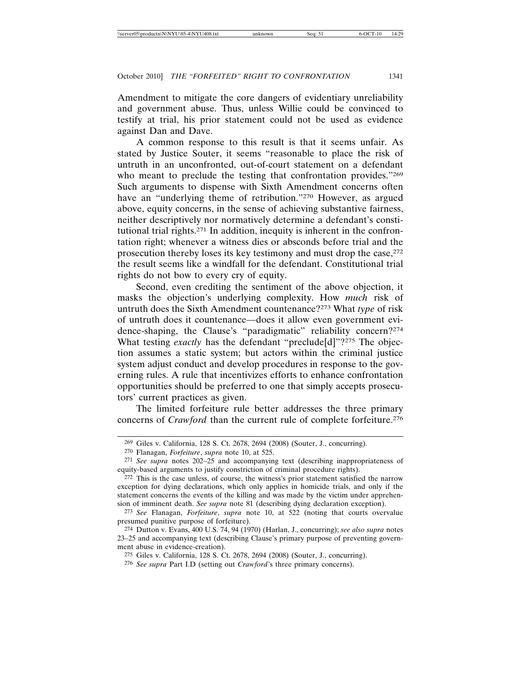Amendment to mitigate the core dangers of evidentiary unreliability and government abuse. Thus, unless Willie could be convinced to testify at trial, his prior statement could not be used as evidence against Dan and Dave.

A common response to this result is that it seems unfair. As stated by Justice Souter, it seems "reasonable to place the risk of untruth in an unconfronted, out-of-court statement on a defendant who meant to preclude the testing that confrontation provides."269 Such arguments to dispense with Sixth Amendment concerns often have an "underlying theme of retribution."<sup>270</sup> However, as argued above, equity concerns, in the sense of achieving substantive fairness, neither descriptively nor normatively determine a defendant's constitutional trial rights.271 In addition, inequity is inherent in the confrontation right; whenever a witness dies or absconds before trial and the prosecution thereby loses its key testimony and must drop the case,<sup>272</sup> the result seems like a windfall for the defendant. Constitutional trial rights do not bow to every cry of equity.

Second, even crediting the sentiment of the above objection, it masks the objection's underlying complexity. How *much* risk of untruth does the Sixth Amendment countenance?273 What *type* of risk of untruth does it countenance—does it allow even government evidence-shaping, the Clause's "paradigmatic" reliability concern?274 What testing *exactly* has the defendant "preclude[d]"?<sup>275</sup> The objection assumes a static system; but actors within the criminal justice system adjust conduct and develop procedures in response to the governing rules. A rule that incentivizes efforts to enhance confrontation opportunities should be preferred to one that simply accepts prosecutors' current practices as given.

The limited forfeiture rule better addresses the three primary concerns of *Crawford* than the current rule of complete forfeiture.276

273 *See* Flanagan, *Forfeiture*, *supra* note 10, at 522 (noting that courts overvalue presumed punitive purpose of forfeiture).

274 Dutton v. Evans, 400 U.S. 74, 94 (1970) (Harlan, J., concurring); *see also supra* notes 23–25 and accompanying text (describing Clause's primary purpose of preventing government abuse in evidence-creation).

275 Giles v. California, 128 S. Ct. 2678, 2694 (2008) (Souter, J., concurring).

<sup>269</sup> Giles v. California, 128 S. Ct. 2678, 2694 (2008) (Souter, J., concurring).

<sup>270</sup> Flanagan, *Forfeiture*, *supra* note 10, at 525.

<sup>271</sup> *See supra* notes 202–25 and accompanying text (describing inappropriateness of equity-based arguments to justify constriction of criminal procedure rights).

 $272$  This is the case unless, of course, the witness's prior statement satisfied the narrow exception for dying declarations, which only applies in homicide trials, and only if the statement concerns the events of the killing and was made by the victim under apprehension of imminent death. *See supra* note 81 (describing dying declaration exception).

<sup>276</sup> *See supra* Part I.D (setting out *Crawford*'s three primary concerns).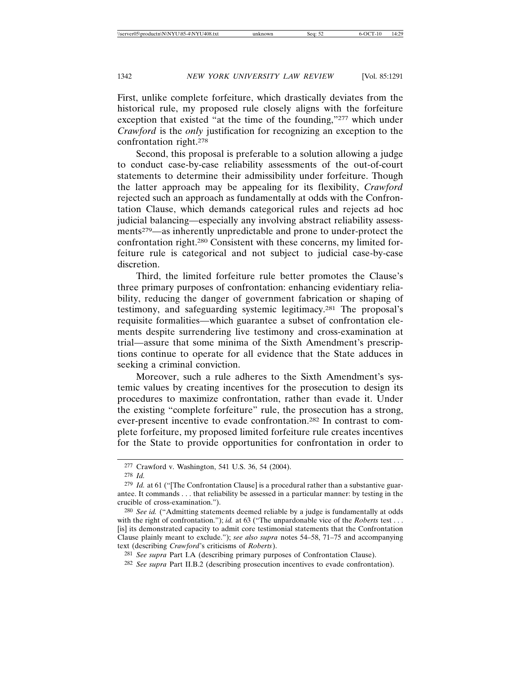First, unlike complete forfeiture, which drastically deviates from the historical rule, my proposed rule closely aligns with the forfeiture exception that existed "at the time of the founding,"277 which under *Crawford* is the *only* justification for recognizing an exception to the confrontation right.278

Second, this proposal is preferable to a solution allowing a judge to conduct case-by-case reliability assessments of the out-of-court statements to determine their admissibility under forfeiture. Though the latter approach may be appealing for its flexibility, *Crawford* rejected such an approach as fundamentally at odds with the Confrontation Clause, which demands categorical rules and rejects ad hoc judicial balancing—especially any involving abstract reliability assessments279—as inherently unpredictable and prone to under-protect the confrontation right.280 Consistent with these concerns, my limited forfeiture rule is categorical and not subject to judicial case-by-case discretion.

Third, the limited forfeiture rule better promotes the Clause's three primary purposes of confrontation: enhancing evidentiary reliability, reducing the danger of government fabrication or shaping of testimony, and safeguarding systemic legitimacy.281 The proposal's requisite formalities—which guarantee a subset of confrontation elements despite surrendering live testimony and cross-examination at trial—assure that some minima of the Sixth Amendment's prescriptions continue to operate for all evidence that the State adduces in seeking a criminal conviction.

Moreover, such a rule adheres to the Sixth Amendment's systemic values by creating incentives for the prosecution to design its procedures to maximize confrontation, rather than evade it. Under the existing "complete forfeiture" rule, the prosecution has a strong, ever-present incentive to evade confrontation.282 In contrast to complete forfeiture, my proposed limited forfeiture rule creates incentives for the State to provide opportunities for confrontation in order to

<sup>277</sup> Crawford v. Washington, 541 U.S. 36, 54 (2004).

<sup>278</sup> *Id.*

<sup>279</sup> *Id.* at 61 ("[The Confrontation Clause] is a procedural rather than a substantive guarantee. It commands . . . that reliability be assessed in a particular manner: by testing in the crucible of cross-examination.").

<sup>280</sup> *See id.* ("Admitting statements deemed reliable by a judge is fundamentally at odds with the right of confrontation."); *id.* at 63 ("The unpardonable vice of the *Roberts* test . . . [is] its demonstrated capacity to admit core testimonial statements that the Confrontation Clause plainly meant to exclude."); *see also supra* notes 54–58, 71–75 and accompanying text (describing *Crawford*'s criticisms of *Roberts*).

<sup>281</sup> *See supra* Part I.A (describing primary purposes of Confrontation Clause).

<sup>282</sup> *See supra* Part II.B.2 (describing prosecution incentives to evade confrontation).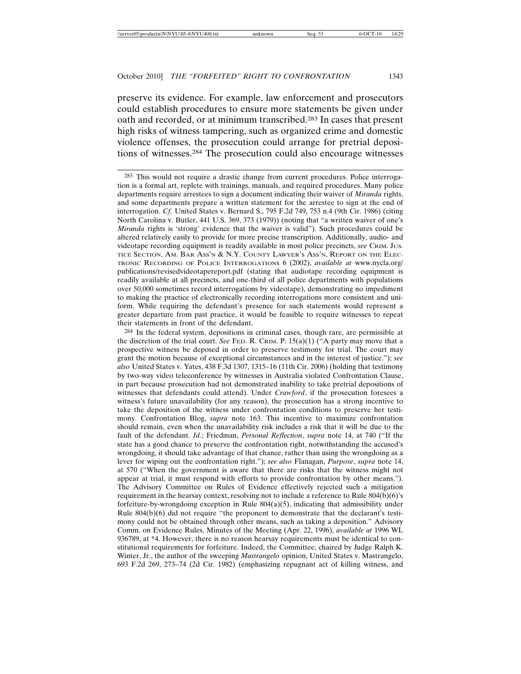preserve its evidence. For example, law enforcement and prosecutors could establish procedures to ensure more statements be given under oath and recorded, or at minimum transcribed.283 In cases that present high risks of witness tampering, such as organized crime and domestic violence offenses, the prosecution could arrange for pretrial depositions of witnesses.284 The prosecution could also encourage witnesses

284 In the federal system, depositions in criminal cases, though rare, are permissible at the discretion of the trial court. *See* FED. R. CRIM. P. 15(a)(1) ("A party may move that a prospective witness be deposed in order to preserve testimony for trial. The court may grant the motion because of exceptional circumstances and in the interest of justice."); *see also* United States v. Yates, 438 F.3d 1307, 1315–16 (11th Cir. 2006) (holding that testimony by two-way video teleconference by witnesses in Australia violated Confrontation Clause, in part because prosecution had not demonstrated inability to take pretrial depositions of witnesses that defendants could attend). Under *Crawford*, if the prosecution foresees a witness's future unavailability (for any reason), the prosecution has a strong incentive to take the deposition of the witness under confrontation conditions to preserve her testimony. Confrontation Blog, *supra* note 163. This incentive to maximize confrontation should remain, even when the unavailability risk includes a risk that it will be due to the fault of the defendant. *Id.*; Friedman, *Personal Reflection*, *supra* note 14, at 740 ("If the state has a good chance to preserve the confrontation right, notwithstanding the accused's wrongdoing, it should take advantage of that chance, rather than using the wrongdoing as a lever for wiping out the confrontation right."); *see also* Flanagan, *Purpose*, *supra* note 14, at 570 ("When the government is aware that there are risks that the witness might not appear at trial, it must respond with efforts to provide confrontation by other means."). The Advisory Committee on Rules of Evidence effectively rejected such a mitigation requirement in the hearsay context, resolving not to include a reference to Rule 804(b)(6)'s forfeiture-by-wrongdoing exception in Rule  $804(a)(5)$ , indicating that admissibility under Rule 804(b)(6) did not require "the proponent to demonstrate that the declarant's testimony could not be obtained through other means, such as taking a deposition." Advisory Comm. on Evidence Rules, Minutes of the Meeting (Apr. 22, 1996), *available at* 1996 WL 936789, at \*4. However, there is no reason hearsay requirements must be identical to constitutional requirements for forfeiture. Indeed, the Committee, chaired by Judge Ralph K. Winter, Jr., the author of the sweeping *Mastrangelo* opinion, United States v. Mastrangelo, 693 F.2d 269, 273–74 (2d Cir. 1982) (emphasizing repugnant act of killing witness, and

<sup>283</sup> This would not require a drastic change from current procedures. Police interrogation is a formal art, replete with trainings, manuals, and required procedures. Many police departments require arrestees to sign a document indicating their waiver of *Miranda* rights, and some departments prepare a written statement for the arrestee to sign at the end of interrogation. *Cf.* United States v. Bernard S., 795 F.2d 749, 753 n.4 (9th Cir. 1986) (citing North Carolina v. Butler, 441 U.S. 369, 373 (1979)) (noting that "a written waiver of one's *Miranda* rights is 'strong' evidence that the waiver is valid"). Such procedures could be altered relatively easily to provide for more precise transcription. Additionally, audio- and videotape recording equipment is readily available in most police precincts, *see* CRIM. JUS-TICE SECTION, AM. BAR ASS'N & N.Y. COUNTY LAWYER'S ASS'N, REPORT ON THE ELEC-TRONIC RECORDING OF POLICE INTERROGATIONS 6 (2002), *available at* www.nycla.org/ publications/revisedvideotapereport.pdf (stating that audiotape recording equipment is readily available at all precincts, and one-third of all police departments with populations over 50,000 sometimes record interrogations by videotape), demonstrating no impediment to making the practice of electronically recording interrogations more consistent and uniform. While requiring the defendant's presence for such statements would represent a greater departure from past practice, it would be feasible to require witnesses to repeat their statements in front of the defendant.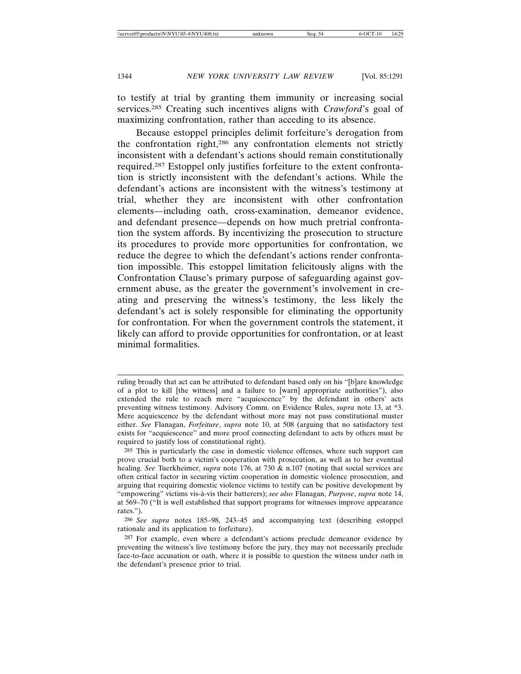to testify at trial by granting them immunity or increasing social services.285 Creating such incentives aligns with *Crawford*'s goal of maximizing confrontation, rather than acceding to its absence.

Because estoppel principles delimit forfeiture's derogation from the confrontation right,286 any confrontation elements not strictly inconsistent with a defendant's actions should remain constitutionally required.287 Estoppel only justifies forfeiture to the extent confrontation is strictly inconsistent with the defendant's actions. While the defendant's actions are inconsistent with the witness's testimony at trial, whether they are inconsistent with other confrontation elements—including oath, cross-examination, demeanor evidence, and defendant presence—depends on how much pretrial confrontation the system affords. By incentivizing the prosecution to structure its procedures to provide more opportunities for confrontation, we reduce the degree to which the defendant's actions render confrontation impossible. This estoppel limitation felicitously aligns with the Confrontation Clause's primary purpose of safeguarding against government abuse, as the greater the government's involvement in creating and preserving the witness's testimony, the less likely the defendant's act is solely responsible for eliminating the opportunity for confrontation. For when the government controls the statement, it likely can afford to provide opportunities for confrontation, or at least minimal formalities.

286 *See supra* notes 185–98, 243–45 and accompanying text (describing estoppel rationale and its application to forfeiture).

ruling broadly that act can be attributed to defendant based only on his "[b]are knowledge of a plot to kill [the witness] and a failure to [warn] appropriate authorities"), also extended the rule to reach mere "acquiescence" by the defendant in others' acts preventing witness testimony. Advisory Comm. on Evidence Rules, *supra* note 13, at \*3. Mere acquiescence by the defendant without more may not pass constitutional muster either. *See* Flanagan, *Forfeiture*, *supra* note 10, at 508 (arguing that no satisfactory test exists for "acquiescence" and more proof connecting defendant to acts by others must be required to justify loss of constitutional right).

<sup>285</sup> This is particularly the case in domestic violence offenses, where such support can prove crucial both to a victim's cooperation with prosecution, as well as to her eventual healing. *See* Tuerkheimer, *supra* note 176, at 730 & n.107 (noting that social services are often critical factor in securing victim cooperation in domestic violence prosecution, and arguing that requiring domestic violence victims to testify can be positive development by "empowering" victims vis-à-vis their batterers); *see also* Flanagan, *Purpose*, *supra* note 14, at 569–70 ("It is well established that support programs for witnesses improve appearance rates.").

<sup>&</sup>lt;sup>287</sup> For example, even where a defendant's actions preclude demeanor evidence by preventing the witness's live testimony before the jury, they may not necessarily preclude face-to-face accusation or oath, where it is possible to question the witness under oath in the defendant's presence prior to trial.